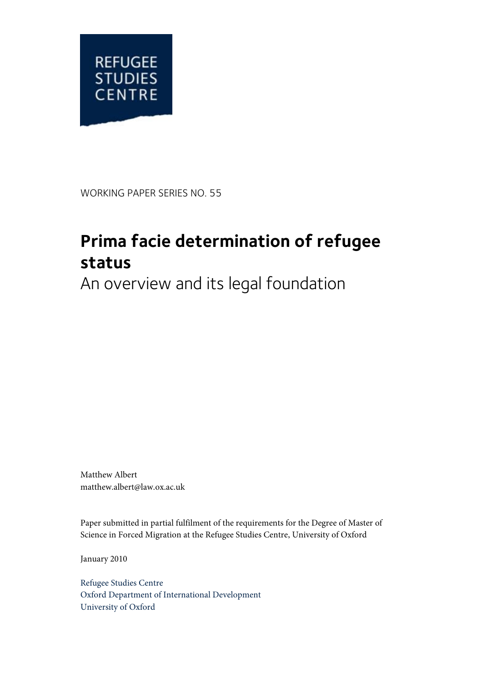

WORKING PAPER SERIES NO. 55

# **Prima facie determination of refugee status**

An overview and its legal foundation

Matthew Albert matthew.albert@law.ox.ac.uk

Paper submitted in partial fulfilment of the requirements for the Degree of Master of Science in Forced Migration at the Refugee Studies Centre, University of Oxford

January 2010

Refugee Studies Centre Oxford Department of International Development University of Oxford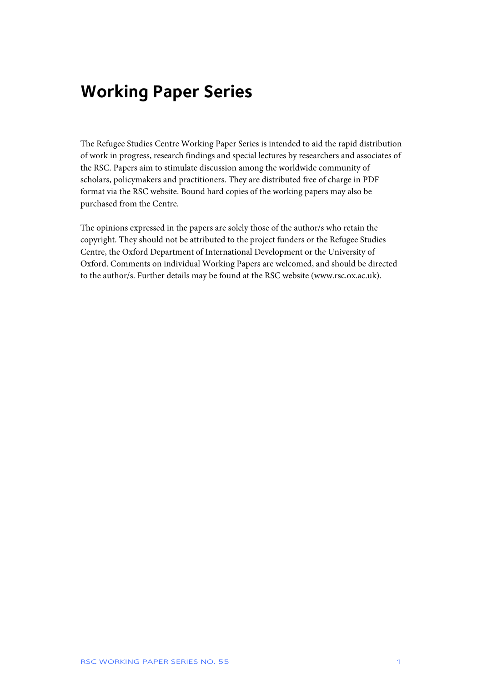## **Working Paper Series**

The Refugee Studies Centre Working Paper Series is intended to aid the rapid distribution of work in progress, research findings and special lectures by researchers and associates of the RSC. Papers aim to stimulate discussion among the worldwide community of scholars, policymakers and practitioners. They are distributed free of charge in PDF format via the RSC website. Bound hard copies of the working papers may also be purchased from the Centre.

The opinions expressed in the papers are solely those of the author/s who retain the copyright. They should not be attributed to the project funders or the Refugee Studies Centre, the Oxford Department of International Development or the University of Oxford. Comments on individual Working Papers are welcomed, and should be directed to the author/s. Further details may be found at the RSC website (www.rsc.ox.ac.uk).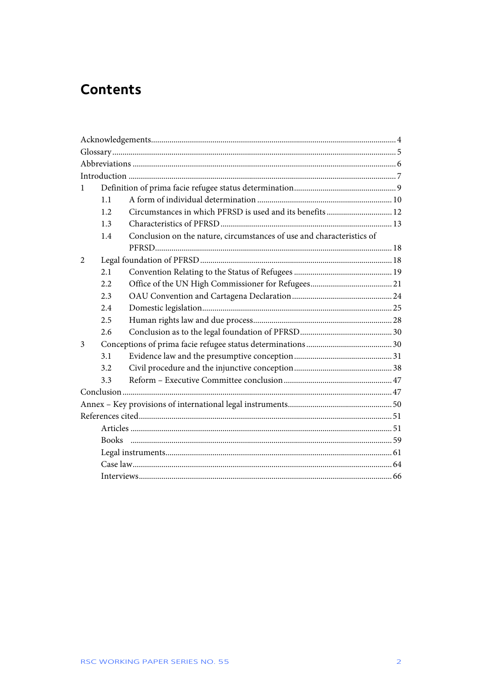## **Contents**

| 1              |     |                                                                       |  |  |  |  |  |
|----------------|-----|-----------------------------------------------------------------------|--|--|--|--|--|
|                | 1.1 |                                                                       |  |  |  |  |  |
|                | 1.2 | Circumstances in which PFRSD is used and its benefits  12             |  |  |  |  |  |
|                | 1.3 |                                                                       |  |  |  |  |  |
|                | 1.4 | Conclusion on the nature, circumstances of use and characteristics of |  |  |  |  |  |
|                |     |                                                                       |  |  |  |  |  |
| $\overline{2}$ |     |                                                                       |  |  |  |  |  |
|                | 2.1 |                                                                       |  |  |  |  |  |
|                | 2.2 |                                                                       |  |  |  |  |  |
|                | 2.3 |                                                                       |  |  |  |  |  |
|                | 2.4 |                                                                       |  |  |  |  |  |
|                | 2.5 |                                                                       |  |  |  |  |  |
|                | 2.6 |                                                                       |  |  |  |  |  |
| 3              |     |                                                                       |  |  |  |  |  |
|                | 3.1 |                                                                       |  |  |  |  |  |
|                | 3.2 |                                                                       |  |  |  |  |  |
|                | 3.3 |                                                                       |  |  |  |  |  |
|                |     |                                                                       |  |  |  |  |  |
|                |     |                                                                       |  |  |  |  |  |
|                |     |                                                                       |  |  |  |  |  |
|                |     |                                                                       |  |  |  |  |  |
|                |     |                                                                       |  |  |  |  |  |
|                |     |                                                                       |  |  |  |  |  |
|                |     |                                                                       |  |  |  |  |  |
|                |     |                                                                       |  |  |  |  |  |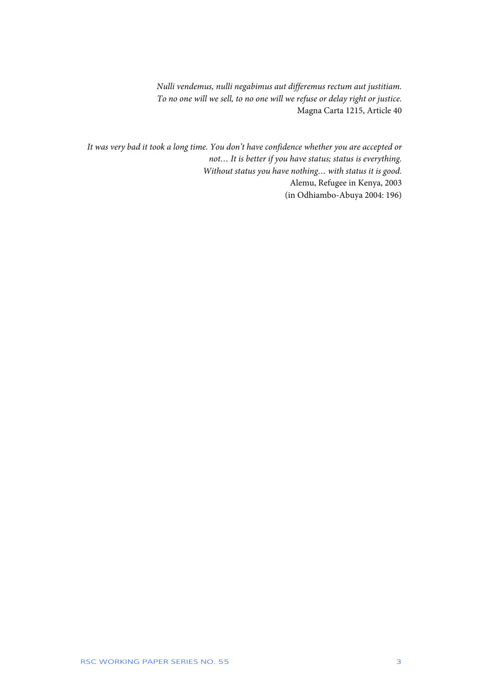*Nulli vendemus, nulli negabimus aut differemus rectum aut justitiam. To no one will we sell, to no one will we refuse or delay right or justice.*  Magna Carta 1215, Article 40

*It was very bad it took a long time. You don't have confidence whether you are accepted or not… It is better if you have status; status is everything. Without status you have nothing… with status it is good.*  Alemu, Refugee in Kenya, 2003 (in Odhiambo-Abuya 2004: 196)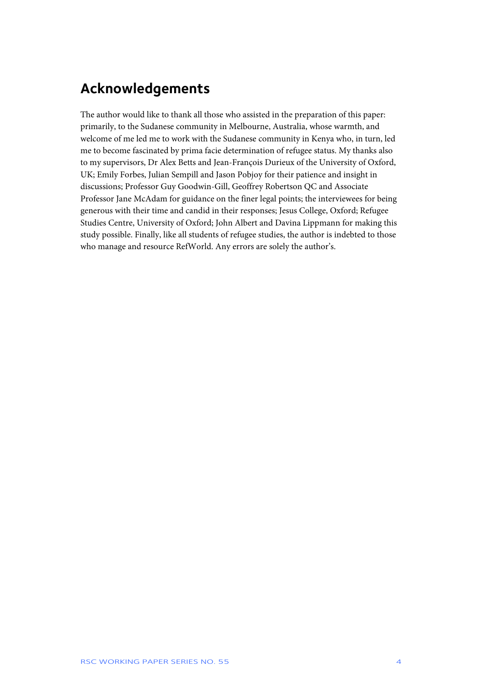## **Acknowledgements**

The author would like to thank all those who assisted in the preparation of this paper: primarily, to the Sudanese community in Melbourne, Australia, whose warmth, and welcome of me led me to work with the Sudanese community in Kenya who, in turn, led me to become fascinated by prima facie determination of refugee status. My thanks also to my supervisors, Dr Alex Betts and Jean-François Durieux of the University of Oxford, UK; Emily Forbes, Julian Sempill and Jason Pobjoy for their patience and insight in discussions; Professor Guy Goodwin-Gill, Geoffrey Robertson QC and Associate Professor Jane McAdam for guidance on the finer legal points; the interviewees for being generous with their time and candid in their responses; Jesus College, Oxford; Refugee Studies Centre, University of Oxford; John Albert and Davina Lippmann for making this study possible. Finally, like all students of refugee studies, the author is indebted to those who manage and resource RefWorld. Any errors are solely the author's.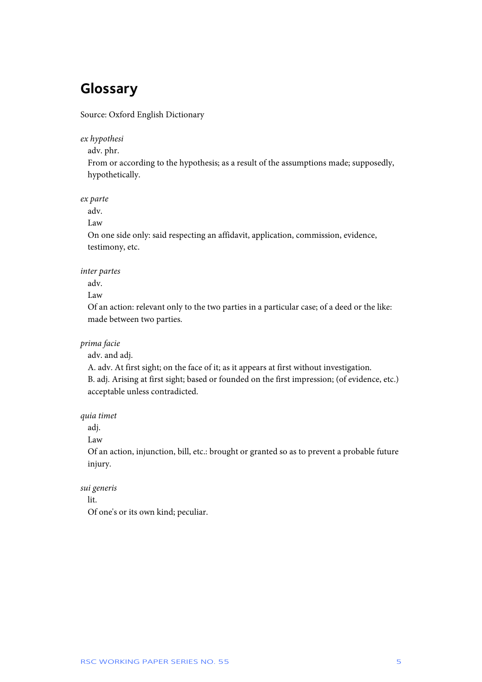## **Glossary**

Source: Oxford English Dictionary

*ex hypothesi* 

adv. phr.

From or according to the hypothesis; as a result of the assumptions made; supposedly, hypothetically.

*ex parte* 

adv.

Law

On one side only: said respecting an affidavit, application, commission, evidence, testimony, etc.

*inter partes* 

adv.

Law

Of an action: relevant only to the two parties in a particular case; of a deed or the like: made between two parties.

*prima facie* 

adv. and adj.

A. adv. At first sight; on the face of it; as it appears at first without investigation. B. adj. Arising at first sight; based or founded on the first impression; (of evidence, etc.) acceptable unless contradicted.

*quia timet* 

adj.

Law

Of an action, injunction, bill, etc.: brought or granted so as to prevent a probable future injury.

*sui generis* 

lit.

Of one's or its own kind; peculiar.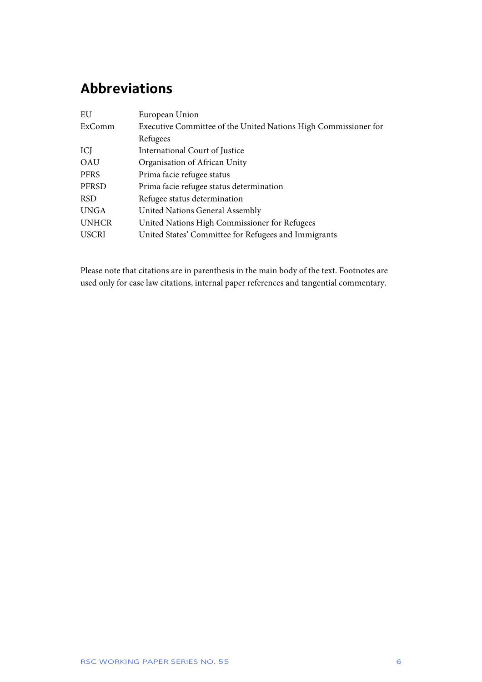## **Abbreviations**

| EU           | European Union                                                  |  |  |  |  |
|--------------|-----------------------------------------------------------------|--|--|--|--|
| ExComm       | Executive Committee of the United Nations High Commissioner for |  |  |  |  |
|              | Refugees                                                        |  |  |  |  |
| ICJ          | International Court of Justice                                  |  |  |  |  |
| OAU          | Organisation of African Unity                                   |  |  |  |  |
| <b>PFRS</b>  | Prima facie refugee status                                      |  |  |  |  |
| PFRSD        | Prima facie refugee status determination                        |  |  |  |  |
| <b>RSD</b>   | Refugee status determination                                    |  |  |  |  |
| <b>UNGA</b>  | <b>United Nations General Assembly</b>                          |  |  |  |  |
| <b>UNHCR</b> | United Nations High Commissioner for Refugees                   |  |  |  |  |
| <b>USCRI</b> | United States' Committee for Refugees and Immigrants            |  |  |  |  |

Please note that citations are in parenthesis in the main body of the text. Footnotes are used only for case law citations, internal paper references and tangential commentary.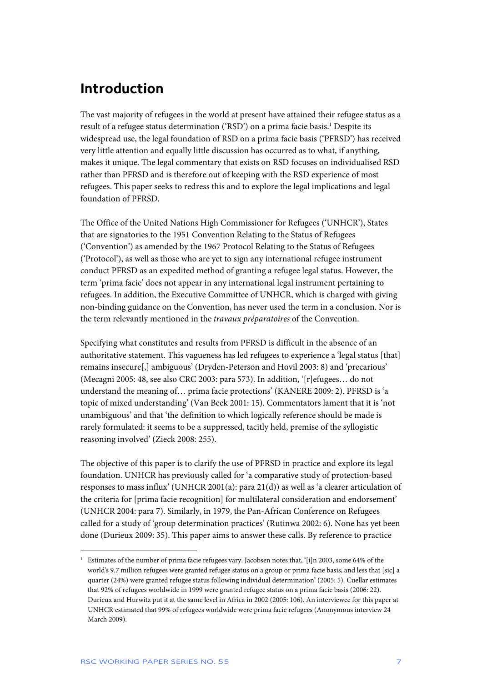## **Introduction**

The vast majority of refugees in the world at present have attained their refugee status as a result of a refugee status determination ('RSD') on a prima facie basis.<sup>1</sup> Despite its widespread use, the legal foundation of RSD on a prima facie basis ('PFRSD') has received very little attention and equally little discussion has occurred as to what, if anything, makes it unique. The legal commentary that exists on RSD focuses on individualised RSD rather than PFRSD and is therefore out of keeping with the RSD experience of most refugees. This paper seeks to redress this and to explore the legal implications and legal foundation of PFRSD.

The Office of the United Nations High Commissioner for Refugees ('UNHCR'), States that are signatories to the 1951 Convention Relating to the Status of Refugees ('Convention') as amended by the 1967 Protocol Relating to the Status of Refugees ('Protocol'), as well as those who are yet to sign any international refugee instrument conduct PFRSD as an expedited method of granting a refugee legal status. However, the term 'prima facie' does not appear in any international legal instrument pertaining to refugees. In addition, the Executive Committee of UNHCR, which is charged with giving non-binding guidance on the Convention, has never used the term in a conclusion. Nor is the term relevantly mentioned in the *travaux préparatoires* of the Convention.

Specifying what constitutes and results from PFRSD is difficult in the absence of an authoritative statement. This vagueness has led refugees to experience a 'legal status [that] remains insecure[,] ambiguous' (Dryden-Peterson and Hovil 2003: 8) and 'precarious' (Mecagni 2005: 48, see also CRC 2003: para 573). In addition, '[r]efugees… do not understand the meaning of… prima facie protections' (KANERE 2009: 2). PFRSD is 'a topic of mixed understanding' (Van Beek 2001: 15). Commentators lament that it is 'not unambiguous' and that 'the definition to which logically reference should be made is rarely formulated: it seems to be a suppressed, tacitly held, premise of the syllogistic reasoning involved' (Zieck 2008: 255).

The objective of this paper is to clarify the use of PFRSD in practice and explore its legal foundation. UNHCR has previously called for 'a comparative study of protection-based responses to mass influx' (UNHCR 2001(a): para 21(d)) as well as 'a clearer articulation of the criteria for [prima facie recognition] for multilateral consideration and endorsement' (UNHCR 2004: para 7). Similarly, in 1979, the Pan-African Conference on Refugees called for a study of 'group determination practices' (Rutinwa 2002: 6). None has yet been done (Durieux 2009: 35). This paper aims to answer these calls. By reference to practice

<sup>&</sup>lt;sup>1</sup> Estimates of the number of prima facie refugees vary. Jacobsen notes that, '[i]n 2003, some 64% of the world's 9.7 million refugees were granted refugee status on a group or prima facie basis, and less that [sic] a quarter (24%) were granted refugee status following individual determination' (2005: 5). Cuellar estimates that 92% of refugees worldwide in 1999 were granted refugee status on a prima facie basis (2006: 22). Durieux and Hurwitz put it at the same level in Africa in 2002 (2005: 106). An interviewee for this paper at UNHCR estimated that 99% of refugees worldwide were prima facie refugees (Anonymous interview 24 March 2009).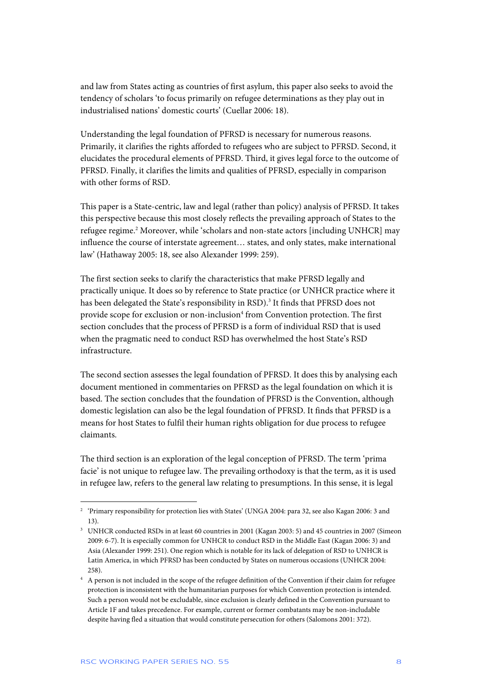and law from States acting as countries of first asylum, this paper also seeks to avoid the tendency of scholars 'to focus primarily on refugee determinations as they play out in industrialised nations' domestic courts' (Cuellar 2006: 18).

Understanding the legal foundation of PFRSD is necessary for numerous reasons. Primarily, it clarifies the rights afforded to refugees who are subject to PFRSD. Second, it elucidates the procedural elements of PFRSD. Third, it gives legal force to the outcome of PFRSD. Finally, it clarifies the limits and qualities of PFRSD, especially in comparison with other forms of RSD.

This paper is a State-centric, law and legal (rather than policy) analysis of PFRSD. It takes this perspective because this most closely reflects the prevailing approach of States to the refugee regime.<sup>2</sup> Moreover, while 'scholars and non-state actors [including UNHCR] may influence the course of interstate agreement… states, and only states, make international law' (Hathaway 2005: 18, see also Alexander 1999: 259).

The first section seeks to clarify the characteristics that make PFRSD legally and practically unique. It does so by reference to State practice (or UNHCR practice where it has been delegated the State's responsibility in RSD).<sup>3</sup> It finds that PFRSD does not provide scope for exclusion or non-inclusion<sup>4</sup> from Convention protection. The first section concludes that the process of PFRSD is a form of individual RSD that is used when the pragmatic need to conduct RSD has overwhelmed the host State's RSD infrastructure.

The second section assesses the legal foundation of PFRSD. It does this by analysing each document mentioned in commentaries on PFRSD as the legal foundation on which it is based. The section concludes that the foundation of PFRSD is the Convention, although domestic legislation can also be the legal foundation of PFRSD. It finds that PFRSD is a means for host States to fulfil their human rights obligation for due process to refugee claimants.

The third section is an exploration of the legal conception of PFRSD. The term 'prima facie' is not unique to refugee law. The prevailing orthodoxy is that the term, as it is used in refugee law, refers to the general law relating to presumptions. In this sense, it is legal

<sup>2</sup> 'Primary responsibility for protection lies with States' (UNGA 2004: para 32, see also Kagan 2006: 3 and 13).

<sup>&</sup>lt;sup>3</sup> UNHCR conducted RSDs in at least 60 countries in 2001 (Kagan 2003: 5) and 45 countries in 2007 (Simeon 2009: 6-7). It is especially common for UNHCR to conduct RSD in the Middle East (Kagan 2006: 3) and Asia (Alexander 1999: 251). One region which is notable for its lack of delegation of RSD to UNHCR is Latin America, in which PFRSD has been conducted by States on numerous occasions (UNHCR 2004: 258).

<sup>4</sup> A person is not included in the scope of the refugee definition of the Convention if their claim for refugee protection is inconsistent with the humanitarian purposes for which Convention protection is intended. Such a person would not be excludable, since exclusion is clearly defined in the Convention pursuant to Article 1F and takes precedence. For example, current or former combatants may be non-includable despite having fled a situation that would constitute persecution for others (Salomons 2001: 372).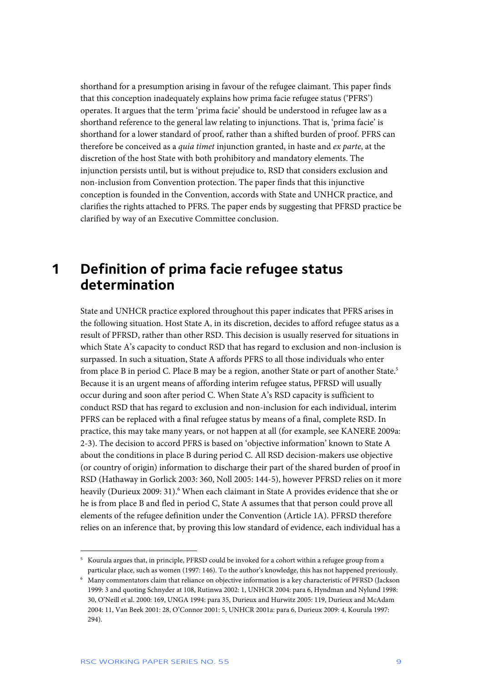shorthand for a presumption arising in favour of the refugee claimant. This paper finds that this conception inadequately explains how prima facie refugee status ('PFRS') operates. It argues that the term 'prima facie' should be understood in refugee law as a shorthand reference to the general law relating to injunctions. That is, 'prima facie' is shorthand for a lower standard of proof, rather than a shifted burden of proof. PFRS can therefore be conceived as a *quia timet* injunction granted, in haste and *ex parte*, at the discretion of the host State with both prohibitory and mandatory elements. The injunction persists until, but is without prejudice to, RSD that considers exclusion and non-inclusion from Convention protection. The paper finds that this injunctive conception is founded in the Convention, accords with State and UNHCR practice, and clarifies the rights attached to PFRS. The paper ends by suggesting that PFRSD practice be clarified by way of an Executive Committee conclusion.

## **1 Definition of prima facie refugee status determination**

State and UNHCR practice explored throughout this paper indicates that PFRS arises in the following situation. Host State A, in its discretion, decides to afford refugee status as a result of PFRSD, rather than other RSD. This decision is usually reserved for situations in which State A's capacity to conduct RSD that has regard to exclusion and non-inclusion is surpassed. In such a situation, State A affords PFRS to all those individuals who enter from place B in period C. Place B may be a region, another State or part of another State.<sup>5</sup> Because it is an urgent means of affording interim refugee status, PFRSD will usually occur during and soon after period C. When State A's RSD capacity is sufficient to conduct RSD that has regard to exclusion and non-inclusion for each individual, interim PFRS can be replaced with a final refugee status by means of a final, complete RSD. In practice, this may take many years, or not happen at all (for example, see KANERE 2009a: 2-3). The decision to accord PFRS is based on 'objective information' known to State A about the conditions in place B during period C. All RSD decision-makers use objective (or country of origin) information to discharge their part of the shared burden of proof in RSD (Hathaway in Gorlick 2003: 360, Noll 2005: 144-5), however PFRSD relies on it more heavily (Durieux 2009: 31).<sup>6</sup> When each claimant in State A provides evidence that she or he is from place B and fled in period C, State A assumes that that person could prove all elements of the refugee definition under the Convention (Article 1A). PFRSD therefore relies on an inference that, by proving this low standard of evidence, each individual has a

<sup>5</sup> Kourula argues that, in principle, PFRSD could be invoked for a cohort within a refugee group from a particular place, such as women (1997: 146). To the author's knowledge, this has not happened previously.

<sup>6</sup> Many commentators claim that reliance on objective information is a key characteristic of PFRSD (Jackson 1999: 3 and quoting Schnyder at 108, Rutinwa 2002: 1, UNHCR 2004: para 6, Hyndman and Nylund 1998: 30, O'Neill et al. 2000: 169, UNGA 1994: para 35, Durieux and Hurwitz 2005: 119, Durieux and McAdam 2004: 11, Van Beek 2001: 28, O'Connor 2001: 5, UNHCR 2001a: para 6, Durieux 2009: 4, Kourula 1997: 294).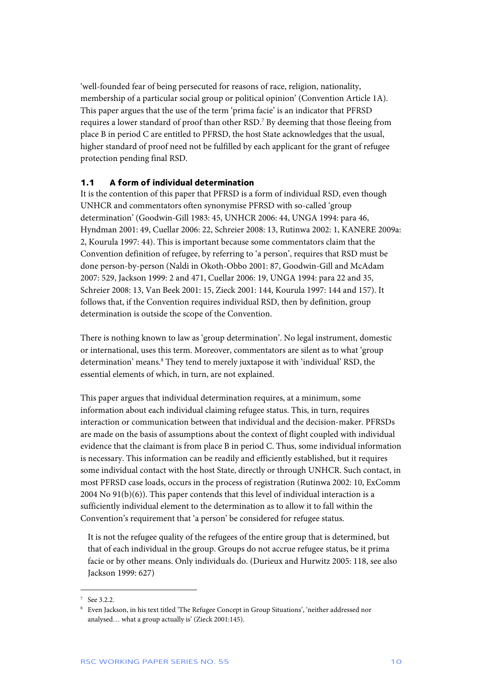'well-founded fear of being persecuted for reasons of race, religion, nationality, membership of a particular social group or political opinion' (Convention Article 1A). This paper argues that the use of the term 'prima facie' is an indicator that PFRSD requires a lower standard of proof than other RSD.7 By deeming that those fleeing from place B in period C are entitled to PFRSD, the host State acknowledges that the usual, higher standard of proof need not be fulfilled by each applicant for the grant of refugee protection pending final RSD.

#### **1.1 A form of individual determination**

It is the contention of this paper that PFRSD is a form of individual RSD, even though UNHCR and commentators often synonymise PFRSD with so-called 'group determination' (Goodwin-Gill 1983: 45, UNHCR 2006: 44, UNGA 1994: para 46, Hyndman 2001: 49, Cuellar 2006: 22, Schreier 2008: 13, Rutinwa 2002: 1, KANERE 2009a: 2, Kourula 1997: 44). This is important because some commentators claim that the Convention definition of refugee, by referring to 'a person', requires that RSD must be done person-by-person (Naldi in Okoth-Obbo 2001: 87, Goodwin-Gill and McAdam 2007: 529, Jackson 1999: 2 and 471, Cuellar 2006: 19, UNGA 1994: para 22 and 35, Schreier 2008: 13, Van Beek 2001: 15, Zieck 2001: 144, Kourula 1997: 144 and 157). It follows that, if the Convention requires individual RSD, then by definition, group determination is outside the scope of the Convention.

There is nothing known to law as 'group determination'. No legal instrument, domestic or international, uses this term. Moreover, commentators are silent as to what 'group determination' means.<sup>8</sup> They tend to merely juxtapose it with 'individual' RSD, the essential elements of which, in turn, are not explained.

This paper argues that individual determination requires, at a minimum, some information about each individual claiming refugee status. This, in turn, requires interaction or communication between that individual and the decision-maker. PFRSDs are made on the basis of assumptions about the context of flight coupled with individual evidence that the claimant is from place B in period C. Thus, some individual information is necessary. This information can be readily and efficiently established, but it requires some individual contact with the host State, directly or through UNHCR. Such contact, in most PFRSD case loads, occurs in the process of registration (Rutinwa 2002: 10, ExComm 2004 No 91(b)(6)). This paper contends that this level of individual interaction is a sufficiently individual element to the determination as to allow it to fall within the Convention's requirement that 'a person' be considered for refugee status.

It is not the refugee quality of the refugees of the entire group that is determined, but that of each individual in the group. Groups do not accrue refugee status, be it prima facie or by other means. Only individuals do. (Durieux and Hurwitz 2005: 118, see also Jackson 1999: 627)

<sup>7</sup> See 3.2.2.

<sup>8</sup> Even Jackson, in his text titled 'The Refugee Concept in Group Situations', 'neither addressed nor analysed… what a group actually is' (Zieck 2001:145).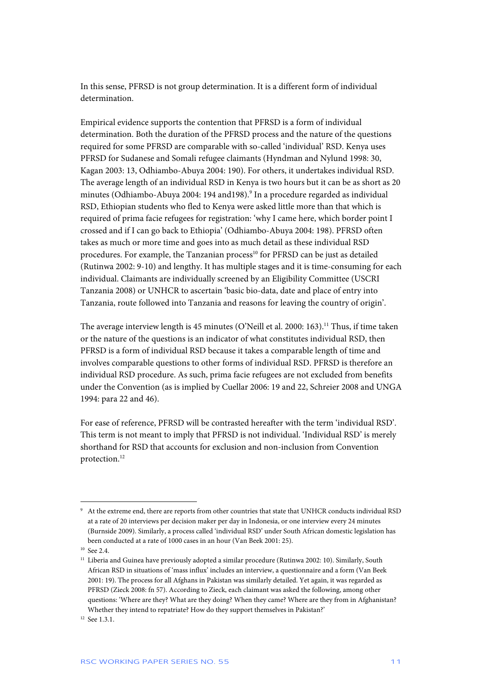In this sense, PFRSD is not group determination. It is a different form of individual determination.

Empirical evidence supports the contention that PFRSD is a form of individual determination. Both the duration of the PFRSD process and the nature of the questions required for some PFRSD are comparable with so-called 'individual' RSD. Kenya uses PFRSD for Sudanese and Somali refugee claimants (Hyndman and Nylund 1998: 30, Kagan 2003: 13, Odhiambo-Abuya 2004: 190). For others, it undertakes individual RSD. The average length of an individual RSD in Kenya is two hours but it can be as short as 20 minutes (Odhiambo-Abuya 2004: 194 and198).<sup>9</sup> In a procedure regarded as individual RSD, Ethiopian students who fled to Kenya were asked little more than that which is required of prima facie refugees for registration: 'why I came here, which border point I crossed and if I can go back to Ethiopia' (Odhiambo-Abuya 2004: 198). PFRSD often takes as much or more time and goes into as much detail as these individual RSD procedures. For example, the Tanzanian process<sup>10</sup> for PFRSD can be just as detailed (Rutinwa 2002: 9-10) and lengthy. It has multiple stages and it is time-consuming for each individual. Claimants are individually screened by an Eligibility Committee (USCRI Tanzania 2008) or UNHCR to ascertain 'basic bio-data, date and place of entry into Tanzania, route followed into Tanzania and reasons for leaving the country of origin'.

The average interview length is 45 minutes (O'Neill et al. 2000: 163).<sup>11</sup> Thus, if time taken or the nature of the questions is an indicator of what constitutes individual RSD, then PFRSD is a form of individual RSD because it takes a comparable length of time and involves comparable questions to other forms of individual RSD. PFRSD is therefore an individual RSD procedure. As such, prima facie refugees are not excluded from benefits under the Convention (as is implied by Cuellar 2006: 19 and 22, Schreier 2008 and UNGA 1994: para 22 and 46).

For ease of reference, PFRSD will be contrasted hereafter with the term 'individual RSD'. This term is not meant to imply that PFRSD is not individual. 'Individual RSD' is merely shorthand for RSD that accounts for exclusion and non-inclusion from Convention protection.12

<sup>9</sup> At the extreme end, there are reports from other countries that state that UNHCR conducts individual RSD at a rate of 20 interviews per decision maker per day in Indonesia, or one interview every 24 minutes (Burnside 2009). Similarly, a process called 'individual RSD' under South African domestic legislation has been conducted at a rate of 1000 cases in an hour (Van Beek 2001: 25).

<sup>&</sup>lt;sup>10</sup> See 2.4.

<sup>&</sup>lt;sup>11</sup> Liberia and Guinea have previously adopted a similar procedure (Rutinwa 2002: 10). Similarly, South African RSD in situations of 'mass influx' includes an interview, a questionnaire and a form (Van Beek 2001: 19). The process for all Afghans in Pakistan was similarly detailed. Yet again, it was regarded as PFRSD (Zieck 2008: fn 57). According to Zieck, each claimant was asked the following, among other questions: 'Where are they? What are they doing? When they came? Where are they from in Afghanistan? Whether they intend to repatriate? How do they support themselves in Pakistan?'

<sup>&</sup>lt;sup>12</sup> See 1.3.1.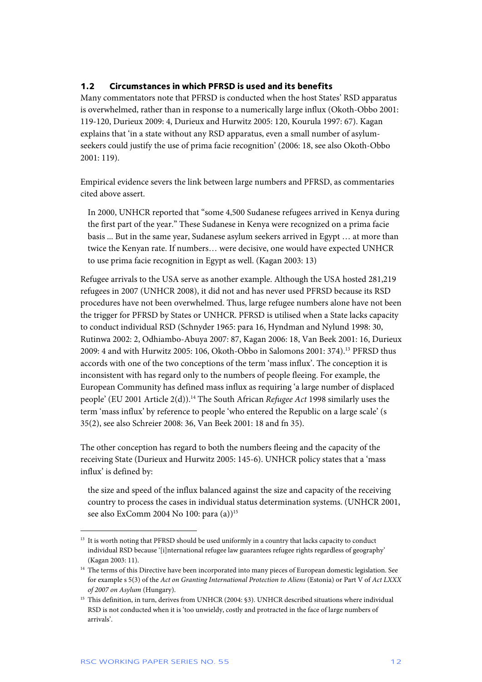#### **1.2 Circumstances in which PFRSD is used and its benefits**

Many commentators note that PFRSD is conducted when the host States' RSD apparatus is overwhelmed, rather than in response to a numerically large influx (Okoth-Obbo 2001: 119-120, Durieux 2009: 4, Durieux and Hurwitz 2005: 120, Kourula 1997: 67). Kagan explains that 'in a state without any RSD apparatus, even a small number of asylumseekers could justify the use of prima facie recognition' (2006: 18, see also Okoth-Obbo 2001: 119).

Empirical evidence severs the link between large numbers and PFRSD, as commentaries cited above assert.

In 2000, UNHCR reported that "some 4,500 Sudanese refugees arrived in Kenya during the first part of the year." These Sudanese in Kenya were recognized on a prima facie basis ... But in the same year, Sudanese asylum seekers arrived in Egypt … at more than twice the Kenyan rate. If numbers… were decisive, one would have expected UNHCR to use prima facie recognition in Egypt as well. (Kagan 2003: 13)

Refugee arrivals to the USA serve as another example. Although the USA hosted 281,219 refugees in 2007 (UNHCR 2008), it did not and has never used PFRSD because its RSD procedures have not been overwhelmed. Thus, large refugee numbers alone have not been the trigger for PFRSD by States or UNHCR. PFRSD is utilised when a State lacks capacity to conduct individual RSD (Schnyder 1965: para 16, Hyndman and Nylund 1998: 30, Rutinwa 2002: 2, Odhiambo-Abuya 2007: 87, Kagan 2006: 18, Van Beek 2001: 16, Durieux 2009: 4 and with Hurwitz 2005: 106, Okoth-Obbo in Salomons 2001: 374).13 PFRSD thus accords with one of the two conceptions of the term 'mass influx'. The conception it is inconsistent with has regard only to the numbers of people fleeing. For example, the European Community has defined mass influx as requiring 'a large number of displaced people' (EU 2001 Article 2(d)).14 The South African *Refugee Act* 1998 similarly uses the term 'mass influx' by reference to people 'who entered the Republic on a large scale' (s 35(2), see also Schreier 2008: 36, Van Beek 2001: 18 and fn 35).

The other conception has regard to both the numbers fleeing and the capacity of the receiving State (Durieux and Hurwitz 2005: 145-6). UNHCR policy states that a 'mass influx' is defined by:

the size and speed of the influx balanced against the size and capacity of the receiving country to process the cases in individual status determination systems. (UNHCR 2001, see also ExComm 2004 No 100: para (a))<sup>15</sup>

j <sup>13</sup> It is worth noting that PFRSD should be used uniformly in a country that lacks capacity to conduct individual RSD because '[i]nternational refugee law guarantees refugee rights regardless of geography' (Kagan 2003: 11).

<sup>&</sup>lt;sup>14</sup> The terms of this Directive have been incorporated into many pieces of European domestic legislation. See for example s 5(3) of the *Act on Granting International Protection to Aliens* (Estonia) or Part V of *Act LXXX of 2007 on Asylum* (Hungary).

<sup>&</sup>lt;sup>15</sup> This definition, in turn, derives from UNHCR (2004: §3). UNHCR described situations where individual RSD is not conducted when it is 'too unwieldy, costly and protracted in the face of large numbers of arrivals'.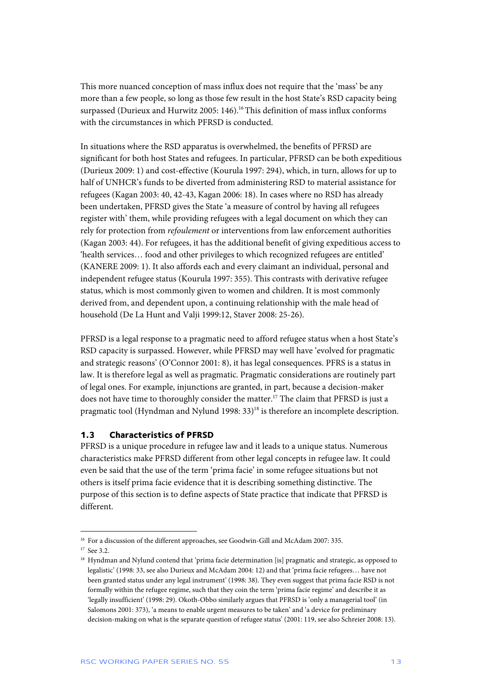This more nuanced conception of mass influx does not require that the 'mass' be any more than a few people, so long as those few result in the host State's RSD capacity being surpassed (Durieux and Hurwitz 2005: 146).<sup>16</sup> This definition of mass influx conforms with the circumstances in which PFRSD is conducted.

In situations where the RSD apparatus is overwhelmed, the benefits of PFRSD are significant for both host States and refugees. In particular, PFRSD can be both expeditious (Durieux 2009: 1) and cost-effective (Kourula 1997: 294), which, in turn, allows for up to half of UNHCR's funds to be diverted from administering RSD to material assistance for refugees (Kagan 2003: 40, 42-43, Kagan 2006: 18). In cases where no RSD has already been undertaken, PFRSD gives the State 'a measure of control by having all refugees register with' them, while providing refugees with a legal document on which they can rely for protection from *refoulement* or interventions from law enforcement authorities (Kagan 2003: 44). For refugees, it has the additional benefit of giving expeditious access to 'health services… food and other privileges to which recognized refugees are entitled' (KANERE 2009: 1). It also affords each and every claimant an individual, personal and independent refugee status (Kourula 1997: 355). This contrasts with derivative refugee status, which is most commonly given to women and children. It is most commonly derived from, and dependent upon, a continuing relationship with the male head of household (De La Hunt and Valji 1999:12, Staver 2008: 25-26).

PFRSD is a legal response to a pragmatic need to afford refugee status when a host State's RSD capacity is surpassed. However, while PFRSD may well have 'evolved for pragmatic and strategic reasons' (O'Connor 2001: 8), it has legal consequences. PFRS is a status in law. It is therefore legal as well as pragmatic. Pragmatic considerations are routinely part of legal ones. For example, injunctions are granted, in part, because a decision-maker does not have time to thoroughly consider the matter.<sup>17</sup> The claim that PFRSD is just a pragmatic tool (Hyndman and Nylund 1998: 33)<sup>18</sup> is therefore an incomplete description.

#### **1.3 Characteristics of PFRSD**

PFRSD is a unique procedure in refugee law and it leads to a unique status. Numerous characteristics make PFRSD different from other legal concepts in refugee law. It could even be said that the use of the term 'prima facie' in some refugee situations but not others is itself prima facie evidence that it is describing something distinctive. The purpose of this section is to define aspects of State practice that indicate that PFRSD is different.

<sup>&</sup>lt;sup>16</sup> For a discussion of the different approaches, see Goodwin-Gill and McAdam 2007: 335.

<sup>&</sup>lt;sup>17</sup> See 3.2.

<sup>&</sup>lt;sup>18</sup> Hyndman and Nylund contend that 'prima facie determination [is] pragmatic and strategic, as opposed to legalistic' (1998: 33, see also Durieux and McAdam 2004: 12) and that 'prima facie refugees… have not been granted status under any legal instrument' (1998: 38). They even suggest that prima facie RSD is not formally within the refugee regime, such that they coin the term 'prima facie regime' and describe it as 'legally insufficient' (1998: 29). Okoth-Obbo similarly argues that PFRSD is 'only a managerial tool' (in Salomons 2001: 373), 'a means to enable urgent measures to be taken' and 'a device for preliminary decision-making on what is the separate question of refugee status' (2001: 119, see also Schreier 2008: 13).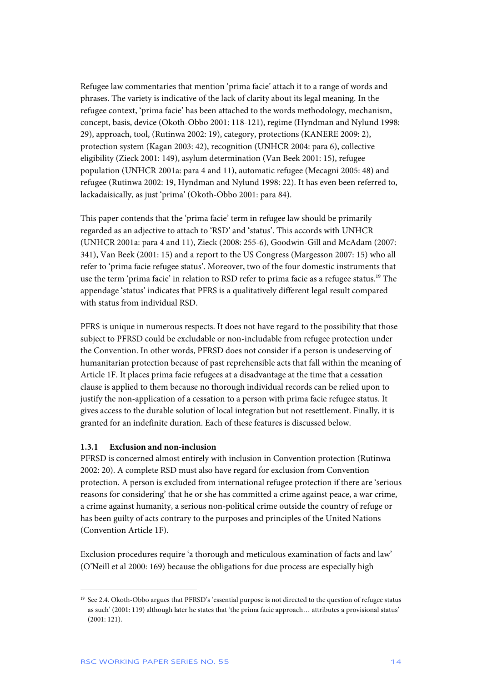Refugee law commentaries that mention 'prima facie' attach it to a range of words and phrases. The variety is indicative of the lack of clarity about its legal meaning. In the refugee context, 'prima facie' has been attached to the words methodology, mechanism, concept, basis, device (Okoth-Obbo 2001: 118-121), regime (Hyndman and Nylund 1998: 29), approach, tool, (Rutinwa 2002: 19), category, protections (KANERE 2009: 2), protection system (Kagan 2003: 42), recognition (UNHCR 2004: para 6), collective eligibility (Zieck 2001: 149), asylum determination (Van Beek 2001: 15), refugee population (UNHCR 2001a: para 4 and 11), automatic refugee (Mecagni 2005: 48) and refugee (Rutinwa 2002: 19, Hyndman and Nylund 1998: 22). It has even been referred to, lackadaisically, as just 'prima' (Okoth-Obbo 2001: para 84).

This paper contends that the 'prima facie' term in refugee law should be primarily regarded as an adjective to attach to 'RSD' and 'status'. This accords with UNHCR (UNHCR 2001a: para 4 and 11), Zieck (2008: 255-6), Goodwin-Gill and McAdam (2007: 341), Van Beek (2001: 15) and a report to the US Congress (Margesson 2007: 15) who all refer to 'prima facie refugee status'. Moreover, two of the four domestic instruments that use the term 'prima facie' in relation to RSD refer to prima facie as a refugee status.<sup>19</sup> The appendage 'status' indicates that PFRS is a qualitatively different legal result compared with status from individual RSD.

PFRS is unique in numerous respects. It does not have regard to the possibility that those subject to PFRSD could be excludable or non-includable from refugee protection under the Convention. In other words, PFRSD does not consider if a person is undeserving of humanitarian protection because of past reprehensible acts that fall within the meaning of Article 1F. It places prima facie refugees at a disadvantage at the time that a cessation clause is applied to them because no thorough individual records can be relied upon to justify the non-application of a cessation to a person with prima facie refugee status. It gives access to the durable solution of local integration but not resettlement. Finally, it is granted for an indefinite duration. Each of these features is discussed below.

#### **1.3.1 Exclusion and non-inclusion**

PFRSD is concerned almost entirely with inclusion in Convention protection (Rutinwa 2002: 20). A complete RSD must also have regard for exclusion from Convention protection. A person is excluded from international refugee protection if there are 'serious reasons for considering' that he or she has committed a crime against peace, a war crime, a crime against humanity, a serious non-political crime outside the country of refuge or has been guilty of acts contrary to the purposes and principles of the United Nations (Convention Article 1F).

Exclusion procedures require 'a thorough and meticulous examination of facts and law' (O'Neill et al 2000: 169) because the obligations for due process are especially high

<sup>&</sup>lt;sup>19</sup> See 2.4. Okoth-Obbo argues that PFRSD's 'essential purpose is not directed to the question of refugee status as such' (2001: 119) although later he states that 'the prima facie approach… attributes a provisional status' (2001: 121).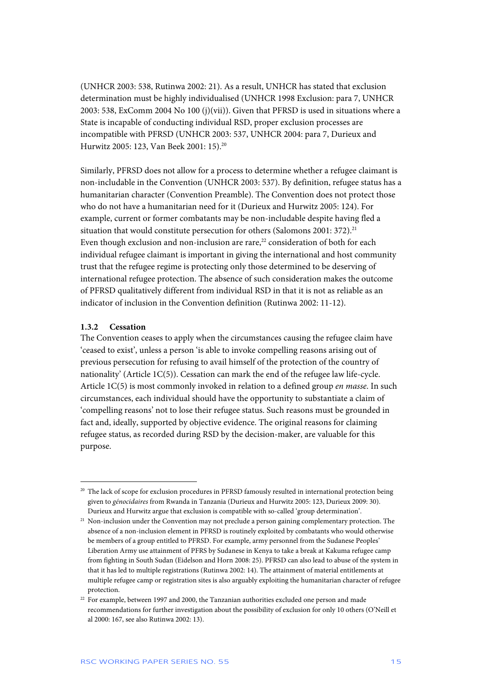(UNHCR 2003: 538, Rutinwa 2002: 21). As a result, UNHCR has stated that exclusion determination must be highly individualised (UNHCR 1998 Exclusion: para 7, UNHCR 2003: 538, ExComm 2004 No 100 (j)(vii)). Given that PFRSD is used in situations where a State is incapable of conducting individual RSD, proper exclusion processes are incompatible with PFRSD (UNHCR 2003: 537, UNHCR 2004: para 7, Durieux and Hurwitz 2005: 123, Van Beek 2001: 15).20

Similarly, PFRSD does not allow for a process to determine whether a refugee claimant is non-includable in the Convention (UNHCR 2003: 537). By definition, refugee status has a humanitarian character (Convention Preamble). The Convention does not protect those who do not have a humanitarian need for it (Durieux and Hurwitz 2005: 124). For example, current or former combatants may be non-includable despite having fled a situation that would constitute persecution for others (Salomons 2001: 372).<sup>21</sup> Even though exclusion and non-inclusion are rare, $22$  consideration of both for each individual refugee claimant is important in giving the international and host community trust that the refugee regime is protecting only those determined to be deserving of international refugee protection. The absence of such consideration makes the outcome of PFRSD qualitatively different from individual RSD in that it is not as reliable as an indicator of inclusion in the Convention definition (Rutinwa 2002: 11-12).

#### **1.3.2 Cessation**

j

The Convention ceases to apply when the circumstances causing the refugee claim have 'ceased to exist', unless a person 'is able to invoke compelling reasons arising out of previous persecution for refusing to avail himself of the protection of the country of nationality' (Article 1C(5)). Cessation can mark the end of the refugee law life-cycle. Article 1C(5) is most commonly invoked in relation to a defined group *en masse*. In such circumstances, each individual should have the opportunity to substantiate a claim of 'compelling reasons' not to lose their refugee status. Such reasons must be grounded in fact and, ideally, supported by objective evidence. The original reasons for claiming refugee status, as recorded during RSD by the decision-maker, are valuable for this purpose.

<sup>&</sup>lt;sup>20</sup> The lack of scope for exclusion procedures in PFRSD famously resulted in international protection being given to *génocidaires* from Rwanda in Tanzania (Durieux and Hurwitz 2005: 123, Durieux 2009: 30). Durieux and Hurwitz argue that exclusion is compatible with so-called 'group determination'.

<sup>&</sup>lt;sup>21</sup> Non-inclusion under the Convention may not preclude a person gaining complementary protection. The absence of a non-inclusion element in PFRSD is routinely exploited by combatants who would otherwise be members of a group entitled to PFRSD. For example, army personnel from the Sudanese Peoples' Liberation Army use attainment of PFRS by Sudanese in Kenya to take a break at Kakuma refugee camp from fighting in South Sudan (Eidelson and Horn 2008: 25). PFRSD can also lead to abuse of the system in that it has led to multiple registrations (Rutinwa 2002: 14). The attainment of material entitlements at multiple refugee camp or registration sites is also arguably exploiting the humanitarian character of refugee protection.

 $22$  For example, between 1997 and 2000, the Tanzanian authorities excluded one person and made recommendations for further investigation about the possibility of exclusion for only 10 others (O'Neill et al 2000: 167, see also Rutinwa 2002: 13).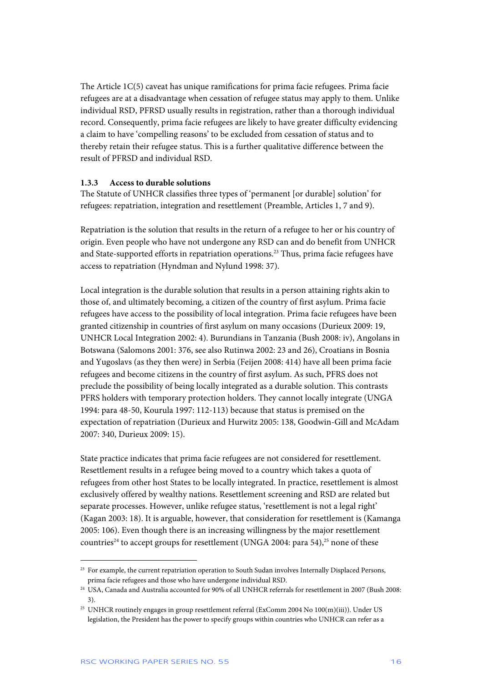The Article 1C(5) caveat has unique ramifications for prima facie refugees. Prima facie refugees are at a disadvantage when cessation of refugee status may apply to them. Unlike individual RSD, PFRSD usually results in registration, rather than a thorough individual record. Consequently, prima facie refugees are likely to have greater difficulty evidencing a claim to have 'compelling reasons' to be excluded from cessation of status and to thereby retain their refugee status. This is a further qualitative difference between the result of PFRSD and individual RSD.

#### **1.3.3 Access to durable solutions**

The Statute of UNHCR classifies three types of 'permanent [or durable] solution' for refugees: repatriation, integration and resettlement (Preamble, Articles 1, 7 and 9).

Repatriation is the solution that results in the return of a refugee to her or his country of origin. Even people who have not undergone any RSD can and do benefit from UNHCR and State-supported efforts in repatriation operations.<sup>23</sup> Thus, prima facie refugees have access to repatriation (Hyndman and Nylund 1998: 37).

Local integration is the durable solution that results in a person attaining rights akin to those of, and ultimately becoming, a citizen of the country of first asylum. Prima facie refugees have access to the possibility of local integration. Prima facie refugees have been granted citizenship in countries of first asylum on many occasions (Durieux 2009: 19, UNHCR Local Integration 2002: 4). Burundians in Tanzania (Bush 2008: iv), Angolans in Botswana (Salomons 2001: 376, see also Rutinwa 2002: 23 and 26), Croatians in Bosnia and Yugoslavs (as they then were) in Serbia (Feijen 2008: 414) have all been prima facie refugees and become citizens in the country of first asylum. As such, PFRS does not preclude the possibility of being locally integrated as a durable solution. This contrasts PFRS holders with temporary protection holders. They cannot locally integrate (UNGA 1994: para 48-50, Kourula 1997: 112-113) because that status is premised on the expectation of repatriation (Durieux and Hurwitz 2005: 138, Goodwin-Gill and McAdam 2007: 340, Durieux 2009: 15).

State practice indicates that prima facie refugees are not considered for resettlement. Resettlement results in a refugee being moved to a country which takes a quota of refugees from other host States to be locally integrated. In practice, resettlement is almost exclusively offered by wealthy nations. Resettlement screening and RSD are related but separate processes. However, unlike refugee status, 'resettlement is not a legal right' (Kagan 2003: 18). It is arguable, however, that consideration for resettlement is (Kamanga 2005: 106). Even though there is an increasing willingness by the major resettlement countries<sup>24</sup> to accept groups for resettlement (UNGA 2004: para 54),<sup>25</sup> none of these

<sup>&</sup>lt;sup>23</sup> For example, the current repatriation operation to South Sudan involves Internally Displaced Persons, prima facie refugees and those who have undergone individual RSD.

<sup>&</sup>lt;sup>24</sup> USA, Canada and Australia accounted for 90% of all UNHCR referrals for resettlement in 2007 (Bush 2008: 3).

<sup>&</sup>lt;sup>25</sup> UNHCR routinely engages in group resettlement referral (ExComm 2004 No 100(m)(iii)). Under US legislation, the President has the power to specify groups within countries who UNHCR can refer as a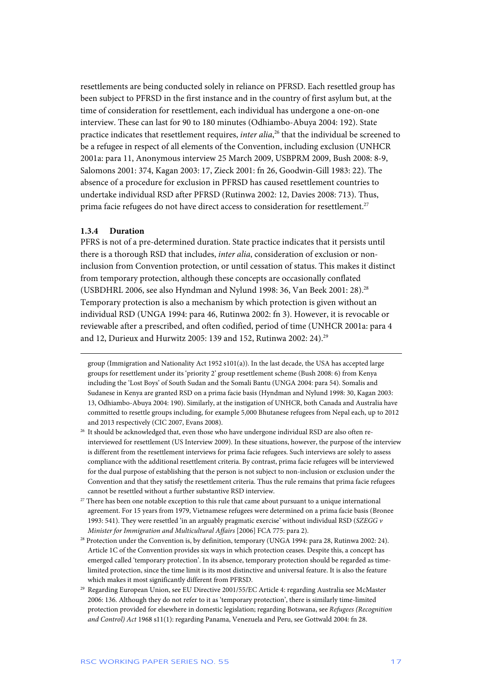resettlements are being conducted solely in reliance on PFRSD. Each resettled group has been subject to PFRSD in the first instance and in the country of first asylum but, at the time of consideration for resettlement, each individual has undergone a one-on-one interview. These can last for 90 to 180 minutes (Odhiambo-Abuya 2004: 192). State practice indicates that resettlement requires, *inter alia*, 26 that the individual be screened to be a refugee in respect of all elements of the Convention, including exclusion (UNHCR 2001a: para 11, Anonymous interview 25 March 2009, USBPRM 2009, Bush 2008: 8-9, Salomons 2001: 374, Kagan 2003: 17, Zieck 2001: fn 26, Goodwin-Gill 1983: 22). The absence of a procedure for exclusion in PFRSD has caused resettlement countries to undertake individual RSD after PFRSD (Rutinwa 2002: 12, Davies 2008: 713). Thus, prima facie refugees do not have direct access to consideration for resettlement.<sup>27</sup>

#### **1.3.4 Duration**

j

PFRS is not of a pre-determined duration. State practice indicates that it persists until there is a thorough RSD that includes, *inter alia*, consideration of exclusion or noninclusion from Convention protection, or until cessation of status. This makes it distinct from temporary protection, although these concepts are occasionally conflated (USBDHRL 2006, see also Hyndman and Nylund 1998: 36, Van Beek 2001: 28).28 Temporary protection is also a mechanism by which protection is given without an individual RSD (UNGA 1994: para 46, Rutinwa 2002: fn 3). However, it is revocable or reviewable after a prescribed, and often codified, period of time (UNHCR 2001a: para 4 and 12, Durieux and Hurwitz 2005: 139 and 152, Rutinwa 2002: 24).<sup>29</sup>

- $27$  There has been one notable exception to this rule that came about pursuant to a unique international agreement. For 15 years from 1979, Vietnamese refugees were determined on a prima facie basis (Bronee 1993: 541). They were resettled 'in an arguably pragmatic exercise' without individual RSD (*SZEGG v Minister for Immigration and Multicultural Affairs* [2006] FCA 775: para 2).
- <sup>28</sup> Protection under the Convention is, by definition, temporary (UNGA 1994: para 28, Rutinwa 2002: 24). Article 1C of the Convention provides six ways in which protection ceases. Despite this, a concept has emerged called 'temporary protection'. In its absence, temporary protection should be regarded as timelimited protection, since the time limit is its most distinctive and universal feature. It is also the feature which makes it most significantly different from PFRSD.
- 29 Regarding European Union, see EU Directive 2001/55/EC Article 4: regarding Australia see McMaster 2006: 136. Although they do not refer to it as 'temporary protection', there is similarly time-limited protection provided for elsewhere in domestic legislation; regarding Botswana, see *Refugees (Recognition and Control) Act* 1968 s11(1): regarding Panama, Venezuela and Peru, see Gottwald 2004: fn 28.

group (Immigration and Nationality Act 1952  $s101(a)$ ). In the last decade, the USA has accepted large groups for resettlement under its 'priority 2' group resettlement scheme (Bush 2008: 6) from Kenya including the 'Lost Boys' of South Sudan and the Somali Bantu (UNGA 2004: para 54). Somalis and Sudanese in Kenya are granted RSD on a prima facie basis (Hyndman and Nylund 1998: 30, Kagan 2003: 13, Odhiambo-Abuya 2004: 190). Similarly, at the instigation of UNHCR, both Canada and Australia have committed to resettle groups including, for example 5,000 Bhutanese refugees from Nepal each, up to 2012 and 2013 respectively (CIC 2007, Evans 2008).

<sup>&</sup>lt;sup>26</sup> It should be acknowledged that, even those who have undergone individual RSD are also often reinterviewed for resettlement (US Interview 2009). In these situations, however, the purpose of the interview is different from the resettlement interviews for prima facie refugees. Such interviews are solely to assess compliance with the additional resettlement criteria. By contrast, prima facie refugees will be interviewed for the dual purpose of establishing that the person is not subject to non-inclusion or exclusion under the Convention and that they satisfy the resettlement criteria. Thus the rule remains that prima facie refugees cannot be resettled without a further substantive RSD interview.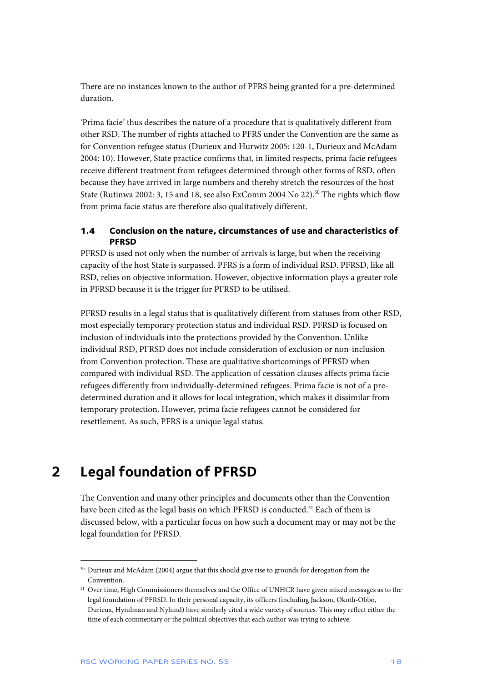There are no instances known to the author of PFRS being granted for a pre-determined duration.

'Prima facie' thus describes the nature of a procedure that is qualitatively different from other RSD. The number of rights attached to PFRS under the Convention are the same as for Convention refugee status (Durieux and Hurwitz 2005: 120-1, Durieux and McAdam 2004: 10). However, State practice confirms that, in limited respects, prima facie refugees receive different treatment from refugees determined through other forms of RSD, often because they have arrived in large numbers and thereby stretch the resources of the host State (Rutinwa 2002: 3, 15 and 18, see also ExComm 2004 No 22).<sup>30</sup> The rights which flow from prima facie status are therefore also qualitatively different.

#### **1.4 Conclusion on the nature, circumstances of use and characteristics of PFRSD**

PFRSD is used not only when the number of arrivals is large, but when the receiving capacity of the host State is surpassed. PFRS is a form of individual RSD. PFRSD, like all RSD, relies on objective information. However, objective information plays a greater role in PFRSD because it is the trigger for PFRSD to be utilised.

PFRSD results in a legal status that is qualitatively different from statuses from other RSD, most especially temporary protection status and individual RSD. PFRSD is focused on inclusion of individuals into the protections provided by the Convention. Unlike individual RSD, PFRSD does not include consideration of exclusion or non-inclusion from Convention protection. These are qualitative shortcomings of PFRSD when compared with individual RSD. The application of cessation clauses affects prima facie refugees differently from individually-determined refugees. Prima facie is not of a predetermined duration and it allows for local integration, which makes it dissimilar from temporary protection. However, prima facie refugees cannot be considered for resettlement. As such, PFRS is a unique legal status.

## **2 Legal foundation of PFRSD**

j

The Convention and many other principles and documents other than the Convention have been cited as the legal basis on which PFRSD is conducted.<sup>31</sup> Each of them is discussed below, with a particular focus on how such a document may or may not be the legal foundation for PFRSD.

<sup>&</sup>lt;sup>30</sup> Durieux and McAdam (2004) argue that this should give rise to grounds for derogation from the Convention.

<sup>&</sup>lt;sup>31</sup> Over time, High Commissioners themselves and the Office of UNHCR have given mixed messages as to the legal foundation of PFRSD. In their personal capacity, its officers (including Jackson, Okoth-Obbo, Durieux, Hyndman and Nylund) have similarly cited a wide variety of sources. This may reflect either the time of each commentary or the political objectives that each author was trying to achieve.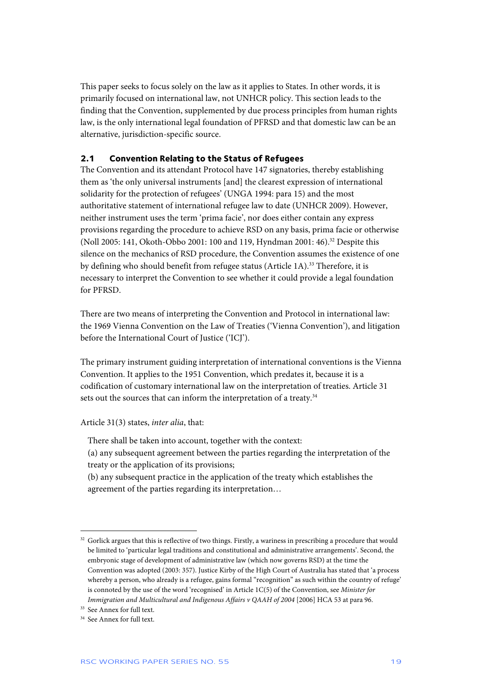This paper seeks to focus solely on the law as it applies to States. In other words, it is primarily focused on international law, not UNHCR policy. This section leads to the finding that the Convention, supplemented by due process principles from human rights law, is the only international legal foundation of PFRSD and that domestic law can be an alternative, jurisdiction-specific source.

#### **2.1 Convention Relating to the Status of Refugees**

The Convention and its attendant Protocol have 147 signatories, thereby establishing them as 'the only universal instruments [and] the clearest expression of international solidarity for the protection of refugees' (UNGA 1994: para 15) and the most authoritative statement of international refugee law to date (UNHCR 2009). However, neither instrument uses the term 'prima facie', nor does either contain any express provisions regarding the procedure to achieve RSD on any basis, prima facie or otherwise (Noll 2005: 141, Okoth-Obbo 2001: 100 and 119, Hyndman 2001: 46).<sup>32</sup> Despite this silence on the mechanics of RSD procedure, the Convention assumes the existence of one by defining who should benefit from refugee status (Article 1A).33 Therefore, it is necessary to interpret the Convention to see whether it could provide a legal foundation for PFRSD.

There are two means of interpreting the Convention and Protocol in international law: the 1969 Vienna Convention on the Law of Treaties ('Vienna Convention'), and litigation before the International Court of Justice ('ICJ').

The primary instrument guiding interpretation of international conventions is the Vienna Convention. It applies to the 1951 Convention, which predates it, because it is a codification of customary international law on the interpretation of treaties. Article 31 sets out the sources that can inform the interpretation of a treaty.<sup>34</sup>

Article 31(3) states, *inter alia*, that:

There shall be taken into account, together with the context:

- (a) any subsequent agreement between the parties regarding the interpretation of the treaty or the application of its provisions;
- (b) any subsequent practice in the application of the treaty which establishes the agreement of the parties regarding its interpretation…

<sup>&</sup>lt;sup>32</sup> Gorlick argues that this is reflective of two things. Firstly, a wariness in prescribing a procedure that would be limited to 'particular legal traditions and constitutional and administrative arrangements'. Second, the embryonic stage of development of administrative law (which now governs RSD) at the time the Convention was adopted (2003: 357). Justice Kirby of the High Court of Australia has stated that 'a process whereby a person, who already is a refugee, gains formal "recognition" as such within the country of refuge' is connoted by the use of the word 'recognised' in Article 1C(5) of the Convention, see *Minister for Immigration and Multicultural and Indigenous Affairs v QAAH of 2004* [2006] HCA 53 at para 96.

<sup>&</sup>lt;sup>33</sup> See Annex for full text.

<sup>34</sup> See Annex for full text.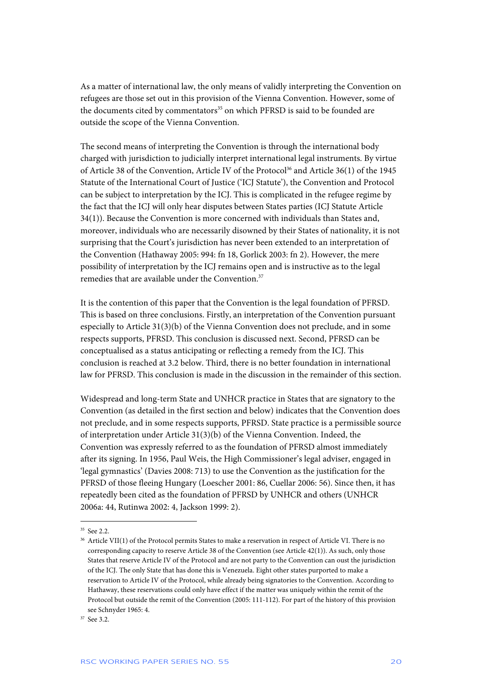As a matter of international law, the only means of validly interpreting the Convention on refugees are those set out in this provision of the Vienna Convention. However, some of the documents cited by commentators<sup>35</sup> on which PFRSD is said to be founded are outside the scope of the Vienna Convention.

The second means of interpreting the Convention is through the international body charged with jurisdiction to judicially interpret international legal instruments. By virtue of Article 38 of the Convention, Article IV of the Protocol<sup>36</sup> and Article 36(1) of the 1945 Statute of the International Court of Justice ('ICJ Statute'), the Convention and Protocol can be subject to interpretation by the ICJ. This is complicated in the refugee regime by the fact that the ICJ will only hear disputes between States parties (ICJ Statute Article 34(1)). Because the Convention is more concerned with individuals than States and, moreover, individuals who are necessarily disowned by their States of nationality, it is not surprising that the Court's jurisdiction has never been extended to an interpretation of the Convention (Hathaway 2005: 994: fn 18, Gorlick 2003: fn 2). However, the mere possibility of interpretation by the ICJ remains open and is instructive as to the legal remedies that are available under the Convention.<sup>37</sup>

It is the contention of this paper that the Convention is the legal foundation of PFRSD. This is based on three conclusions. Firstly, an interpretation of the Convention pursuant especially to Article 31(3)(b) of the Vienna Convention does not preclude, and in some respects supports, PFRSD. This conclusion is discussed next. Second, PFRSD can be conceptualised as a status anticipating or reflecting a remedy from the ICJ. This conclusion is reached at 3.2 below. Third, there is no better foundation in international law for PFRSD. This conclusion is made in the discussion in the remainder of this section.

Widespread and long-term State and UNHCR practice in States that are signatory to the Convention (as detailed in the first section and below) indicates that the Convention does not preclude, and in some respects supports, PFRSD. State practice is a permissible source of interpretation under Article 31(3)(b) of the Vienna Convention. Indeed, the Convention was expressly referred to as the foundation of PFRSD almost immediately after its signing. In 1956, Paul Weis, the High Commissioner's legal adviser, engaged in 'legal gymnastics' (Davies 2008: 713) to use the Convention as the justification for the PFRSD of those fleeing Hungary (Loescher 2001: 86, Cuellar 2006: 56). Since then, it has repeatedly been cited as the foundation of PFRSD by UNHCR and others (UNHCR 2006a: 44, Rutinwa 2002: 4, Jackson 1999: 2).

 $35 \text{ See} 22$ 

<sup>&</sup>lt;sup>36</sup> Article VII(1) of the Protocol permits States to make a reservation in respect of Article VI. There is no corresponding capacity to reserve Article 38 of the Convention (see Article 42(1)). As such, only those States that reserve Article IV of the Protocol and are not party to the Convention can oust the jurisdiction of the ICJ. The only State that has done this is Venezuela. Eight other states purported to make a reservation to Article IV of the Protocol, while already being signatories to the Convention. According to Hathaway, these reservations could only have effect if the matter was uniquely within the remit of the Protocol but outside the remit of the Convention (2005: 111-112). For part of the history of this provision see Schnyder 1965: 4.

<sup>37</sup> See 3.2.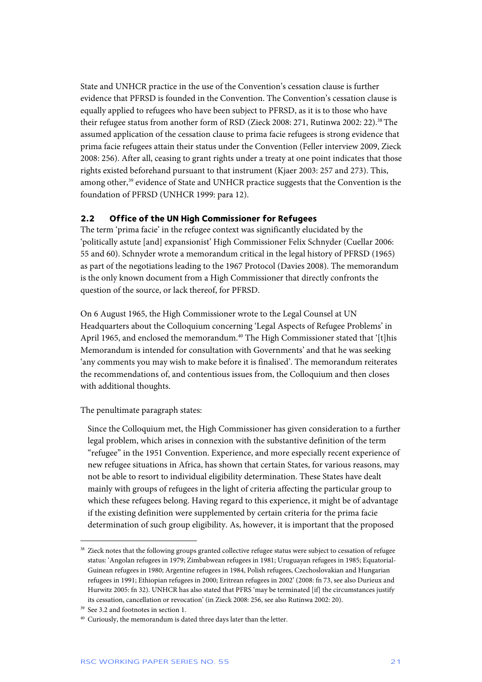State and UNHCR practice in the use of the Convention's cessation clause is further evidence that PFRSD is founded in the Convention. The Convention's cessation clause is equally applied to refugees who have been subject to PFRSD, as it is to those who have their refugee status from another form of RSD (Zieck 2008: 271, Rutinwa 2002: 22).<sup>38</sup> The assumed application of the cessation clause to prima facie refugees is strong evidence that prima facie refugees attain their status under the Convention (Feller interview 2009, Zieck 2008: 256). After all, ceasing to grant rights under a treaty at one point indicates that those rights existed beforehand pursuant to that instrument (Kjaer 2003: 257 and 273). This, among other,<sup>39</sup> evidence of State and UNHCR practice suggests that the Convention is the foundation of PFRSD (UNHCR 1999: para 12).

#### **2.2 Office of the UN High Commissioner for Refugees**

The term 'prima facie' in the refugee context was significantly elucidated by the 'politically astute [and] expansionist' High Commissioner Felix Schnyder (Cuellar 2006: 55 and 60). Schnyder wrote a memorandum critical in the legal history of PFRSD (1965) as part of the negotiations leading to the 1967 Protocol (Davies 2008). The memorandum is the only known document from a High Commissioner that directly confronts the question of the source, or lack thereof, for PFRSD.

On 6 August 1965, the High Commissioner wrote to the Legal Counsel at UN Headquarters about the Colloquium concerning 'Legal Aspects of Refugee Problems' in April 1965, and enclosed the memorandum.<sup>40</sup> The High Commissioner stated that '[t]his Memorandum is intended for consultation with Governments' and that he was seeking 'any comments you may wish to make before it is finalised'. The memorandum reiterates the recommendations of, and contentious issues from, the Colloquium and then closes with additional thoughts.

The penultimate paragraph states:

Since the Colloquium met, the High Commissioner has given consideration to a further legal problem, which arises in connexion with the substantive definition of the term "refugee" in the 1951 Convention. Experience, and more especially recent experience of new refugee situations in Africa, has shown that certain States, for various reasons, may not be able to resort to individual eligibility determination. These States have dealt mainly with groups of refugees in the light of criteria affecting the particular group to which these refugees belong. Having regard to this experience, it might be of advantage if the existing definition were supplemented by certain criteria for the prima facie determination of such group eligibility. As, however, it is important that the proposed

<sup>&</sup>lt;sup>38</sup> Zieck notes that the following groups granted collective refugee status were subject to cessation of refugee status: 'Angolan refugees in 1979; Zimbabwean refugees in 1981; Uruguayan refugees in 1985; Equatorial-Guinean refugees in 1980; Argentine refugees in 1984, Polish refugees, Czechoslovakian and Hungarian refugees in 1991; Ethiopian refugees in 2000; Eritrean refugees in 2002' (2008: fn 73, see also Durieux and Hurwitz 2005: fn 32). UNHCR has also stated that PFRS 'may be terminated [if] the circumstances justify its cessation, cancellation or revocation' (in Zieck 2008: 256, see also Rutinwa 2002: 20).

<sup>39</sup> See 3.2 and footnotes in section 1.

<sup>40</sup> Curiously, the memorandum is dated three days later than the letter.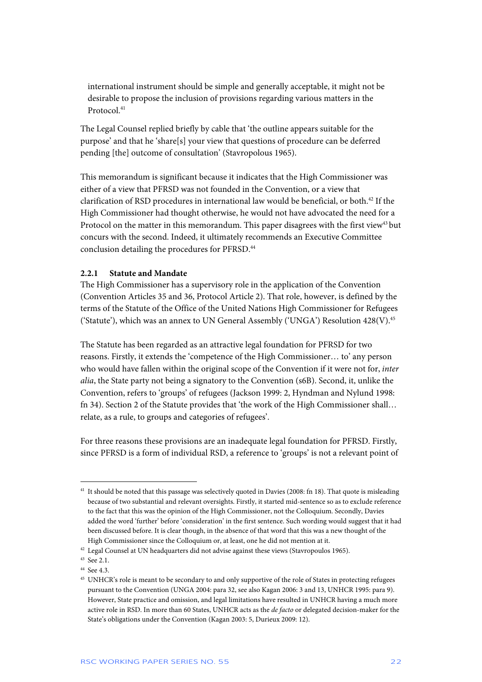international instrument should be simple and generally acceptable, it might not be desirable to propose the inclusion of provisions regarding various matters in the Protocol<sup>41</sup>

The Legal Counsel replied briefly by cable that 'the outline appears suitable for the purpose' and that he 'share[s] your view that questions of procedure can be deferred pending [the] outcome of consultation' (Stavropolous 1965).

This memorandum is significant because it indicates that the High Commissioner was either of a view that PFRSD was not founded in the Convention, or a view that clarification of RSD procedures in international law would be beneficial, or both.<sup>42</sup> If the High Commissioner had thought otherwise, he would not have advocated the need for a Protocol on the matter in this memorandum. This paper disagrees with the first view<sup>43</sup> but concurs with the second. Indeed, it ultimately recommends an Executive Committee conclusion detailing the procedures for PFRSD.<sup>44</sup>

#### **2.2.1 Statute and Mandate**

The High Commissioner has a supervisory role in the application of the Convention (Convention Articles 35 and 36, Protocol Article 2). That role, however, is defined by the terms of the Statute of the Office of the United Nations High Commissioner for Refugees ('Statute'), which was an annex to UN General Assembly ('UNGA') Resolution 428(V).<sup>45</sup>

The Statute has been regarded as an attractive legal foundation for PFRSD for two reasons. Firstly, it extends the 'competence of the High Commissioner… to' any person who would have fallen within the original scope of the Convention if it were not for, *inter alia*, the State party not being a signatory to the Convention (s6B). Second, it, unlike the Convention, refers to 'groups' of refugees (Jackson 1999: 2, Hyndman and Nylund 1998: fn 34). Section 2 of the Statute provides that 'the work of the High Commissioner shall… relate, as a rule, to groups and categories of refugees'.

For three reasons these provisions are an inadequate legal foundation for PFRSD. Firstly, since PFRSD is a form of individual RSD, a reference to 'groups' is not a relevant point of

<sup>&</sup>lt;sup>41</sup> It should be noted that this passage was selectively quoted in Davies (2008: fn 18). That quote is misleading because of two substantial and relevant oversights. Firstly, it started mid-sentence so as to exclude reference to the fact that this was the opinion of the High Commissioner, not the Colloquium. Secondly, Davies added the word 'further' before 'consideration' in the first sentence. Such wording would suggest that it had been discussed before. It is clear though, in the absence of that word that this was a new thought of the High Commissioner since the Colloquium or, at least, one he did not mention at it.

<sup>&</sup>lt;sup>42</sup> Legal Counsel at UN headquarters did not advise against these views (Stavropoulos 1965).

<sup>43</sup> See 2.1.

<sup>44</sup> See 4.3.

<sup>&</sup>lt;sup>45</sup> UNHCR's role is meant to be secondary to and only supportive of the role of States in protecting refugees pursuant to the Convention (UNGA 2004: para 32, see also Kagan 2006: 3 and 13, UNHCR 1995: para 9). However, State practice and omission, and legal limitations have resulted in UNHCR having a much more active role in RSD. In more than 60 States, UNHCR acts as the *de facto* or delegated decision-maker for the State's obligations under the Convention (Kagan 2003: 5, Durieux 2009: 12).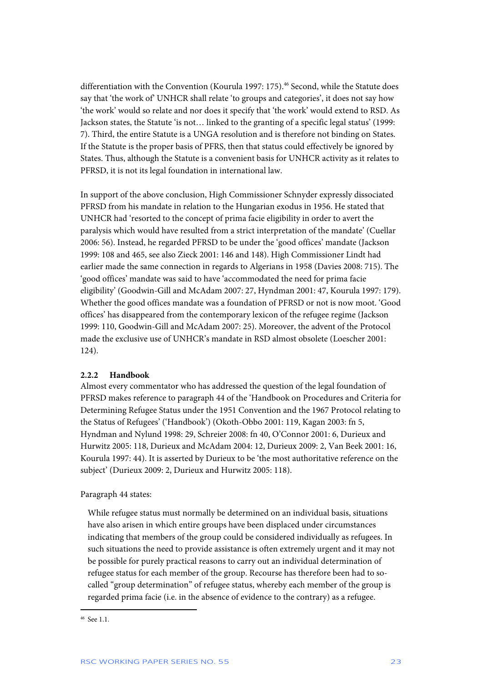differentiation with the Convention (Kourula 1997: 175).<sup>46</sup> Second, while the Statute does say that 'the work of' UNHCR shall relate 'to groups and categories', it does not say how 'the work' would so relate and nor does it specify that 'the work' would extend to RSD. As Jackson states, the Statute 'is not… linked to the granting of a specific legal status' (1999: 7). Third, the entire Statute is a UNGA resolution and is therefore not binding on States. If the Statute is the proper basis of PFRS, then that status could effectively be ignored by States. Thus, although the Statute is a convenient basis for UNHCR activity as it relates to PFRSD, it is not its legal foundation in international law.

In support of the above conclusion, High Commissioner Schnyder expressly dissociated PFRSD from his mandate in relation to the Hungarian exodus in 1956. He stated that UNHCR had 'resorted to the concept of prima facie eligibility in order to avert the paralysis which would have resulted from a strict interpretation of the mandate' (Cuellar 2006: 56). Instead, he regarded PFRSD to be under the 'good offices' mandate (Jackson 1999: 108 and 465, see also Zieck 2001: 146 and 148). High Commissioner Lindt had earlier made the same connection in regards to Algerians in 1958 (Davies 2008: 715). The 'good offices' mandate was said to have 'accommodated the need for prima facie eligibility' (Goodwin-Gill and McAdam 2007: 27, Hyndman 2001: 47, Kourula 1997: 179). Whether the good offices mandate was a foundation of PFRSD or not is now moot. 'Good offices' has disappeared from the contemporary lexicon of the refugee regime (Jackson 1999: 110, Goodwin-Gill and McAdam 2007: 25). Moreover, the advent of the Protocol made the exclusive use of UNHCR's mandate in RSD almost obsolete (Loescher 2001: 124).

#### **2.2.2 Handbook**

Almost every commentator who has addressed the question of the legal foundation of PFRSD makes reference to paragraph 44 of the 'Handbook on Procedures and Criteria for Determining Refugee Status under the 1951 Convention and the 1967 Protocol relating to the Status of Refugees' ('Handbook') (Okoth-Obbo 2001: 119, Kagan 2003: fn 5, Hyndman and Nylund 1998: 29, Schreier 2008: fn 40, O'Connor 2001: 6, Durieux and Hurwitz 2005: 118, Durieux and McAdam 2004: 12, Durieux 2009: 2, Van Beek 2001: 16, Kourula 1997: 44). It is asserted by Durieux to be 'the most authoritative reference on the subject' (Durieux 2009: 2, Durieux and Hurwitz 2005: 118).

#### Paragraph 44 states:

While refugee status must normally be determined on an individual basis, situations have also arisen in which entire groups have been displaced under circumstances indicating that members of the group could be considered individually as refugees. In such situations the need to provide assistance is often extremely urgent and it may not be possible for purely practical reasons to carry out an individual determination of refugee status for each member of the group. Recourse has therefore been had to socalled "group determination" of refugee status, whereby each member of the group is regarded prima facie (i.e. in the absence of evidence to the contrary) as a refugee.

<sup>46</sup> See 1.1.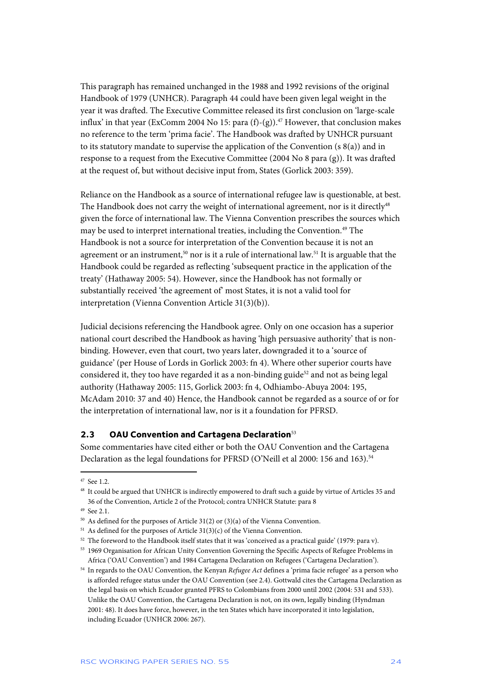This paragraph has remained unchanged in the 1988 and 1992 revisions of the original Handbook of 1979 (UNHCR). Paragraph 44 could have been given legal weight in the year it was drafted. The Executive Committee released its first conclusion on 'large-scale influx' in that year (ExComm 2004 No 15: para  $(f)-(g)$ ).<sup>47</sup> However, that conclusion makes no reference to the term 'prima facie'. The Handbook was drafted by UNHCR pursuant to its statutory mandate to supervise the application of the Convention (s 8(a)) and in response to a request from the Executive Committee (2004 No 8 para (g)). It was drafted at the request of, but without decisive input from, States (Gorlick 2003: 359).

Reliance on the Handbook as a source of international refugee law is questionable, at best. The Handbook does not carry the weight of international agreement, nor is it directly<sup>48</sup> given the force of international law. The Vienna Convention prescribes the sources which may be used to interpret international treaties, including the Convention.<sup>49</sup> The Handbook is not a source for interpretation of the Convention because it is not an agreement or an instrument,<sup>50</sup> nor is it a rule of international law.<sup>51</sup> It is arguable that the Handbook could be regarded as reflecting 'subsequent practice in the application of the treaty' (Hathaway 2005: 54). However, since the Handbook has not formally or substantially received 'the agreement of' most States, it is not a valid tool for interpretation (Vienna Convention Article 31(3)(b)).

Judicial decisions referencing the Handbook agree. Only on one occasion has a superior national court described the Handbook as having 'high persuasive authority' that is nonbinding. However, even that court, two years later, downgraded it to a 'source of guidance' (per House of Lords in Gorlick 2003: fn 4). Where other superior courts have considered it, they too have regarded it as a non-binding guide<sup>52</sup> and not as being legal authority (Hathaway 2005: 115, Gorlick 2003: fn 4, Odhiambo-Abuya 2004: 195, McAdam 2010: 37 and 40) Hence, the Handbook cannot be regarded as a source of or for the interpretation of international law, nor is it a foundation for PFRSD.

#### **2.3 OAU Convention and Cartagena Declaration**<sup>53</sup>

Some commentaries have cited either or both the OAU Convention and the Cartagena Declaration as the legal foundations for PFRSD (O'Neill et al 2000: 156 and 163).<sup>54</sup>

<sup>47</sup> See 1.2.

<sup>48</sup> It could be argued that UNHCR is indirectly empowered to draft such a guide by virtue of Articles 35 and 36 of the Convention, Article 2 of the Protocol; contra UNHCR Statute: para 8

<sup>49</sup> See 2.1.

<sup>&</sup>lt;sup>50</sup> As defined for the purposes of Article 31(2) or (3)(a) of the Vienna Convention.

 $51$  As defined for the purposes of Article 31(3)(c) of the Vienna Convention.

<sup>&</sup>lt;sup>52</sup> The foreword to the Handbook itself states that it was 'conceived as a practical guide' (1979: para v).

<sup>53 1969</sup> Organisation for African Unity Convention Governing the Specific Aspects of Refugee Problems in Africa ('OAU Convention') and 1984 Cartagena Declaration on Refugees ('Cartagena Declaration').

<sup>54</sup> In regards to the OAU Convention, the Kenyan *Refugee Act* defines a 'prima facie refugee' as a person who is afforded refugee status under the OAU Convention (see 2.4). Gottwald cites the Cartagena Declaration as the legal basis on which Ecuador granted PFRS to Colombians from 2000 until 2002 (2004: 531 and 533). Unlike the OAU Convention, the Cartagena Declaration is not, on its own, legally binding (Hyndman 2001: 48). It does have force, however, in the ten States which have incorporated it into legislation, including Ecuador (UNHCR 2006: 267).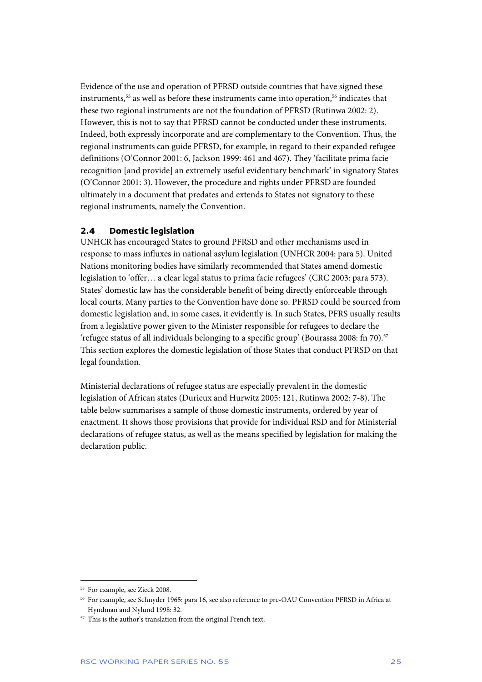Evidence of the use and operation of PFRSD outside countries that have signed these instruments,<sup>55</sup> as well as before these instruments came into operation,<sup>56</sup> indicates that these two regional instruments are not the foundation of PFRSD (Rutinwa 2002: 2). However, this is not to say that PFRSD cannot be conducted under these instruments. Indeed, both expressly incorporate and are complementary to the Convention. Thus, the regional instruments can guide PFRSD, for example, in regard to their expanded refugee definitions (O'Connor 2001: 6, Jackson 1999: 461 and 467). They 'facilitate prima facie recognition [and provide] an extremely useful evidentiary benchmark' in signatory States (O'Connor 2001: 3). However, the procedure and rights under PFRSD are founded ultimately in a document that predates and extends to States not signatory to these regional instruments, namely the Convention.

#### **2.4 Domestic legislation**

UNHCR has encouraged States to ground PFRSD and other mechanisms used in response to mass influxes in national asylum legislation (UNHCR 2004: para 5). United Nations monitoring bodies have similarly recommended that States amend domestic legislation to 'offer… a clear legal status to prima facie refugees' (CRC 2003: para 573). States' domestic law has the considerable benefit of being directly enforceable through local courts. Many parties to the Convention have done so. PFRSD could be sourced from domestic legislation and, in some cases, it evidently is. In such States, PFRS usually results from a legislative power given to the Minister responsible for refugees to declare the 'refugee status of all individuals belonging to a specific group' (Bourassa 2008: fn 70).<sup>57</sup> This section explores the domestic legislation of those States that conduct PFRSD on that legal foundation.

Ministerial declarations of refugee status are especially prevalent in the domestic legislation of African states (Durieux and Hurwitz 2005: 121, Rutinwa 2002: 7-8). The table below summarises a sample of those domestic instruments, ordered by year of enactment. It shows those provisions that provide for individual RSD and for Ministerial declarations of refugee status, as well as the means specified by legislation for making the declaration public.

<sup>55</sup> For example, see Zieck 2008.

<sup>56</sup> For example, see Schnyder 1965: para 16, see also reference to pre-OAU Convention PFRSD in Africa at Hyndman and Nylund 1998: 32.

<sup>&</sup>lt;sup>57</sup> This is the author's translation from the original French text.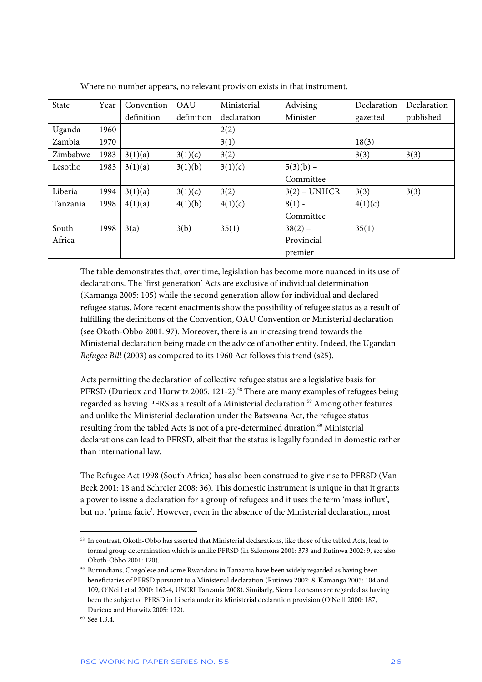| State    | Year | Convention | OAU        | Ministerial | Advising       | Declaration | Declaration |
|----------|------|------------|------------|-------------|----------------|-------------|-------------|
|          |      | definition | definition | declaration | Minister       | gazetted    | published   |
| Uganda   | 1960 |            |            | 2(2)        |                |             |             |
| Zambia   | 1970 |            |            | 3(1)        |                | 18(3)       |             |
| Zimbabwe | 1983 | 3(1)(a)    | 3(1)(c)    | 3(2)        |                | 3(3)        | 3(3)        |
| Lesotho  | 1983 | 3(1)(a)    | 3(1)(b)    | 3(1)(c)     | $5(3)(b)$ –    |             |             |
|          |      |            |            |             | Committee      |             |             |
| Liberia  | 1994 | 3(1)(a)    | 3(1)(c)    | 3(2)        | $3(2)$ – UNHCR | 3(3)        | 3(3)        |
| Tanzania | 1998 | 4(1)(a)    | 4(1)(b)    | 4(1)(c)     | $8(1)$ -       | 4(1)(c)     |             |
|          |      |            |            |             | Committee      |             |             |
| South    | 1998 | 3(a)       | 3(b)       | 35(1)       | $38(2)$ –      | 35(1)       |             |
| Africa   |      |            |            |             | Provincial     |             |             |
|          |      |            |            |             | premier        |             |             |

Where no number appears, no relevant provision exists in that instrument.

The table demonstrates that, over time, legislation has become more nuanced in its use of declarations. The 'first generation' Acts are exclusive of individual determination (Kamanga 2005: 105) while the second generation allow for individual and declared refugee status. More recent enactments show the possibility of refugee status as a result of fulfilling the definitions of the Convention, OAU Convention or Ministerial declaration (see Okoth-Obbo 2001: 97). Moreover, there is an increasing trend towards the Ministerial declaration being made on the advice of another entity. Indeed, the Ugandan *Refugee Bill* (2003) as compared to its 1960 Act follows this trend (s25).

Acts permitting the declaration of collective refugee status are a legislative basis for PFRSD (Durieux and Hurwitz 2005: 121-2).<sup>58</sup> There are many examples of refugees being regarded as having PFRS as a result of a Ministerial declaration.<sup>59</sup> Among other features and unlike the Ministerial declaration under the Batswana Act, the refugee status resulting from the tabled Acts is not of a pre-determined duration.<sup>60</sup> Ministerial declarations can lead to PFRSD, albeit that the status is legally founded in domestic rather than international law.

The Refugee Act 1998 (South Africa) has also been construed to give rise to PFRSD (Van Beek 2001: 18 and Schreier 2008: 36). This domestic instrument is unique in that it grants a power to issue a declaration for a group of refugees and it uses the term 'mass influx', but not 'prima facie'. However, even in the absence of the Ministerial declaration, most

<sup>58</sup> In contrast, Okoth-Obbo has asserted that Ministerial declarations, like those of the tabled Acts, lead to formal group determination which is unlike PFRSD (in Salomons 2001: 373 and Rutinwa 2002: 9, see also Okoth-Obbo 2001: 120).

<sup>&</sup>lt;sup>59</sup> Burundians, Congolese and some Rwandans in Tanzania have been widely regarded as having been beneficiaries of PFRSD pursuant to a Ministerial declaration (Rutinwa 2002: 8, Kamanga 2005: 104 and 109, O'Neill et al 2000: 162-4, USCRI Tanzania 2008). Similarly, Sierra Leoneans are regarded as having been the subject of PFRSD in Liberia under its Ministerial declaration provision (O'Neill 2000: 187, Durieux and Hurwitz 2005: 122).

<sup>60</sup> See 1.3.4.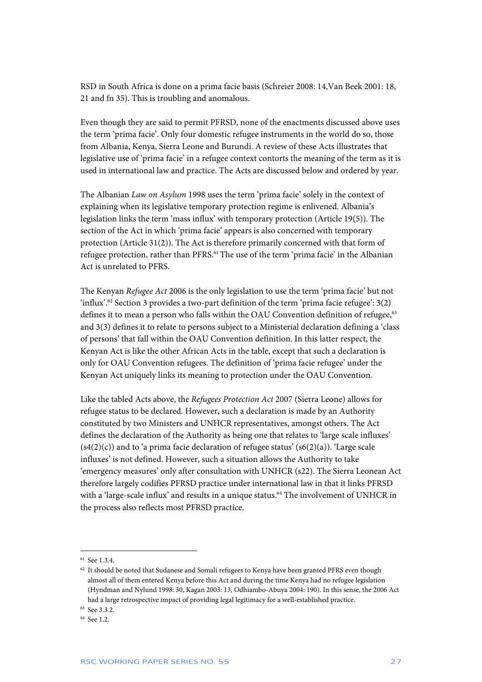RSD in South Africa is done on a prima facie basis (Schreier 2008: 14,Van Beek 2001: 18, 21 and fn 35). This is troubling and anomalous.

Even though they are said to permit PFRSD, none of the enactments discussed above uses the term 'prima facie'. Only four domestic refugee instruments in the world do so, those from Albania, Kenya, Sierra Leone and Burundi. A review of these Acts illustrates that legislative use of 'prima facie' in a refugee context contorts the meaning of the term as it is used in international law and practice. The Acts are discussed below and ordered by year.

The Albanian *Law on Asylum* 1998 uses the term 'prima facie' solely in the context of explaining when its legislative temporary protection regime is enlivened. Albania's legislation links the term 'mass influx' with temporary protection (Article 19(5)). The section of the Act in which 'prima facie' appears is also concerned with temporary protection (Article 31(2)). The Act is therefore primarily concerned with that form of refugee protection, rather than PFRS.<sup>61</sup> The use of the term 'prima facie' in the Albanian Act is unrelated to PFRS.

The Kenyan *Refugee Act* 2006 is the only legislation to use the term 'prima facie' but not 'influx'.<sup>62</sup> Section 3 provides a two-part definition of the term 'prima facie refugee': 3(2) defines it to mean a person who falls within the OAU Convention definition of refugee,<sup>63</sup> and 3(3) defines it to relate to persons subject to a Ministerial declaration defining a 'class of persons' that fall within the OAU Convention definition. In this latter respect, the Kenyan Act is like the other African Acts in the table, except that such a declaration is only for OAU Convention refugees. The definition of 'prima facie refugee' under the Kenyan Act uniquely links its meaning to protection under the OAU Convention.

Like the tabled Acts above, the *Refugees Protection Act* 2007 (Sierra Leone) allows for refugee status to be declared. However, such a declaration is made by an Authority constituted by two Ministers and UNHCR representatives, amongst others. The Act defines the declaration of the Authority as being one that relates to 'large scale influxes'  $(s4(2)(c))$  and to 'a prima facie declaration of refugee status'  $(s6(2)(a))$ . 'Large scale influxes' is not defined. However, such a situation allows the Authority to take 'emergency measures' only after consultation with UNHCR (s22). The Sierra Leonean Act therefore largely codifies PFRSD practice under international law in that it links PFRSD with a 'large-scale influx' and results in a unique status.<sup>64</sup> The involvement of UNHCR in the process also reflects most PFRSD practice.

<sup>61</sup> See 1.3.4.

 $62$  It should be noted that Sudanese and Somali refugees to Kenya have been granted PFRS even though almost all of them entered Kenya before this Act and during the time Kenya had no refugee legislation (Hyndman and Nylund 1998: 30, Kagan 2003: 13, Odhiambo-Abuya 2004: 190). In this sense, the 2006 Act had a large retrospective impact of providing legal legitimacy for a well-established practice.

<sup>63</sup> See 3.3.2.

<sup>64</sup> See 1.2.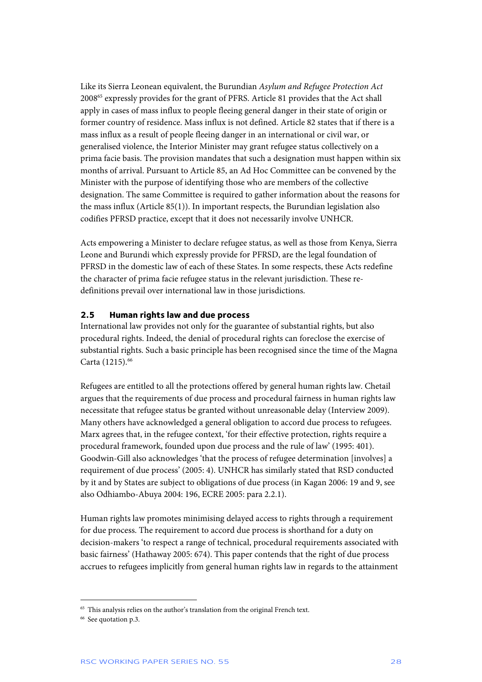Like its Sierra Leonean equivalent, the Burundian *Asylum and Refugee Protection Act* 200865 expressly provides for the grant of PFRS. Article 81 provides that the Act shall apply in cases of mass influx to people fleeing general danger in their state of origin or former country of residence. Mass influx is not defined. Article 82 states that if there is a mass influx as a result of people fleeing danger in an international or civil war, or generalised violence, the Interior Minister may grant refugee status collectively on a prima facie basis. The provision mandates that such a designation must happen within six months of arrival. Pursuant to Article 85, an Ad Hoc Committee can be convened by the Minister with the purpose of identifying those who are members of the collective designation. The same Committee is required to gather information about the reasons for the mass influx (Article 85(1)). In important respects, the Burundian legislation also codifies PFRSD practice, except that it does not necessarily involve UNHCR.

Acts empowering a Minister to declare refugee status, as well as those from Kenya, Sierra Leone and Burundi which expressly provide for PFRSD, are the legal foundation of PFRSD in the domestic law of each of these States. In some respects, these Acts redefine the character of prima facie refugee status in the relevant jurisdiction. These redefinitions prevail over international law in those jurisdictions.

#### **2.5 Human rights law and due process**

International law provides not only for the guarantee of substantial rights, but also procedural rights. Indeed, the denial of procedural rights can foreclose the exercise of substantial rights. Such a basic principle has been recognised since the time of the Magna Carta (1215).<sup>66</sup>

Refugees are entitled to all the protections offered by general human rights law. Chetail argues that the requirements of due process and procedural fairness in human rights law necessitate that refugee status be granted without unreasonable delay (Interview 2009). Many others have acknowledged a general obligation to accord due process to refugees. Marx agrees that, in the refugee context, 'for their effective protection, rights require a procedural framework, founded upon due process and the rule of law' (1995: 401). Goodwin-Gill also acknowledges 'that the process of refugee determination [involves] a requirement of due process' (2005: 4). UNHCR has similarly stated that RSD conducted by it and by States are subject to obligations of due process (in Kagan 2006: 19 and 9, see also Odhiambo-Abuya 2004: 196, ECRE 2005: para 2.2.1).

Human rights law promotes minimising delayed access to rights through a requirement for due process. The requirement to accord due process is shorthand for a duty on decision-makers 'to respect a range of technical, procedural requirements associated with basic fairness' (Hathaway 2005: 674). This paper contends that the right of due process accrues to refugees implicitly from general human rights law in regards to the attainment

<sup>&</sup>lt;sup>65</sup> This analysis relies on the author's translation from the original French text.

<sup>66</sup> See quotation p.3.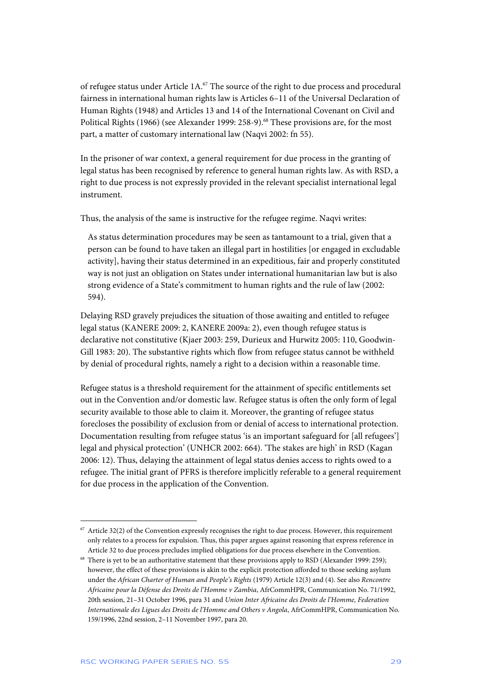of refugee status under Article 1A.67 The source of the right to due process and procedural fairness in international human rights law is Articles 6–11 of the Universal Declaration of Human Rights (1948) and Articles 13 and 14 of the International Covenant on Civil and Political Rights (1966) (see Alexander 1999: 258-9).<sup>68</sup> These provisions are, for the most part, a matter of customary international law (Naqvi 2002: fn 55).

In the prisoner of war context, a general requirement for due process in the granting of legal status has been recognised by reference to general human rights law. As with RSD, a right to due process is not expressly provided in the relevant specialist international legal instrument.

Thus, the analysis of the same is instructive for the refugee regime. Naqvi writes:

As status determination procedures may be seen as tantamount to a trial, given that a person can be found to have taken an illegal part in hostilities [or engaged in excludable activity], having their status determined in an expeditious, fair and properly constituted way is not just an obligation on States under international humanitarian law but is also strong evidence of a State's commitment to human rights and the rule of law (2002: 594).

Delaying RSD gravely prejudices the situation of those awaiting and entitled to refugee legal status (KANERE 2009: 2, KANERE 2009a: 2), even though refugee status is declarative not constitutive (Kjaer 2003: 259, Durieux and Hurwitz 2005: 110, Goodwin-Gill 1983: 20). The substantive rights which flow from refugee status cannot be withheld by denial of procedural rights, namely a right to a decision within a reasonable time.

Refugee status is a threshold requirement for the attainment of specific entitlements set out in the Convention and/or domestic law. Refugee status is often the only form of legal security available to those able to claim it. Moreover, the granting of refugee status forecloses the possibility of exclusion from or denial of access to international protection. Documentation resulting from refugee status 'is an important safeguard for [all refugees'] legal and physical protection' (UNHCR 2002: 664). 'The stakes are high' in RSD (Kagan 2006: 12). Thus, delaying the attainment of legal status denies access to rights owed to a refugee. The initial grant of PFRS is therefore implicitly referable to a general requirement for due process in the application of the Convention.

 $67$  Article 32(2) of the Convention expressly recognises the right to due process. However, this requirement only relates to a process for expulsion. Thus, this paper argues against reasoning that express reference in Article 32 to due process precludes implied obligations for due process elsewhere in the Convention.

<sup>&</sup>lt;sup>68</sup> There is yet to be an authoritative statement that these provisions apply to RSD (Alexander 1999: 259); however, the effect of these provisions is akin to the explicit protection afforded to those seeking asylum under the *African Charter of Human and People's Rights* (1979) Article 12(3) and (4). See also *Rencontre Africaine pour la Défense des Droits de l'Homme v Zambia*, AfrCommHPR, Communication No. 71/1992, 20th session, 21–31 October 1996, para 31 and *Union Inter Africaine des Droits de l'Homme, Federation Internationale des Ligues des Droits de l'Homme and Others v Angola*, AfrCommHPR, Communication No. 159/1996, 22nd session, 2–11 November 1997, para 20.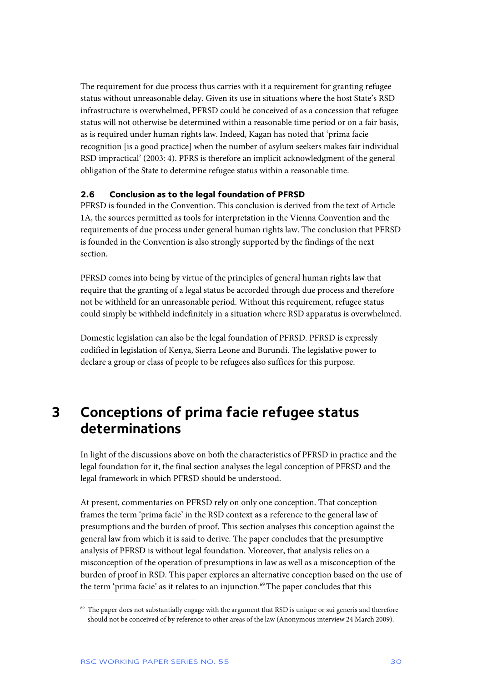The requirement for due process thus carries with it a requirement for granting refugee status without unreasonable delay. Given its use in situations where the host State's RSD infrastructure is overwhelmed, PFRSD could be conceived of as a concession that refugee status will not otherwise be determined within a reasonable time period or on a fair basis, as is required under human rights law. Indeed, Kagan has noted that 'prima facie recognition [is a good practice] when the number of asylum seekers makes fair individual RSD impractical' (2003: 4). PFRS is therefore an implicit acknowledgment of the general obligation of the State to determine refugee status within a reasonable time.

#### **2.6 Conclusion as to the legal foundation of PFRSD**

PFRSD is founded in the Convention. This conclusion is derived from the text of Article 1A, the sources permitted as tools for interpretation in the Vienna Convention and the requirements of due process under general human rights law. The conclusion that PFRSD is founded in the Convention is also strongly supported by the findings of the next section.

PFRSD comes into being by virtue of the principles of general human rights law that require that the granting of a legal status be accorded through due process and therefore not be withheld for an unreasonable period. Without this requirement, refugee status could simply be withheld indefinitely in a situation where RSD apparatus is overwhelmed.

Domestic legislation can also be the legal foundation of PFRSD. PFRSD is expressly codified in legislation of Kenya, Sierra Leone and Burundi. The legislative power to declare a group or class of people to be refugees also suffices for this purpose.

## **3 Conceptions of prima facie refugee status determinations**

In light of the discussions above on both the characteristics of PFRSD in practice and the legal foundation for it, the final section analyses the legal conception of PFRSD and the legal framework in which PFRSD should be understood.

At present, commentaries on PFRSD rely on only one conception. That conception frames the term 'prima facie' in the RSD context as a reference to the general law of presumptions and the burden of proof. This section analyses this conception against the general law from which it is said to derive. The paper concludes that the presumptive analysis of PFRSD is without legal foundation. Moreover, that analysis relies on a misconception of the operation of presumptions in law as well as a misconception of the burden of proof in RSD. This paper explores an alternative conception based on the use of the term 'prima facie' as it relates to an injunction.<sup>69</sup> The paper concludes that this

<sup>&</sup>lt;sup>69</sup> The paper does not substantially engage with the argument that RSD is unique or sui generis and therefore should not be conceived of by reference to other areas of the law (Anonymous interview 24 March 2009).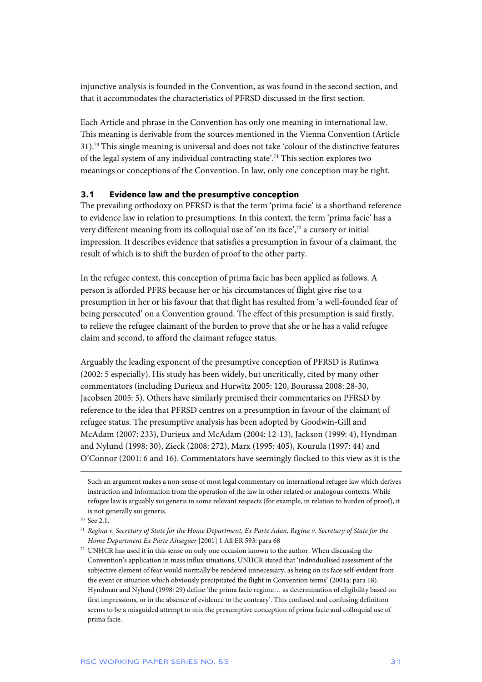injunctive analysis is founded in the Convention, as was found in the second section, and that it accommodates the characteristics of PFRSD discussed in the first section.

Each Article and phrase in the Convention has only one meaning in international law. This meaning is derivable from the sources mentioned in the Vienna Convention (Article 31).70 This single meaning is universal and does not take 'colour of the distinctive features of the legal system of any individual contracting state'.71 This section explores two meanings or conceptions of the Convention. In law, only one conception may be right.

#### **3.1 Evidence law and the presumptive conception**

The prevailing orthodoxy on PFRSD is that the term 'prima facie' is a shorthand reference to evidence law in relation to presumptions. In this context, the term 'prima facie' has a very different meaning from its colloquial use of 'on its face',72 a cursory or initial impression. It describes evidence that satisfies a presumption in favour of a claimant, the result of which is to shift the burden of proof to the other party.

In the refugee context, this conception of prima facie has been applied as follows. A person is afforded PFRS because her or his circumstances of flight give rise to a presumption in her or his favour that that flight has resulted from 'a well-founded fear of being persecuted' on a Convention ground. The effect of this presumption is said firstly, to relieve the refugee claimant of the burden to prove that she or he has a valid refugee claim and second, to afford the claimant refugee status.

Arguably the leading exponent of the presumptive conception of PFRSD is Rutinwa (2002: 5 especially). His study has been widely, but uncritically, cited by many other commentators (including Durieux and Hurwitz 2005: 120, Bourassa 2008: 28-30, Jacobsen 2005: 5). Others have similarly premised their commentaries on PFRSD by reference to the idea that PFRSD centres on a presumption in favour of the claimant of refugee status. The presumptive analysis has been adopted by Goodwin-Gill and McAdam (2007: 233), Durieux and McAdam (2004: 12-13), Jackson (1999: 4), Hyndman and Nylund (1998: 30), Zieck (2008: 272), Marx (1995: 405), Kourula (1997: 44) and O'Connor (2001: 6 and 16). Commentators have seemingly flocked to this view as it is the

Such an argument makes a non-sense of most legal commentary on international refugee law which derives instruction and information from the operation of the law in other related or analogous contexts. While refugee law is arguably sui generis in some relevant respects (for example, in relation to burden of proof), it is not generally sui generis.

<sup>70</sup> See 2.1.

<sup>71</sup> *Regina v. Secretary of State for the Home Department, Ex Parte Adan, Regina v. Secretary of State for the Home Department Ex Parte Aitseguer* [2001] 1 All ER 593: para 68

<sup>72</sup> UNHCR has used it in this sense on only one occasion known to the author. When discussing the Convention's application in mass influx situations, UNHCR stated that 'individualised assessment of the subjective element of fear would normally be rendered unnecessary, as being on its face self-evident from the event or situation which obviously precipitated the flight in Convention terms' (2001a: para 18). Hyndman and Nylund (1998: 29) define 'the prima facie regime… as determination of eligibility based on first impressions, or in the absence of evidence to the contrary'. This confused and confusing definition seems to be a misguided attempt to mix the presumptive conception of prima facie and colloquial use of prima facie.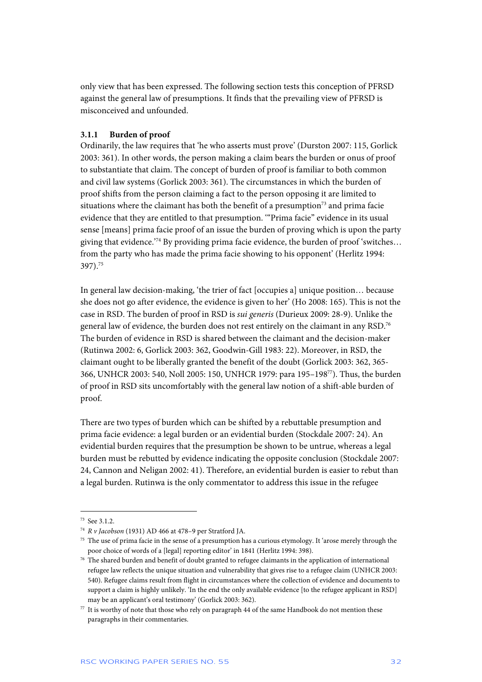only view that has been expressed. The following section tests this conception of PFRSD against the general law of presumptions. It finds that the prevailing view of PFRSD is misconceived and unfounded.

#### **3.1.1 Burden of proof**

Ordinarily, the law requires that 'he who asserts must prove' (Durston 2007: 115, Gorlick 2003: 361). In other words, the person making a claim bears the burden or onus of proof to substantiate that claim. The concept of burden of proof is familiar to both common and civil law systems (Gorlick 2003: 361). The circumstances in which the burden of proof shifts from the person claiming a fact to the person opposing it are limited to situations where the claimant has both the benefit of a presumption<sup>73</sup> and prima facie evidence that they are entitled to that presumption. '"Prima facie" evidence in its usual sense [means] prima facie proof of an issue the burden of proving which is upon the party giving that evidence.'74 By providing prima facie evidence, the burden of proof 'switches… from the party who has made the prima facie showing to his opponent' (Herlitz 1994: 397).75

In general law decision-making, 'the trier of fact [occupies a] unique position... because she does not go after evidence, the evidence is given to her' (Ho 2008: 165). This is not the case in RSD. The burden of proof in RSD is *sui generis* (Durieux 2009: 28-9). Unlike the general law of evidence, the burden does not rest entirely on the claimant in any RSD.76 The burden of evidence in RSD is shared between the claimant and the decision-maker (Rutinwa 2002: 6, Gorlick 2003: 362, Goodwin-Gill 1983: 22). Moreover, in RSD, the claimant ought to be liberally granted the benefit of the doubt (Gorlick 2003: 362, 365- 366, UNHCR 2003: 540, Noll 2005: 150, UNHCR 1979: para 195–19877). Thus, the burden of proof in RSD sits uncomfortably with the general law notion of a shift-able burden of proof.

There are two types of burden which can be shifted by a rebuttable presumption and prima facie evidence: a legal burden or an evidential burden (Stockdale 2007: 24). An evidential burden requires that the presumption be shown to be untrue, whereas a legal burden must be rebutted by evidence indicating the opposite conclusion (Stockdale 2007: 24, Cannon and Neligan 2002: 41). Therefore, an evidential burden is easier to rebut than a legal burden. Rutinwa is the only commentator to address this issue in the refugee

<sup>73</sup> See 3.1.2.

<sup>74</sup> *R v Jacobson* (1931) AD 466 at 478–9 per Stratford JA.

<sup>&</sup>lt;sup>75</sup> The use of prima facie in the sense of a presumption has a curious etymology. It 'arose merely through the poor choice of words of a [legal] reporting editor' in 1841 (Herlitz 1994: 398).

<sup>76</sup> The shared burden and benefit of doubt granted to refugee claimants in the application of international refugee law reflects the unique situation and vulnerability that gives rise to a refugee claim (UNHCR 2003: 540). Refugee claims result from flight in circumstances where the collection of evidence and documents to support a claim is highly unlikely. 'In the end the only available evidence [to the refugee applicant in RSD] may be an applicant's oral testimony' (Gorlick 2003: 362).

<sup>77</sup> It is worthy of note that those who rely on paragraph 44 of the same Handbook do not mention these paragraphs in their commentaries.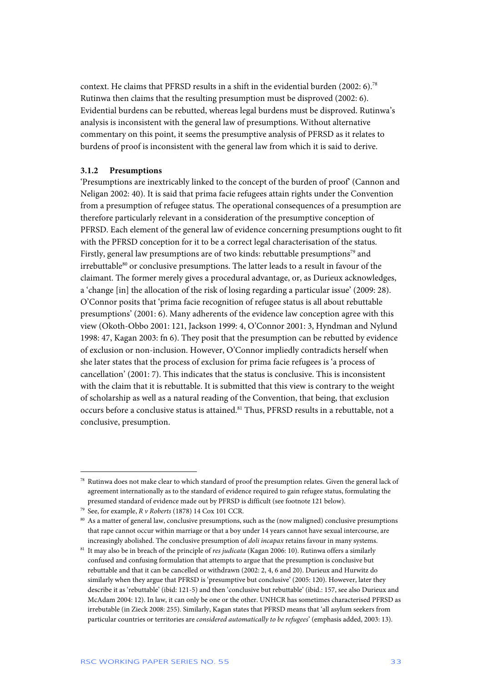context. He claims that PFRSD results in a shift in the evidential burden (2002: 6).78 Rutinwa then claims that the resulting presumption must be disproved (2002: 6). Evidential burdens can be rebutted, whereas legal burdens must be disproved. Rutinwa's analysis is inconsistent with the general law of presumptions. Without alternative commentary on this point, it seems the presumptive analysis of PFRSD as it relates to burdens of proof is inconsistent with the general law from which it is said to derive.

#### **3.1.2 Presumptions**

'Presumptions are inextricably linked to the concept of the burden of proof' (Cannon and Neligan 2002: 40). It is said that prima facie refugees attain rights under the Convention from a presumption of refugee status. The operational consequences of a presumption are therefore particularly relevant in a consideration of the presumptive conception of PFRSD. Each element of the general law of evidence concerning presumptions ought to fit with the PFRSD conception for it to be a correct legal characterisation of the status. Firstly, general law presumptions are of two kinds: rebuttable presumptions<sup>79</sup> and irrebuttable<sup>80</sup> or conclusive presumptions. The latter leads to a result in favour of the claimant. The former merely gives a procedural advantage, or, as Durieux acknowledges, a 'change [in] the allocation of the risk of losing regarding a particular issue' (2009: 28). O'Connor posits that 'prima facie recognition of refugee status is all about rebuttable presumptions' (2001: 6). Many adherents of the evidence law conception agree with this view (Okoth-Obbo 2001: 121, Jackson 1999: 4, O'Connor 2001: 3, Hyndman and Nylund 1998: 47, Kagan 2003: fn 6). They posit that the presumption can be rebutted by evidence of exclusion or non-inclusion. However, O'Connor impliedly contradicts herself when she later states that the process of exclusion for prima facie refugees is 'a process of cancellation' (2001: 7). This indicates that the status is conclusive. This is inconsistent with the claim that it is rebuttable. It is submitted that this view is contrary to the weight of scholarship as well as a natural reading of the Convention, that being, that exclusion occurs before a conclusive status is attained.<sup>81</sup> Thus, PFRSD results in a rebuttable, not a conclusive, presumption.

<sup>78</sup> Rutinwa does not make clear to which standard of proof the presumption relates. Given the general lack of agreement internationally as to the standard of evidence required to gain refugee status, formulating the presumed standard of evidence made out by PFRSD is difficult (see footnote 121 below).

<sup>79</sup> See, for example, *R v Roberts* (1878) 14 Cox 101 CCR.

<sup>80</sup> As a matter of general law, conclusive presumptions, such as the (now maligned) conclusive presumptions that rape cannot occur within marriage or that a boy under 14 years cannot have sexual intercourse, are increasingly abolished. The conclusive presumption of *doli incapax* retains favour in many systems.

<sup>81</sup> It may also be in breach of the principle of *res judicata* (Kagan 2006: 10). Rutinwa offers a similarly confused and confusing formulation that attempts to argue that the presumption is conclusive but rebuttable and that it can be cancelled or withdrawn (2002: 2, 4, 6 and 20). Durieux and Hurwitz do similarly when they argue that PFRSD is 'presumptive but conclusive' (2005: 120). However, later they describe it as 'rebuttable' (ibid: 121-5) and then 'conclusive but rebuttable' (ibid.: 157, see also Durieux and McAdam 2004: 12). In law, it can only be one or the other. UNHCR has sometimes characterised PFRSD as irrebutable (in Zieck 2008: 255). Similarly, Kagan states that PFRSD means that 'all asylum seekers from particular countries or territories are *considered automatically to be refugees*' (emphasis added, 2003: 13).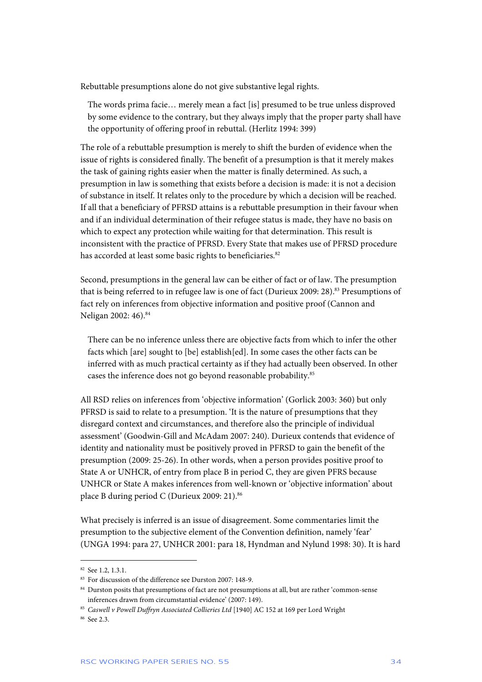Rebuttable presumptions alone do not give substantive legal rights.

The words prima facie… merely mean a fact [is] presumed to be true unless disproved by some evidence to the contrary, but they always imply that the proper party shall have the opportunity of offering proof in rebuttal. (Herlitz 1994: 399)

The role of a rebuttable presumption is merely to shift the burden of evidence when the issue of rights is considered finally. The benefit of a presumption is that it merely makes the task of gaining rights easier when the matter is finally determined. As such, a presumption in law is something that exists before a decision is made: it is not a decision of substance in itself. It relates only to the procedure by which a decision will be reached. If all that a beneficiary of PFRSD attains is a rebuttable presumption in their favour when and if an individual determination of their refugee status is made, they have no basis on which to expect any protection while waiting for that determination. This result is inconsistent with the practice of PFRSD. Every State that makes use of PFRSD procedure has accorded at least some basic rights to beneficiaries.<sup>82</sup>

Second, presumptions in the general law can be either of fact or of law. The presumption that is being referred to in refugee law is one of fact (Durieux 2009: 28).<sup>83</sup> Presumptions of fact rely on inferences from objective information and positive proof (Cannon and Neligan 2002: 46).<sup>84</sup>

There can be no inference unless there are objective facts from which to infer the other facts which [are] sought to [be] establish[ed]. In some cases the other facts can be inferred with as much practical certainty as if they had actually been observed. In other cases the inference does not go beyond reasonable probability.<sup>85</sup>

All RSD relies on inferences from 'objective information' (Gorlick 2003: 360) but only PFRSD is said to relate to a presumption. 'It is the nature of presumptions that they disregard context and circumstances, and therefore also the principle of individual assessment' (Goodwin-Gill and McAdam 2007: 240). Durieux contends that evidence of identity and nationality must be positively proved in PFRSD to gain the benefit of the presumption (2009: 25-26). In other words, when a person provides positive proof to State A or UNHCR, of entry from place B in period C, they are given PFRS because UNHCR or State A makes inferences from well-known or 'objective information' about place B during period C (Durieux 2009: 21).<sup>86</sup>

What precisely is inferred is an issue of disagreement. Some commentaries limit the presumption to the subjective element of the Convention definition, namely 'fear' (UNGA 1994: para 27, UNHCR 2001: para 18, Hyndman and Nylund 1998: 30). It is hard

<sup>82</sup> See 1.2, 1.3.1.

<sup>83</sup> For discussion of the difference see Durston 2007: 148-9.

<sup>&</sup>lt;sup>84</sup> Durston posits that presumptions of fact are not presumptions at all, but are rather 'common-sense inferences drawn from circumstantial evidence' (2007: 149).

<sup>85</sup> *Caswell v Powell Duffryn Associated Collieries Ltd* [1940] AC 152 at 169 per Lord Wright

<sup>86</sup> See 2.3.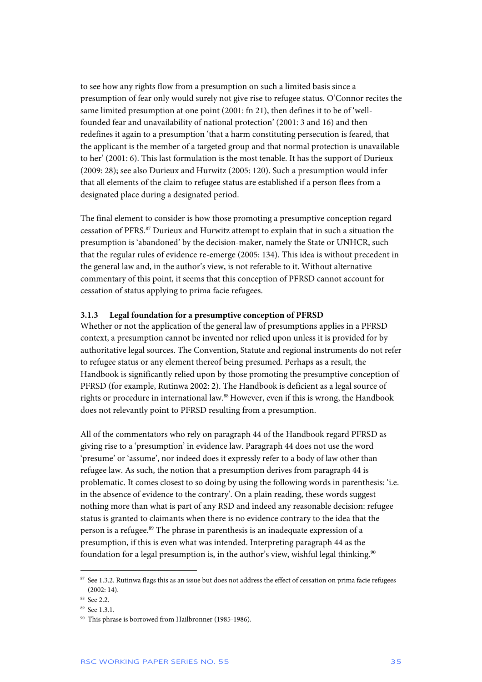to see how any rights flow from a presumption on such a limited basis since a presumption of fear only would surely not give rise to refugee status. O'Connor recites the same limited presumption at one point (2001: fn 21), then defines it to be of 'wellfounded fear and unavailability of national protection' (2001: 3 and 16) and then redefines it again to a presumption 'that a harm constituting persecution is feared, that the applicant is the member of a targeted group and that normal protection is unavailable to her' (2001: 6). This last formulation is the most tenable. It has the support of Durieux (2009: 28); see also Durieux and Hurwitz (2005: 120). Such a presumption would infer that all elements of the claim to refugee status are established if a person flees from a designated place during a designated period.

The final element to consider is how those promoting a presumptive conception regard cessation of PFRS.87 Durieux and Hurwitz attempt to explain that in such a situation the presumption is 'abandoned' by the decision-maker, namely the State or UNHCR, such that the regular rules of evidence re-emerge (2005: 134). This idea is without precedent in the general law and, in the author's view, is not referable to it. Without alternative commentary of this point, it seems that this conception of PFRSD cannot account for cessation of status applying to prima facie refugees.

#### **3.1.3 Legal foundation for a presumptive conception of PFRSD**

Whether or not the application of the general law of presumptions applies in a PFRSD context, a presumption cannot be invented nor relied upon unless it is provided for by authoritative legal sources. The Convention, Statute and regional instruments do not refer to refugee status or any element thereof being presumed. Perhaps as a result, the Handbook is significantly relied upon by those promoting the presumptive conception of PFRSD (for example, Rutinwa 2002: 2). The Handbook is deficient as a legal source of rights or procedure in international law.88 However, even if this is wrong, the Handbook does not relevantly point to PFRSD resulting from a presumption.

All of the commentators who rely on paragraph 44 of the Handbook regard PFRSD as giving rise to a 'presumption' in evidence law. Paragraph 44 does not use the word 'presume' or 'assume', nor indeed does it expressly refer to a body of law other than refugee law. As such, the notion that a presumption derives from paragraph 44 is problematic. It comes closest to so doing by using the following words in parenthesis: 'i.e. in the absence of evidence to the contrary'. On a plain reading, these words suggest nothing more than what is part of any RSD and indeed any reasonable decision: refugee status is granted to claimants when there is no evidence contrary to the idea that the person is a refugee.<sup>89</sup> The phrase in parenthesis is an inadequate expression of a presumption, if this is even what was intended. Interpreting paragraph 44 as the foundation for a legal presumption is, in the author's view, wishful legal thinking.<sup>90</sup>

1

<sup>&</sup>lt;sup>87</sup> See 1.3.2. Rutinwa flags this as an issue but does not address the effect of cessation on prima facie refugees  $(2002:14)$ .

<sup>&</sup>lt;sup>88</sup> See 2.2.

<sup>89</sup> See 1.3.1.

<sup>90</sup> This phrase is borrowed from Hailbronner (1985-1986).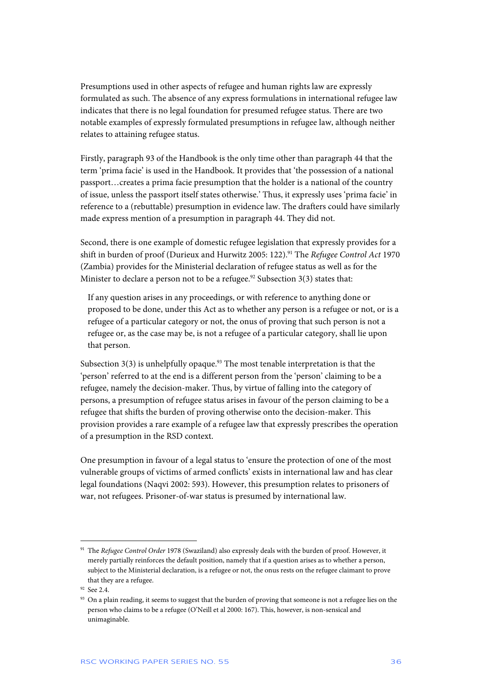Presumptions used in other aspects of refugee and human rights law are expressly formulated as such. The absence of any express formulations in international refugee law indicates that there is no legal foundation for presumed refugee status. There are two notable examples of expressly formulated presumptions in refugee law, although neither relates to attaining refugee status.

Firstly, paragraph 93 of the Handbook is the only time other than paragraph 44 that the term 'prima facie' is used in the Handbook. It provides that 'the possession of a national passport…creates a prima facie presumption that the holder is a national of the country of issue, unless the passport itself states otherwise.' Thus, it expressly uses 'prima facie' in reference to a (rebuttable) presumption in evidence law. The drafters could have similarly made express mention of a presumption in paragraph 44. They did not.

Second, there is one example of domestic refugee legislation that expressly provides for a shift in burden of proof (Durieux and Hurwitz 2005: 122).91 The *Refugee Control Act* 1970 (Zambia) provides for the Ministerial declaration of refugee status as well as for the Minister to declare a person not to be a refugee.<sup>92</sup> Subsection 3(3) states that:

If any question arises in any proceedings, or with reference to anything done or proposed to be done, under this Act as to whether any person is a refugee or not, or is a refugee of a particular category or not, the onus of proving that such person is not a refugee or, as the case may be, is not a refugee of a particular category, shall lie upon that person.

Subsection  $3(3)$  is unhelpfully opaque.<sup>93</sup> The most tenable interpretation is that the 'person' referred to at the end is a different person from the 'person' claiming to be a refugee, namely the decision-maker. Thus, by virtue of falling into the category of persons, a presumption of refugee status arises in favour of the person claiming to be a refugee that shifts the burden of proving otherwise onto the decision-maker. This provision provides a rare example of a refugee law that expressly prescribes the operation of a presumption in the RSD context.

One presumption in favour of a legal status to 'ensure the protection of one of the most vulnerable groups of victims of armed conflicts' exists in international law and has clear legal foundations (Naqvi 2002: 593). However, this presumption relates to prisoners of war, not refugees. Prisoner-of-war status is presumed by international law.

<sup>91</sup> The *Refugee Control Order* 1978 (Swaziland) also expressly deals with the burden of proof. However, it merely partially reinforces the default position, namely that if a question arises as to whether a person, subject to the Ministerial declaration, is a refugee or not, the onus rests on the refugee claimant to prove that they are a refugee.

<sup>&</sup>lt;sup>92</sup> See 2.4.

<sup>&</sup>lt;sup>93</sup> On a plain reading, it seems to suggest that the burden of proving that someone is not a refugee lies on the person who claims to be a refugee (O'Neill et al 2000: 167). This, however, is non-sensical and unimaginable.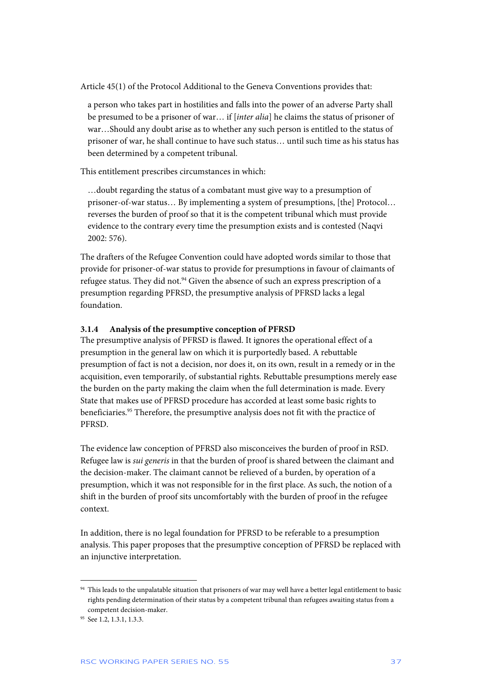Article 45(1) of the Protocol Additional to the Geneva Conventions provides that:

a person who takes part in hostilities and falls into the power of an adverse Party shall be presumed to be a prisoner of war… if [*inter alia*] he claims the status of prisoner of war…Should any doubt arise as to whether any such person is entitled to the status of prisoner of war, he shall continue to have such status… until such time as his status has been determined by a competent tribunal.

This entitlement prescribes circumstances in which:

…doubt regarding the status of a combatant must give way to a presumption of prisoner-of-war status… By implementing a system of presumptions, [the] Protocol… reverses the burden of proof so that it is the competent tribunal which must provide evidence to the contrary every time the presumption exists and is contested (Naqvi 2002: 576).

The drafters of the Refugee Convention could have adopted words similar to those that provide for prisoner-of-war status to provide for presumptions in favour of claimants of refugee status. They did not. $94$  Given the absence of such an express prescription of a presumption regarding PFRSD, the presumptive analysis of PFRSD lacks a legal foundation.

#### **3.1.4 Analysis of the presumptive conception of PFRSD**

The presumptive analysis of PFRSD is flawed. It ignores the operational effect of a presumption in the general law on which it is purportedly based. A rebuttable presumption of fact is not a decision, nor does it, on its own, result in a remedy or in the acquisition, even temporarily, of substantial rights. Rebuttable presumptions merely ease the burden on the party making the claim when the full determination is made. Every State that makes use of PFRSD procedure has accorded at least some basic rights to beneficiaries.<sup>95</sup> Therefore, the presumptive analysis does not fit with the practice of PFRSD.

The evidence law conception of PFRSD also misconceives the burden of proof in RSD. Refugee law is *sui generis* in that the burden of proof is shared between the claimant and the decision-maker. The claimant cannot be relieved of a burden, by operation of a presumption, which it was not responsible for in the first place. As such, the notion of a shift in the burden of proof sits uncomfortably with the burden of proof in the refugee context.

In addition, there is no legal foundation for PFRSD to be referable to a presumption analysis. This paper proposes that the presumptive conception of PFRSD be replaced with an injunctive interpretation.

<sup>&</sup>lt;sup>94</sup> This leads to the unpalatable situation that prisoners of war may well have a better legal entitlement to basic rights pending determination of their status by a competent tribunal than refugees awaiting status from a competent decision-maker.

<sup>&</sup>lt;sup>95</sup> See 1.2, 1.3.1, 1.3.3.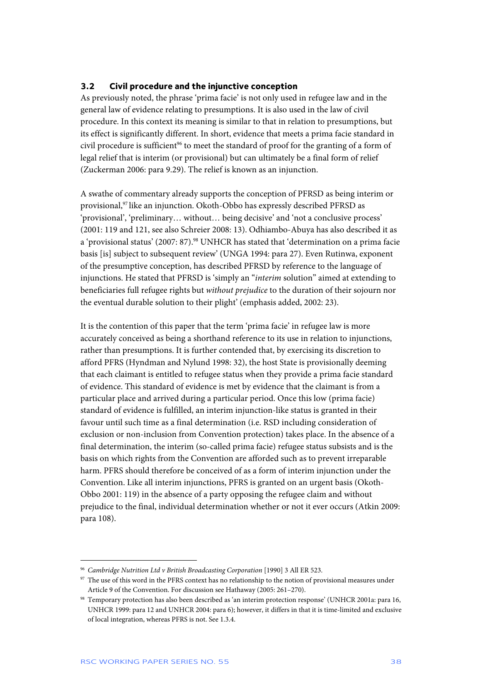#### **3.2 Civil procedure and the injunctive conception**

As previously noted, the phrase 'prima facie' is not only used in refugee law and in the general law of evidence relating to presumptions. It is also used in the law of civil procedure. In this context its meaning is similar to that in relation to presumptions, but its effect is significantly different. In short, evidence that meets a prima facie standard in civil procedure is sufficient<sup>96</sup> to meet the standard of proof for the granting of a form of legal relief that is interim (or provisional) but can ultimately be a final form of relief (Zuckerman 2006: para 9.29). The relief is known as an injunction.

A swathe of commentary already supports the conception of PFRSD as being interim or provisional,<sup>97</sup> like an injunction. Okoth-Obbo has expressly described PFRSD as 'provisional', 'preliminary… without… being decisive' and 'not a conclusive process' (2001: 119 and 121, see also Schreier 2008: 13). Odhiambo-Abuya has also described it as a 'provisional status' (2007: 87).<sup>98</sup> UNHCR has stated that 'determination on a prima facie basis [is] subject to subsequent review' (UNGA 1994: para 27). Even Rutinwa, exponent of the presumptive conception, has described PFRSD by reference to the language of injunctions. He stated that PFRSD is 'simply an "*interim* solution" aimed at extending to beneficiaries full refugee rights but *without prejudice* to the duration of their sojourn nor the eventual durable solution to their plight' (emphasis added, 2002: 23).

It is the contention of this paper that the term 'prima facie' in refugee law is more accurately conceived as being a shorthand reference to its use in relation to injunctions, rather than presumptions. It is further contended that, by exercising its discretion to afford PFRS (Hyndman and Nylund 1998: 32), the host State is provisionally deeming that each claimant is entitled to refugee status when they provide a prima facie standard of evidence. This standard of evidence is met by evidence that the claimant is from a particular place and arrived during a particular period. Once this low (prima facie) standard of evidence is fulfilled, an interim injunction-like status is granted in their favour until such time as a final determination (i.e. RSD including consideration of exclusion or non-inclusion from Convention protection) takes place. In the absence of a final determination, the interim (so-called prima facie) refugee status subsists and is the basis on which rights from the Convention are afforded such as to prevent irreparable harm. PFRS should therefore be conceived of as a form of interim injunction under the Convention. Like all interim injunctions, PFRS is granted on an urgent basis (Okoth-Obbo 2001: 119) in the absence of a party opposing the refugee claim and without prejudice to the final, individual determination whether or not it ever occurs (Atkin 2009: para 108).

<sup>96</sup> *Cambridge Nutrition Ltd v British Broadcasting Corporation* [1990] 3 All ER 523.

<sup>&</sup>lt;sup>97</sup> The use of this word in the PFRS context has no relationship to the notion of provisional measures under Article 9 of the Convention. For discussion see Hathaway (2005: 261–270).

<sup>98</sup> Temporary protection has also been described as 'an interim protection response' (UNHCR 2001a: para 16, UNHCR 1999: para 12 and UNHCR 2004: para 6); however, it differs in that it is time-limited and exclusive of local integration, whereas PFRS is not. See 1.3.4.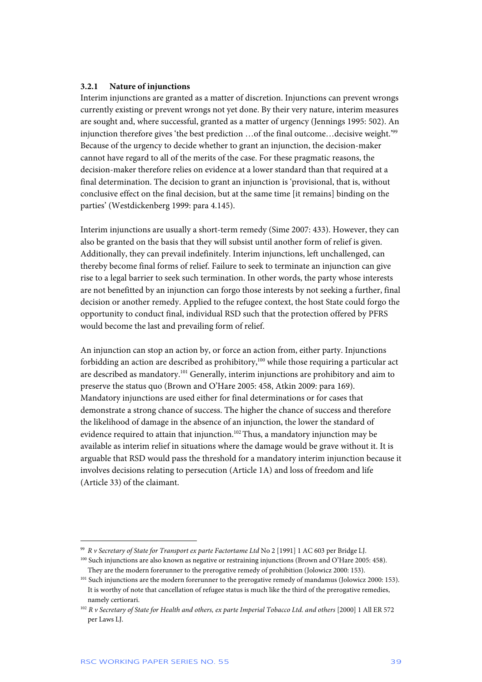#### **3.2.1 Nature of injunctions**

Interim injunctions are granted as a matter of discretion. Injunctions can prevent wrongs currently existing or prevent wrongs not yet done. By their very nature, interim measures are sought and, where successful, granted as a matter of urgency (Jennings 1995: 502). An injunction therefore gives 'the best prediction …of the final outcome…decisive weight.'99 Because of the urgency to decide whether to grant an injunction, the decision-maker cannot have regard to all of the merits of the case. For these pragmatic reasons, the decision-maker therefore relies on evidence at a lower standard than that required at a final determination. The decision to grant an injunction is 'provisional, that is, without conclusive effect on the final decision, but at the same time [it remains] binding on the parties' (Westdickenberg 1999: para 4.145).

Interim injunctions are usually a short-term remedy (Sime 2007: 433). However, they can also be granted on the basis that they will subsist until another form of relief is given. Additionally, they can prevail indefinitely. Interim injunctions, left unchallenged, can thereby become final forms of relief. Failure to seek to terminate an injunction can give rise to a legal barrier to seek such termination. In other words, the party whose interests are not benefitted by an injunction can forgo those interests by not seeking a further, final decision or another remedy. Applied to the refugee context, the host State could forgo the opportunity to conduct final, individual RSD such that the protection offered by PFRS would become the last and prevailing form of relief.

An injunction can stop an action by, or force an action from, either party. Injunctions forbidding an action are described as prohibitory, $100$  while those requiring a particular act are described as mandatory.101 Generally, interim injunctions are prohibitory and aim to preserve the status quo (Brown and O'Hare 2005: 458, Atkin 2009: para 169). Mandatory injunctions are used either for final determinations or for cases that demonstrate a strong chance of success. The higher the chance of success and therefore the likelihood of damage in the absence of an injunction, the lower the standard of evidence required to attain that injunction.<sup>102</sup> Thus, a mandatory injunction may be available as interim relief in situations where the damage would be grave without it. It is arguable that RSD would pass the threshold for a mandatory interim injunction because it involves decisions relating to persecution (Article 1A) and loss of freedom and life (Article 33) of the claimant.

j 99 *R v Secretary of State for Transport ex parte Factortame Ltd* No 2 [1991] 1 AC 603 per Bridge LJ.

<sup>100</sup> Such injunctions are also known as negative or restraining injunctions (Brown and O'Hare 2005: 458). They are the modern forerunner to the prerogative remedy of prohibition (Jolowicz 2000: 153).

<sup>&</sup>lt;sup>101</sup> Such injunctions are the modern forerunner to the prerogative remedy of mandamus (Jolowicz 2000: 153). It is worthy of note that cancellation of refugee status is much like the third of the prerogative remedies, namely certiorari.

<sup>102</sup> *R v Secretary of State for Health and others, ex parte Imperial Tobacco Ltd. and others* [2000] 1 All ER 572 per Laws LJ.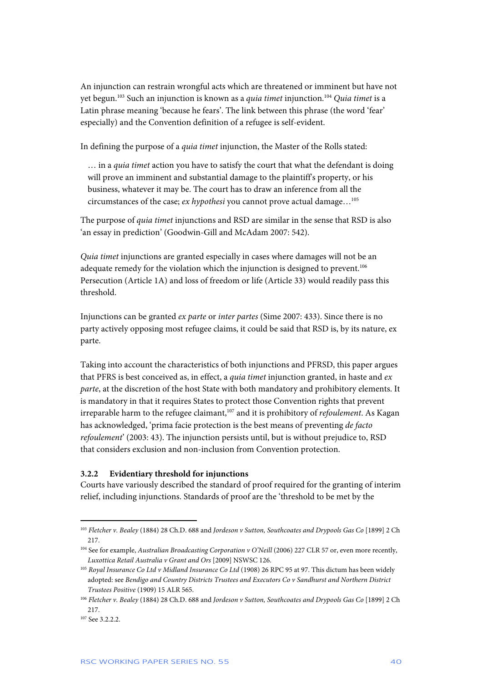An injunction can restrain wrongful acts which are threatened or imminent but have not yet begun.103 Such an injunction is known as a *quia timet* injunction.104 *Quia timet* is a Latin phrase meaning 'because he fears'. The link between this phrase (the word 'fear' especially) and the Convention definition of a refugee is self-evident.

In defining the purpose of a *quia timet* injunction, the Master of the Rolls stated:

… in a *quia timet* action you have to satisfy the court that what the defendant is doing will prove an imminent and substantial damage to the plaintiff's property, or his business, whatever it may be. The court has to draw an inference from all the circumstances of the case; *ex hypothesi* you cannot prove actual damage…105

The purpose of *quia timet* injunctions and RSD are similar in the sense that RSD is also 'an essay in prediction' (Goodwin-Gill and McAdam 2007: 542).

*Quia timet* injunctions are granted especially in cases where damages will not be an adequate remedy for the violation which the injunction is designed to prevent.<sup>106</sup> Persecution (Article 1A) and loss of freedom or life (Article 33) would readily pass this threshold.

Injunctions can be granted *ex parte* or *inter partes* (Sime 2007: 433). Since there is no party actively opposing most refugee claims, it could be said that RSD is, by its nature, ex parte.

Taking into account the characteristics of both injunctions and PFRSD, this paper argues that PFRS is best conceived as, in effect, a *quia timet* injunction granted, in haste and *ex parte*, at the discretion of the host State with both mandatory and prohibitory elements. It is mandatory in that it requires States to protect those Convention rights that prevent irreparable harm to the refugee claimant,<sup>107</sup> and it is prohibitory of *refoulement*. As Kagan has acknowledged, 'prima facie protection is the best means of preventing *de facto refoulement*' (2003: 43). The injunction persists until, but is without prejudice to, RSD that considers exclusion and non-inclusion from Convention protection.

#### **3.2.2 Evidentiary threshold for injunctions**

Courts have variously described the standard of proof required for the granting of interim relief, including injunctions. Standards of proof are the 'threshold to be met by the

<sup>103</sup> *Fletcher v. Bealey* (1884) 28 Ch.D. 688 and *Jordeson v Sutton, Southcoates and Drypools Gas Co* [1899] 2 Ch 217.

<sup>&</sup>lt;sup>104</sup> See for example, *Australian Broadcasting Corporation v O'Neill* (2006) 227 CLR 57 or, even more recently, *Luxottica Retail Australia v Grant and Ors* [2009] NSWSC 126.

<sup>105</sup> *Royal Insurance Co Ltd v Midland Insurance Co Ltd* (1908) 26 RPC 95 at 97. This dictum has been widely adopted: see *Bendigo and Country Districts Trustees and Executors Co v Sandhurst and Northern District Trustees Positive* (1909) 15 ALR 565.

<sup>106</sup> *Fletcher v. Bealey* (1884) 28 Ch.D. 688 and *Jordeson v Sutton, Southcoates and Drypools Gas Co* [1899] 2 Ch 217.

 $107$  See 3.2.2.2.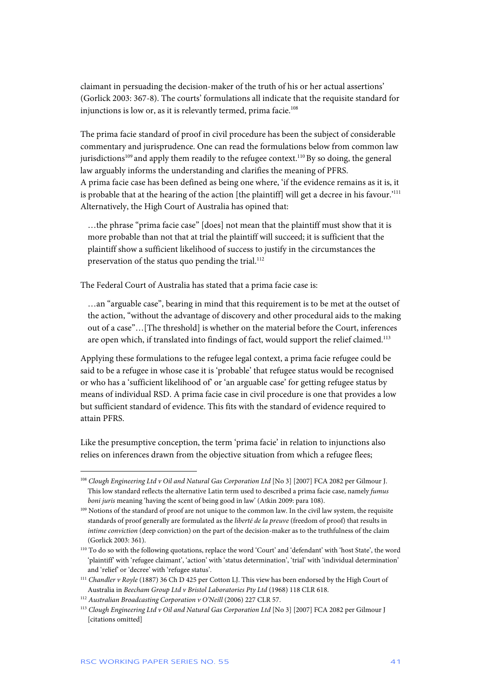claimant in persuading the decision-maker of the truth of his or her actual assertions' (Gorlick 2003: 367-8). The courts' formulations all indicate that the requisite standard for injunctions is low or, as it is relevantly termed, prima facie.<sup>108</sup>

The prima facie standard of proof in civil procedure has been the subject of considerable commentary and jurisprudence. One can read the formulations below from common law jurisdictions<sup>109</sup> and apply them readily to the refugee context.<sup>110</sup> By so doing, the general law arguably informs the understanding and clarifies the meaning of PFRS. A prima facie case has been defined as being one where, 'if the evidence remains as it is, it is probable that at the hearing of the action [the plaintiff] will get a decree in his favour.<sup>'111</sup> Alternatively, the High Court of Australia has opined that:

…the phrase "prima facie case" [does] not mean that the plaintiff must show that it is more probable than not that at trial the plaintiff will succeed; it is sufficient that the plaintiff show a sufficient likelihood of success to justify in the circumstances the preservation of the status quo pending the trial.<sup>112</sup>

The Federal Court of Australia has stated that a prima facie case is:

…an "arguable case", bearing in mind that this requirement is to be met at the outset of the action, "without the advantage of discovery and other procedural aids to the making out of a case"…[The threshold] is whether on the material before the Court, inferences are open which, if translated into findings of fact, would support the relief claimed.<sup>113</sup>

Applying these formulations to the refugee legal context, a prima facie refugee could be said to be a refugee in whose case it is 'probable' that refugee status would be recognised or who has a 'sufficient likelihood of' or 'an arguable case' for getting refugee status by means of individual RSD. A prima facie case in civil procedure is one that provides a low but sufficient standard of evidence. This fits with the standard of evidence required to attain PFRS.

Like the presumptive conception, the term 'prima facie' in relation to injunctions also relies on inferences drawn from the objective situation from which a refugee flees;

<sup>108</sup> *Clough Engineering Ltd v Oil and Natural Gas Corporation Ltd* [No 3] [2007] FCA 2082 per Gilmour J. This low standard reflects the alternative Latin term used to described a prima facie case, namely *fumus boni juris* meaning 'having the scent of being good in law' (Atkin 2009: para 108).

<sup>109</sup> Notions of the standard of proof are not unique to the common law. In the civil law system, the requisite standards of proof generally are formulated as the *liberté de la preuve* (freedom of proof) that results in *intime conviction* (deep conviction) on the part of the decision-maker as to the truthfulness of the claim (Gorlick 2003: 361).

<sup>110</sup> To do so with the following quotations, replace the word 'Court' and 'defendant' with 'host State', the word 'plaintiff' with 'refugee claimant', 'action' with 'status determination', 'trial' with 'individual determination' and 'relief' or 'decree' with 'refugee status'.

<sup>111</sup> *Chandler v Royle* (1887) 36 Ch D 425 per Cotton LJ. This view has been endorsed by the High Court of Australia in *Beecham Group Ltd v Bristol Laboratories Pty Ltd* (1968) 118 CLR 618.

<sup>112</sup> *Australian Broadcasting Corporation v O'Neill* (2006) 227 CLR 57.

<sup>113</sup> *Clough Engineering Ltd v Oil and Natural Gas Corporation Ltd* [No 3] [2007] FCA 2082 per Gilmour J [citations omitted]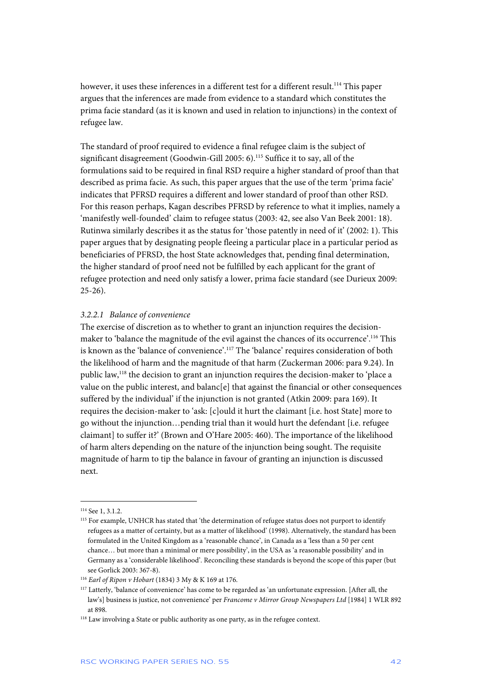however, it uses these inferences in a different test for a different result.<sup>114</sup> This paper argues that the inferences are made from evidence to a standard which constitutes the prima facie standard (as it is known and used in relation to injunctions) in the context of refugee law.

The standard of proof required to evidence a final refugee claim is the subject of significant disagreement (Goodwin-Gill 2005: 6).<sup>115</sup> Suffice it to say, all of the formulations said to be required in final RSD require a higher standard of proof than that described as prima facie. As such, this paper argues that the use of the term 'prima facie' indicates that PFRSD requires a different and lower standard of proof than other RSD. For this reason perhaps, Kagan describes PFRSD by reference to what it implies, namely a 'manifestly well-founded' claim to refugee status (2003: 42, see also Van Beek 2001: 18). Rutinwa similarly describes it as the status for 'those patently in need of it' (2002: 1). This paper argues that by designating people fleeing a particular place in a particular period as beneficiaries of PFRSD, the host State acknowledges that, pending final determination, the higher standard of proof need not be fulfilled by each applicant for the grant of refugee protection and need only satisfy a lower, prima facie standard (see Durieux 2009:  $25-26$ ).

#### *3.2.2.1 Balance of convenience*

The exercise of discretion as to whether to grant an injunction requires the decisionmaker to 'balance the magnitude of the evil against the chances of its occurrence'.116 This is known as the 'balance of convenience'.117 The 'balance' requires consideration of both the likelihood of harm and the magnitude of that harm (Zuckerman 2006: para 9.24). In public law,<sup>118</sup> the decision to grant an injunction requires the decision-maker to 'place a value on the public interest, and balanc[e] that against the financial or other consequences suffered by the individual' if the injunction is not granted (Atkin 2009: para 169). It requires the decision-maker to 'ask: [c]ould it hurt the claimant [i.e. host State] more to go without the injunction…pending trial than it would hurt the defendant [i.e. refugee claimant] to suffer it?' (Brown and O'Hare 2005: 460). The importance of the likelihood of harm alters depending on the nature of the injunction being sought. The requisite magnitude of harm to tip the balance in favour of granting an injunction is discussed next.

<sup>114</sup> See 1, 3.1.2.

<sup>115</sup> For example, UNHCR has stated that 'the determination of refugee status does not purport to identify refugees as a matter of certainty, but as a matter of likelihood' (1998). Alternatively, the standard has been formulated in the United Kingdom as a 'reasonable chance', in Canada as a 'less than a 50 per cent chance… but more than a minimal or mere possibility', in the USA as 'a reasonable possibility' and in Germany as a 'considerable likelihood'. Reconciling these standards is beyond the scope of this paper (but see Gorlick 2003: 367-8).

<sup>116</sup> *Earl of Ripon v Hobart* (1834) 3 My & K 169 at 176.

<sup>117</sup> Latterly, 'balance of convenience' has come to be regarded as 'an unfortunate expression. [After all, the law's] business is justice, not convenience' per *Francome v Mirror Group Newspapers Ltd* [1984] 1 WLR 892 at 898.

<sup>&</sup>lt;sup>118</sup> Law involving a State or public authority as one party, as in the refugee context.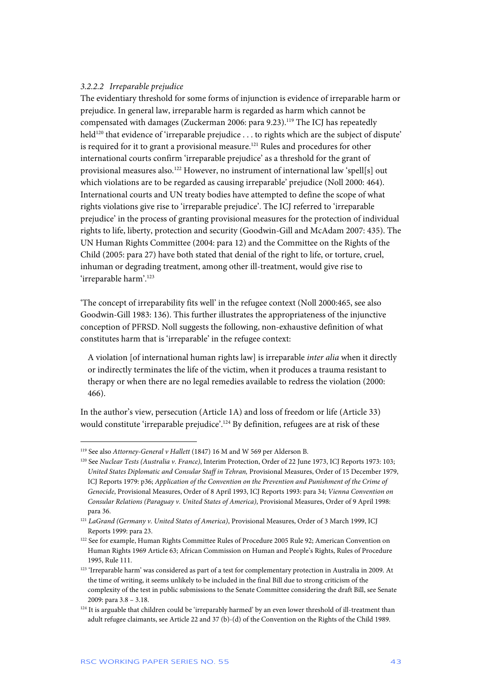#### *3.2.2.2 Irreparable prejudice*

The evidentiary threshold for some forms of injunction is evidence of irreparable harm or prejudice. In general law, irreparable harm is regarded as harm which cannot be compensated with damages (Zuckerman 2006: para 9.23).<sup>119</sup> The ICJ has repeatedly held<sup>120</sup> that evidence of 'irreparable prejudice . . . to rights which are the subject of dispute' is required for it to grant a provisional measure.<sup>121</sup> Rules and procedures for other international courts confirm 'irreparable prejudice' as a threshold for the grant of provisional measures also.<sup>122</sup> However, no instrument of international law 'spell[s] out which violations are to be regarded as causing irreparable' prejudice (Noll 2000: 464). International courts and UN treaty bodies have attempted to define the scope of what rights violations give rise to 'irreparable prejudice'. The ICJ referred to 'irreparable prejudice' in the process of granting provisional measures for the protection of individual rights to life, liberty, protection and security (Goodwin-Gill and McAdam 2007: 435). The UN Human Rights Committee (2004: para 12) and the Committee on the Rights of the Child (2005: para 27) have both stated that denial of the right to life, or torture, cruel, inhuman or degrading treatment, among other ill-treatment, would give rise to 'irreparable harm'.<sup>123</sup>

'The concept of irreparability fits well' in the refugee context (Noll 2000:465, see also Goodwin-Gill 1983: 136). This further illustrates the appropriateness of the injunctive conception of PFRSD. Noll suggests the following, non-exhaustive definition of what constitutes harm that is 'irreparable' in the refugee context:

A violation [of international human rights law] is irreparable *inter alia* when it directly or indirectly terminates the life of the victim, when it produces a trauma resistant to therapy or when there are no legal remedies available to redress the violation (2000: 466).

In the author's view, persecution (Article 1A) and loss of freedom or life (Article 33) would constitute 'irreparable prejudice'.124 By definition, refugees are at risk of these

<sup>119</sup> See also *Attorney-General v Hallett* (1847) 16 M and W 569 per Alderson B.

<sup>120</sup> See *Nuclear Tests (Australia v. France)*, Interim Protection, Order of 22 June 1973, ICJ Reports 1973: 103; *United States Diplomatic and Consular Staff in Tehran,* Provisional Measures, Order of 15 December 1979, ICJ Reports 1979: p36; *Application of the Convention on the Prevention and Punishment of the Crime of Genocide*, Provisional Measures, Order of 8 April 1993, ICJ Reports 1993: para 34; *Vienna Convention on Consular Relations (Paraguay v. United States of America)*, Provisional Measures, Order of 9 April 1998: para 36.

<sup>121</sup> *LaGrand (Germany v. United States of America)*, Provisional Measures, Order of 3 March 1999, ICJ Reports 1999: para 23.

<sup>&</sup>lt;sup>122</sup> See for example, Human Rights Committee Rules of Procedure 2005 Rule 92; American Convention on Human Rights 1969 Article 63; African Commission on Human and People's Rights, Rules of Procedure 1995, Rule 111.

<sup>123 &#</sup>x27;Irreparable harm' was considered as part of a test for complementary protection in Australia in 2009. At the time of writing, it seems unlikely to be included in the final Bill due to strong criticism of the complexity of the test in public submissions to the Senate Committee considering the draft Bill, see Senate 2009: para 3.8 – 3.18.

 $124$  It is arguable that children could be 'irreparably harmed' by an even lower threshold of ill-treatment than adult refugee claimants, see Article 22 and 37 (b)-(d) of the Convention on the Rights of the Child 1989.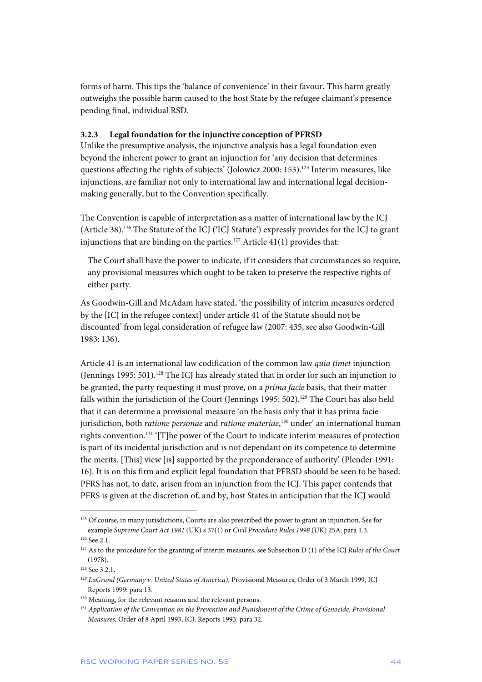forms of harm. This tips the 'balance of convenience' in their favour. This harm greatly outweighs the possible harm caused to the host State by the refugee claimant's presence pending final, individual RSD.

#### **3.2.3 Legal foundation for the injunctive conception of PFRSD**

Unlike the presumptive analysis, the injunctive analysis has a legal foundation even beyond the inherent power to grant an injunction for 'any decision that determines questions affecting the rights of subjects' (Jolowicz 2000: 153).<sup>125</sup> Interim measures, like injunctions, are familiar not only to international law and international legal decisionmaking generally, but to the Convention specifically.

The Convention is capable of interpretation as a matter of international law by the ICJ (Article 38).126 The Statute of the ICJ ('ICJ Statute') expressly provides for the ICJ to grant injunctions that are binding on the parties.<sup>127</sup> Article 41(1) provides that:

The Court shall have the power to indicate, if it considers that circumstances so require, any provisional measures which ought to be taken to preserve the respective rights of either party.

As Goodwin-Gill and McAdam have stated, 'the possibility of interim measures ordered by the [ICJ in the refugee context] under article 41 of the Statute should not be discounted' from legal consideration of refugee law (2007: 435, see also Goodwin-Gill 1983: 136).

Article 41 is an international law codification of the common law *quia timet* injunction (Jennings 1995: 501).<sup>128</sup> The ICJ has already stated that in order for such an injunction to be granted, the party requesting it must prove, on a *prima facie* basis, that their matter falls within the jurisdiction of the Court (Jennings 1995: 502).<sup>129</sup> The Court has also held that it can determine a provisional measure 'on the basis only that it has prima facie jurisdiction, both *ratione personae* and *ratione materiae*, 130 under' an international human rights convention.131 '[T]he power of the Court to indicate interim measures of protection is part of its incidental jurisdiction and is not dependant on its competence to determine the merits. [This] view [is] supported by the preponderance of authority' (Plender 1991: 16). It is on this firm and explicit legal foundation that PFRSD should be seen to be based. PFRS has not, to date, arisen from an injunction from the ICJ. This paper contends that PFRS is given at the discretion of, and by, host States in anticipation that the ICJ would

<sup>&</sup>lt;sup>125</sup> Of course, in many jurisdictions, Courts are also prescribed the power to grant an injunction. See for example *Supreme Court Act 1981* (UK) s 37(1) or *Civil Procedure Rules 1998* (UK) 25A: para 1.3. <sup>126</sup> See 2.1.

<sup>127</sup> As to the procedure for the granting of interim measures, see Subsection D (1) of the ICJ *Rules of the Court* (1978).

<sup>128</sup> See 3.2.1**.** 

<sup>129</sup> *LaGrand (Germany v. United States of America)*, Provisional Measures, Order of 3 March 1999, ICJ Reports 1999: para 13.

<sup>&</sup>lt;sup>130</sup> Meaning, for the relevant reasons and the relevant persons.

<sup>131</sup> *Application of the Convention on the Prevention and Punishment of the Crime of Genocide, Provisional Measures,* Order of 8 April 1993, ICJ. Reports 1993: para 32.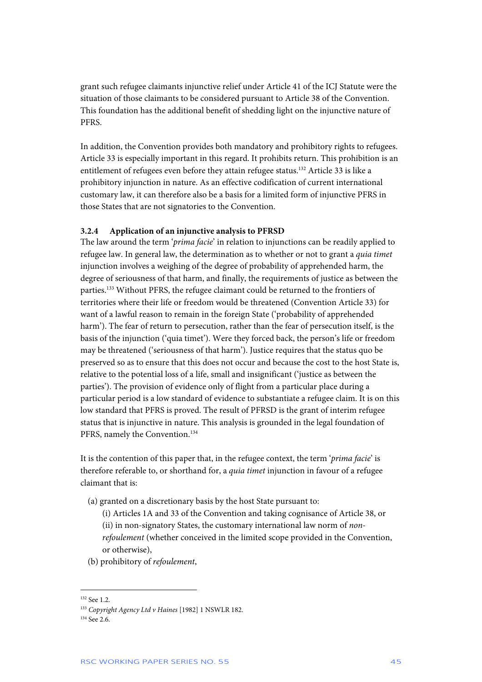grant such refugee claimants injunctive relief under Article 41 of the ICJ Statute were the situation of those claimants to be considered pursuant to Article 38 of the Convention. This foundation has the additional benefit of shedding light on the injunctive nature of PFRS.

In addition, the Convention provides both mandatory and prohibitory rights to refugees. Article 33 is especially important in this regard. It prohibits return. This prohibition is an entitlement of refugees even before they attain refugee status.<sup>132</sup> Article 33 is like a prohibitory injunction in nature. As an effective codification of current international customary law, it can therefore also be a basis for a limited form of injunctive PFRS in those States that are not signatories to the Convention.

#### **3.2.4 Application of an injunctive analysis to PFRSD**

The law around the term '*prima facie*' in relation to injunctions can be readily applied to refugee law. In general law, the determination as to whether or not to grant a *quia timet*  injunction involves a weighing of the degree of probability of apprehended harm, the degree of seriousness of that harm, and finally, the requirements of justice as between the parties.133 Without PFRS, the refugee claimant could be returned to the frontiers of territories where their life or freedom would be threatened (Convention Article 33) for want of a lawful reason to remain in the foreign State ('probability of apprehended harm'). The fear of return to persecution, rather than the fear of persecution itself, is the basis of the injunction ('quia timet'). Were they forced back, the person's life or freedom may be threatened ('seriousness of that harm'). Justice requires that the status quo be preserved so as to ensure that this does not occur and because the cost to the host State is, relative to the potential loss of a life, small and insignificant ('justice as between the parties'). The provision of evidence only of flight from a particular place during a particular period is a low standard of evidence to substantiate a refugee claim. It is on this low standard that PFRS is proved. The result of PFRSD is the grant of interim refugee status that is injunctive in nature. This analysis is grounded in the legal foundation of PFRS, namely the Convention.<sup>134</sup>

It is the contention of this paper that, in the refugee context, the term '*prima facie*' is therefore referable to, or shorthand for, a *quia timet* injunction in favour of a refugee claimant that is:

- (a) granted on a discretionary basis by the host State pursuant to:
	- (i) Articles 1A and 33 of the Convention and taking cognisance of Article 38, or (ii) in non-signatory States, the customary international law norm of *nonrefoulement* (whether conceived in the limited scope provided in the Convention, or otherwise),
- (b) prohibitory of *refoulement*,

<sup>132</sup> See 1.2.

<sup>133</sup> *Copyright Agency Ltd v Haines* [1982] 1 NSWLR 182.

 $134$  See 2.6.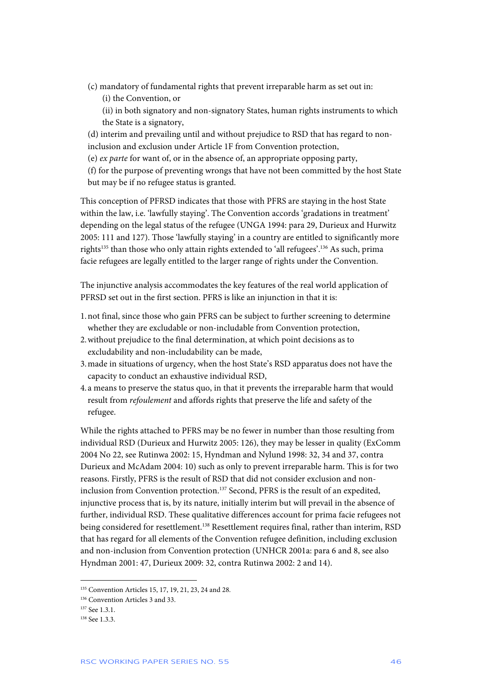- (c) mandatory of fundamental rights that prevent irreparable harm as set out in:
	- (i) the Convention, or

(ii) in both signatory and non-signatory States, human rights instruments to which the State is a signatory,

(d) interim and prevailing until and without prejudice to RSD that has regard to noninclusion and exclusion under Article 1F from Convention protection,

(e) *ex parte* for want of, or in the absence of, an appropriate opposing party,

(f) for the purpose of preventing wrongs that have not been committed by the host State but may be if no refugee status is granted.

This conception of PFRSD indicates that those with PFRS are staying in the host State within the law, i.e. 'lawfully staying'. The Convention accords 'gradations in treatment' depending on the legal status of the refugee (UNGA 1994: para 29, Durieux and Hurwitz 2005: 111 and 127). Those 'lawfully staying' in a country are entitled to significantly more rights<sup>135</sup> than those who only attain rights extended to 'all refugees'.<sup>136</sup> As such, prima facie refugees are legally entitled to the larger range of rights under the Convention.

The injunctive analysis accommodates the key features of the real world application of PFRSD set out in the first section. PFRS is like an injunction in that it is:

- 1.not final, since those who gain PFRS can be subject to further screening to determine whether they are excludable or non-includable from Convention protection,
- 2.without prejudice to the final determination, at which point decisions as to excludability and non-includability can be made,
- 3.made in situations of urgency, when the host State's RSD apparatus does not have the capacity to conduct an exhaustive individual RSD,
- 4. a means to preserve the status quo, in that it prevents the irreparable harm that would result from *refoulement* and affords rights that preserve the life and safety of the refugee.

While the rights attached to PFRS may be no fewer in number than those resulting from individual RSD (Durieux and Hurwitz 2005: 126), they may be lesser in quality (ExComm 2004 No 22, see Rutinwa 2002: 15, Hyndman and Nylund 1998: 32, 34 and 37, contra Durieux and McAdam 2004: 10) such as only to prevent irreparable harm. This is for two reasons. Firstly, PFRS is the result of RSD that did not consider exclusion and noninclusion from Convention protection.<sup>137</sup> Second, PFRS is the result of an expedited, injunctive process that is, by its nature, initially interim but will prevail in the absence of further, individual RSD. These qualitative differences account for prima facie refugees not being considered for resettlement.<sup>138</sup> Resettlement requires final, rather than interim, RSD that has regard for all elements of the Convention refugee definition, including exclusion and non-inclusion from Convention protection (UNHCR 2001a: para 6 and 8, see also Hyndman 2001: 47, Durieux 2009: 32, contra Rutinwa 2002: 2 and 14).

<sup>135</sup> Convention Articles 15, 17, 19, 21, 23, 24 and 28.

<sup>&</sup>lt;sup>136</sup> Convention Articles 3 and 33.

<sup>&</sup>lt;sup>137</sup> See 1.3.1.

 $138$  See 1.3.3.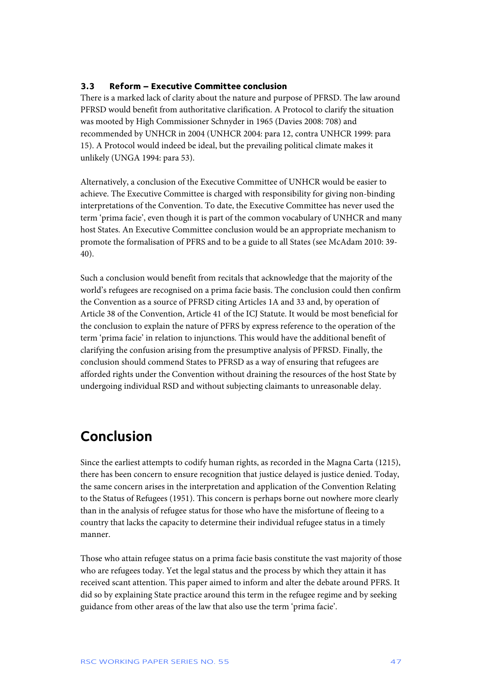#### **3.3 Reform – Executive Committee conclusion**

There is a marked lack of clarity about the nature and purpose of PFRSD. The law around PFRSD would benefit from authoritative clarification. A Protocol to clarify the situation was mooted by High Commissioner Schnyder in 1965 (Davies 2008: 708) and recommended by UNHCR in 2004 (UNHCR 2004: para 12, contra UNHCR 1999: para 15). A Protocol would indeed be ideal, but the prevailing political climate makes it unlikely (UNGA 1994: para 53).

Alternatively, a conclusion of the Executive Committee of UNHCR would be easier to achieve. The Executive Committee is charged with responsibility for giving non-binding interpretations of the Convention. To date, the Executive Committee has never used the term 'prima facie', even though it is part of the common vocabulary of UNHCR and many host States. An Executive Committee conclusion would be an appropriate mechanism to promote the formalisation of PFRS and to be a guide to all States (see McAdam 2010: 39- 40).

Such a conclusion would benefit from recitals that acknowledge that the majority of the world's refugees are recognised on a prima facie basis. The conclusion could then confirm the Convention as a source of PFRSD citing Articles 1A and 33 and, by operation of Article 38 of the Convention, Article 41 of the ICJ Statute. It would be most beneficial for the conclusion to explain the nature of PFRS by express reference to the operation of the term 'prima facie' in relation to injunctions. This would have the additional benefit of clarifying the confusion arising from the presumptive analysis of PFRSD. Finally, the conclusion should commend States to PFRSD as a way of ensuring that refugees are afforded rights under the Convention without draining the resources of the host State by undergoing individual RSD and without subjecting claimants to unreasonable delay.

## **Conclusion**

Since the earliest attempts to codify human rights, as recorded in the Magna Carta (1215), there has been concern to ensure recognition that justice delayed is justice denied. Today, the same concern arises in the interpretation and application of the Convention Relating to the Status of Refugees (1951). This concern is perhaps borne out nowhere more clearly than in the analysis of refugee status for those who have the misfortune of fleeing to a country that lacks the capacity to determine their individual refugee status in a timely manner.

Those who attain refugee status on a prima facie basis constitute the vast majority of those who are refugees today. Yet the legal status and the process by which they attain it has received scant attention. This paper aimed to inform and alter the debate around PFRS. It did so by explaining State practice around this term in the refugee regime and by seeking guidance from other areas of the law that also use the term 'prima facie'.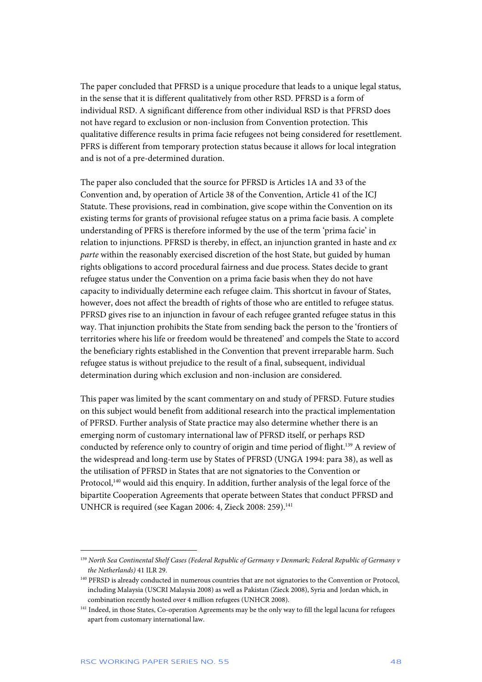The paper concluded that PFRSD is a unique procedure that leads to a unique legal status, in the sense that it is different qualitatively from other RSD. PFRSD is a form of individual RSD. A significant difference from other individual RSD is that PFRSD does not have regard to exclusion or non-inclusion from Convention protection. This qualitative difference results in prima facie refugees not being considered for resettlement. PFRS is different from temporary protection status because it allows for local integration and is not of a pre-determined duration.

The paper also concluded that the source for PFRSD is Articles 1A and 33 of the Convention and, by operation of Article 38 of the Convention, Article 41 of the ICJ Statute. These provisions, read in combination, give scope within the Convention on its existing terms for grants of provisional refugee status on a prima facie basis. A complete understanding of PFRS is therefore informed by the use of the term 'prima facie' in relation to injunctions. PFRSD is thereby, in effect, an injunction granted in haste and *ex parte* within the reasonably exercised discretion of the host State, but guided by human rights obligations to accord procedural fairness and due process. States decide to grant refugee status under the Convention on a prima facie basis when they do not have capacity to individually determine each refugee claim. This shortcut in favour of States, however, does not affect the breadth of rights of those who are entitled to refugee status. PFRSD gives rise to an injunction in favour of each refugee granted refugee status in this way. That injunction prohibits the State from sending back the person to the 'frontiers of territories where his life or freedom would be threatened' and compels the State to accord the beneficiary rights established in the Convention that prevent irreparable harm. Such refugee status is without prejudice to the result of a final, subsequent, individual determination during which exclusion and non-inclusion are considered.

This paper was limited by the scant commentary on and study of PFRSD. Future studies on this subject would benefit from additional research into the practical implementation of PFRSD. Further analysis of State practice may also determine whether there is an emerging norm of customary international law of PFRSD itself, or perhaps RSD conducted by reference only to country of origin and time period of flight.<sup>139</sup> A review of the widespread and long-term use by States of PFRSD (UNGA 1994: para 38), as well as the utilisation of PFRSD in States that are not signatories to the Convention or Protocol,<sup>140</sup> would aid this enquiry. In addition, further analysis of the legal force of the bipartite Cooperation Agreements that operate between States that conduct PFRSD and UNHCR is required (see Kagan 2006: 4, Zieck 2008: 259).<sup>141</sup>

<sup>139</sup> *North Sea Continental Shelf Cases (Federal Republic of Germany v Denmark; Federal Republic of Germany v the Netherlands)* 41 ILR 29.

<sup>140</sup> PFRSD is already conducted in numerous countries that are not signatories to the Convention or Protocol, including Malaysia (USCRI Malaysia 2008) as well as Pakistan (Zieck 2008), Syria and Jordan which, in combination recently hosted over 4 million refugees (UNHCR 2008).

<sup>&</sup>lt;sup>141</sup> Indeed, in those States, Co-operation Agreements may be the only way to fill the legal lacuna for refugees apart from customary international law.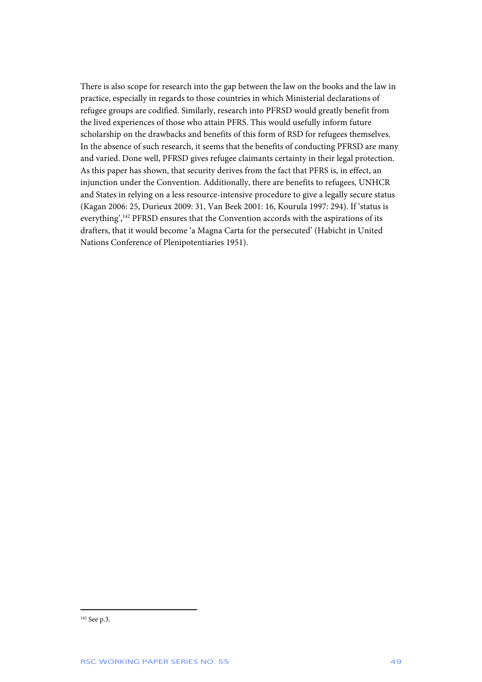There is also scope for research into the gap between the law on the books and the law in practice, especially in regards to those countries in which Ministerial declarations of refugee groups are codified. Similarly, research into PFRSD would greatly benefit from the lived experiences of those who attain PFRS. This would usefully inform future scholarship on the drawbacks and benefits of this form of RSD for refugees themselves. In the absence of such research, it seems that the benefits of conducting PFRSD are many and varied. Done well, PFRSD gives refugee claimants certainty in their legal protection. As this paper has shown, that security derives from the fact that PFRS is, in effect, an injunction under the Convention. Additionally, there are benefits to refugees, UNHCR and States in relying on a less resource-intensive procedure to give a legally secure status (Kagan 2006: 25, Durieux 2009: 31, Van Beek 2001: 16, Kourula 1997: 294). If 'status is everything',<sup>142</sup> PFRSD ensures that the Convention accords with the aspirations of its drafters, that it would become 'a Magna Carta for the persecuted' (Habicht in United Nations Conference of Plenipotentiaries 1951).

<sup>142</sup> See p.3.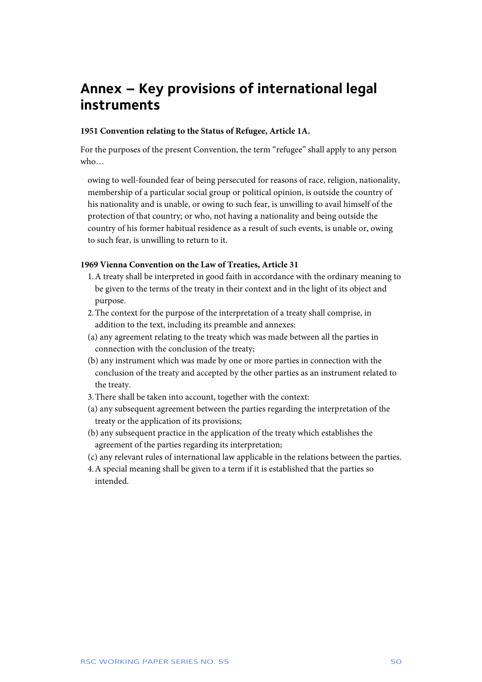## **Annex – Key provisions of international legal instruments**

#### **1951 Convention relating to the Status of Refugee, Article 1A.**

For the purposes of the present Convention, the term "refugee" shall apply to any person who…

owing to well-founded fear of being persecuted for reasons of race, religion, nationality, membership of a particular social group or political opinion, is outside the country of his nationality and is unable, or owing to such fear, is unwilling to avail himself of the protection of that country; or who, not having a nationality and being outside the country of his former habitual residence as a result of such events, is unable or, owing to such fear, is unwilling to return to it.

#### **1969 Vienna Convention on the Law of Treaties, Article 31**

- 1.A treaty shall be interpreted in good faith in accordance with the ordinary meaning to be given to the terms of the treaty in their context and in the light of its object and purpose.
- 2.The context for the purpose of the interpretation of a treaty shall comprise, in addition to the text, including its preamble and annexes:
- (a) any agreement relating to the treaty which was made between all the parties in connection with the conclusion of the treaty;
- (b) any instrument which was made by one or more parties in connection with the conclusion of the treaty and accepted by the other parties as an instrument related to the treaty.
- 3.There shall be taken into account, together with the context:
- (a) any subsequent agreement between the parties regarding the interpretation of the treaty or the application of its provisions;
- (b) any subsequent practice in the application of the treaty which establishes the agreement of the parties regarding its interpretation;
- (c) any relevant rules of international law applicable in the relations between the parties.
- 4.A special meaning shall be given to a term if it is established that the parties so intended.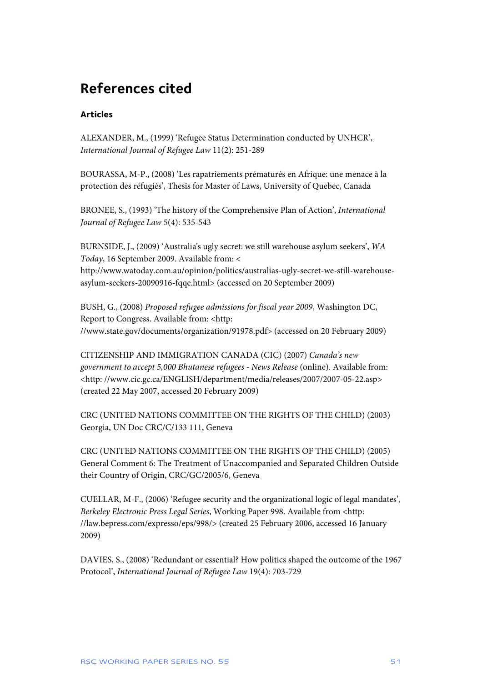## **References cited**

#### **Articles**

ALEXANDER, M., (1999) 'Refugee Status Determination conducted by UNHCR', *International Journal of Refugee Law* 11(2): 251-289

BOURASSA, M-P., (2008) 'Les rapatriements prématurés en Afrique: une menace à la protection des réfugiés', Thesis for Master of Laws, University of Quebec, Canada

BRONEE, S., (1993) 'The history of the Comprehensive Plan of Action', *International Journal of Refugee Law* 5(4): 535-543

BURNSIDE, J., (2009) 'Australia's ugly secret: we still warehouse asylum seekers', *WA Today*, 16 September 2009. Available from: <

http://www.watoday.com.au/opinion/politics/australias-ugly-secret-we-still-warehouseasylum-seekers-20090916-fqqe.html> (accessed on 20 September 2009)

BUSH, G., (2008) *Proposed refugee admissions for fiscal year 2009*, Washington DC, Report to Congress. Available from: <http: //www.state.gov/documents/organization/91978.pdf> (accessed on 20 February 2009)

CITIZENSHIP AND IMMIGRATION CANADA (CIC) (2007) *Canada's new government to accept 5,000 Bhutanese refugees - News Release* (online). Available from: <http: //www.cic.gc.ca/ENGLISH/department/media/releases/2007/2007-05-22.asp> (created 22 May 2007, accessed 20 February 2009)

CRC (UNITED NATIONS COMMITTEE ON THE RIGHTS OF THE CHILD) (2003) Georgia, UN Doc CRC/C/133 111, Geneva

CRC (UNITED NATIONS COMMITTEE ON THE RIGHTS OF THE CHILD) (2005) General Comment 6: The Treatment of Unaccompanied and Separated Children Outside their Country of Origin, CRC/GC/2005/6, Geneva

CUELLAR, M-F., (2006) 'Refugee security and the organizational logic of legal mandates', *Berkeley Electronic Press Legal Series*, Working Paper 998. Available from <http: //law.bepress.com/expresso/eps/998/> (created 25 February 2006, accessed 16 January 2009)

DAVIES, S., (2008) 'Redundant or essential? How politics shaped the outcome of the 1967 Protocol', *International Journal of Refugee Law* 19(4): 703-729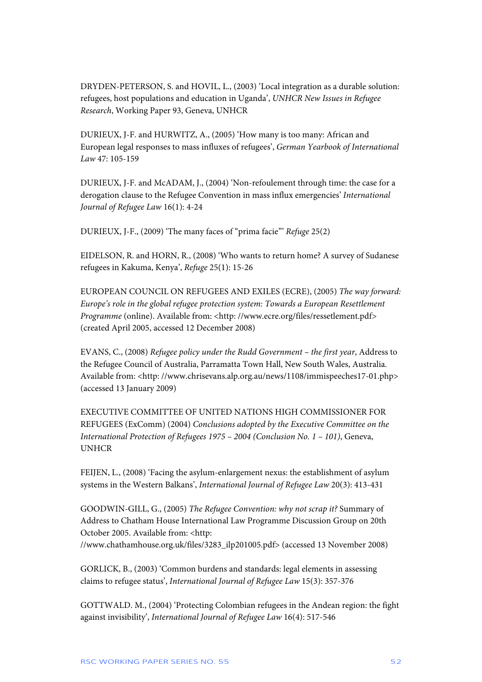DRYDEN-PETERSON, S. and HOVIL, L., (2003) 'Local integration as a durable solution: refugees, host populations and education in Uganda', *UNHCR New Issues in Refugee Research*, Working Paper 93, Geneva, UNHCR

DURIEUX, J-F. and HURWITZ, A., (2005) 'How many is too many: African and European legal responses to mass influxes of refugees', *German Yearbook of International Law* 47: 105-159

DURIEUX, J-F. and McADAM, J., (2004) 'Non-refoulement through time: the case for a derogation clause to the Refugee Convention in mass influx emergencies' *International Journal of Refugee Law* 16(1): 4-24

DURIEUX, J-F., (2009) 'The many faces of "prima facie"' *Refuge* 25(2)

EIDELSON, R. and HORN, R., (2008) 'Who wants to return home? A survey of Sudanese refugees in Kakuma, Kenya', *Refuge* 25(1): 15-26

EUROPEAN COUNCIL ON REFUGEES AND EXILES (ECRE), (2005) *The way forward: Europe's role in the global refugee protection system: Towards a European Resettlement Programme* (online). Available from: <http: //www.ecre.org/files/ressetlement.pdf> (created April 2005, accessed 12 December 2008)

EVANS, C., (2008) *Refugee policy under the Rudd Government – the first year*, Address to the Refugee Council of Australia, Parramatta Town Hall, New South Wales, Australia. Available from: <http: //www.chrisevans.alp.org.au/news/1108/immispeeches17-01.php> (accessed 13 January 2009)

EXECUTIVE COMMITTEE OF UNITED NATIONS HIGH COMMISSIONER FOR REFUGEES (ExComm) (2004) *Conclusions adopted by the Executive Committee on the International Protection of Refugees 1975 – 2004 (Conclusion No. 1 – 101)*, Geneva, UNHCR

FEIJEN, L., (2008) 'Facing the asylum-enlargement nexus: the establishment of asylum systems in the Western Balkans', *International Journal of Refugee Law* 20(3): 413-431

GOODWIN-GILL, G., (2005) *The Refugee Convention: why not scrap it?* Summary of Address to Chatham House International Law Programme Discussion Group on 20th October 2005. Available from: <http: //www.chathamhouse.org.uk/files/3283\_ilp201005.pdf> (accessed 13 November 2008)

GORLICK, B., (2003) 'Common burdens and standards: legal elements in assessing claims to refugee status', *International Journal of Refugee Law* 15(3): 357-376

GOTTWALD. M., (2004) 'Protecting Colombian refugees in the Andean region: the fight against invisibility', *International Journal of Refugee Law* 16(4): 517-546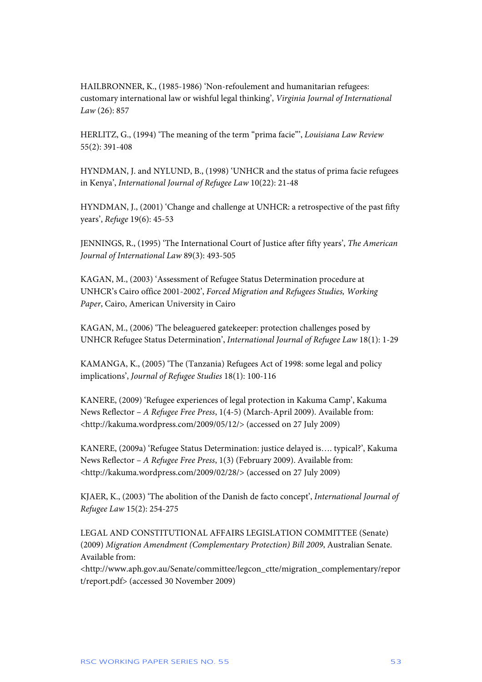HAILBRONNER, K., (1985-1986) 'Non-refoulement and humanitarian refugees: customary international law or wishful legal thinking', *Virginia Journal of International Law* (26): 857

HERLITZ, G., (1994) 'The meaning of the term "prima facie"', *Louisiana Law Review* 55(2): 391-408

HYNDMAN, J. and NYLUND, B., (1998) 'UNHCR and the status of prima facie refugees in Kenya', *International Journal of Refugee Law* 10(22): 21-48

HYNDMAN, J., (2001) 'Change and challenge at UNHCR: a retrospective of the past fifty years', *Refuge* 19(6): 45-53

JENNINGS, R., (1995) 'The International Court of Justice after fifty years', *The American Journal of International Law* 89(3): 493-505

KAGAN, M., (2003) 'Assessment of Refugee Status Determination procedure at UNHCR's Cairo office 2001-2002', *Forced Migration and Refugees Studies, Working Paper*, Cairo, American University in Cairo

KAGAN, M., (2006) 'The beleaguered gatekeeper: protection challenges posed by UNHCR Refugee Status Determination', *International Journal of Refugee Law* 18(1): 1-29

KAMANGA, K., (2005) 'The (Tanzania) Refugees Act of 1998: some legal and policy implications', *Journal of Refugee Studies* 18(1): 100-116

KANERE, (2009) 'Refugee experiences of legal protection in Kakuma Camp', Kakuma News Reflector – *A Refugee Free Press*, 1(4-5) (March-April 2009). Available from: <http://kakuma.wordpress.com/2009/05/12/> (accessed on 27 July 2009)

KANERE, (2009a) 'Refugee Status Determination: justice delayed is…. typical?', Kakuma News Reflector – *A Refugee Free Press*, 1(3) (February 2009). Available from: <http://kakuma.wordpress.com/2009/02/28/> (accessed on 27 July 2009)

KJAER, K., (2003) 'The abolition of the Danish de facto concept', *International Journal of Refugee Law* 15(2): 254-275

LEGAL AND CONSTITUTIONAL AFFAIRS LEGISLATION COMMITTEE (Senate) (2009) *Migration Amendment (Complementary Protection) Bill 2009*, Australian Senate. Available from:

<http://www.aph.gov.au/Senate/committee/legcon\_ctte/migration\_complementary/repor t/report.pdf> (accessed 30 November 2009)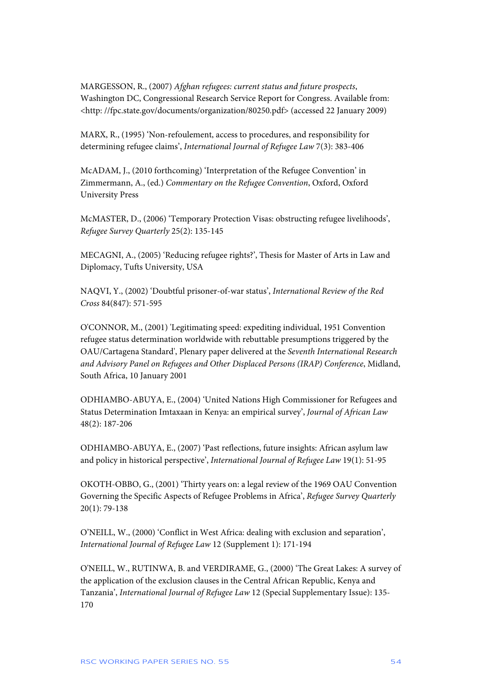MARGESSON, R., (2007) *Afghan refugees: current status and future prospects*, Washington DC, Congressional Research Service Report for Congress. Available from: <http: //fpc.state.gov/documents/organization/80250.pdf> (accessed 22 January 2009)

MARX, R., (1995) 'Non-refoulement, access to procedures, and responsibility for determining refugee claims', *International Journal of Refugee Law* 7(3): 383-406

McADAM, J., (2010 forthcoming) 'Interpretation of the Refugee Convention' in Zimmermann, A., (ed.) *Commentary on the Refugee Convention*, Oxford, Oxford University Press

McMASTER, D., (2006) 'Temporary Protection Visas: obstructing refugee livelihoods', *Refugee Survey Quarterly* 25(2): 135-145

MECAGNI, A., (2005) 'Reducing refugee rights?', Thesis for Master of Arts in Law and Diplomacy, Tufts University, USA

NAQVI, Y., (2002) 'Doubtful prisoner-of-war status', *International Review of the Red Cross* 84(847): 571-595

O'CONNOR, M., (2001) 'Legitimating speed: expediting individual, 1951 Convention refugee status determination worldwide with rebuttable presumptions triggered by the OAU/Cartagena Standard', Plenary paper delivered at the *Seventh International Research and Advisory Panel on Refugees and Other Displaced Persons (IRAP) Conference*, Midland, South Africa, 10 January 2001

ODHIAMBO-ABUYA, E., (2004) 'United Nations High Commissioner for Refugees and Status Determination Imtaxaan in Kenya: an empirical survey', *Journal of African Law* 48(2): 187-206

ODHIAMBO-ABUYA, E., (2007) 'Past reflections, future insights: African asylum law and policy in historical perspective', *International Journal of Refugee Law* 19(1): 51-95

OKOTH-OBBO, G., (2001) 'Thirty years on: a legal review of the 1969 OAU Convention Governing the Specific Aspects of Refugee Problems in Africa', *Refugee Survey Quarterly* 20(1): 79-138

O'NEILL, W., (2000) 'Conflict in West Africa: dealing with exclusion and separation', *International Journal of Refugee Law* 12 (Supplement 1): 171-194

O'NEILL, W., RUTINWA, B. and VERDIRAME, G., (2000) 'The Great Lakes: A survey of the application of the exclusion clauses in the Central African Republic, Kenya and Tanzania', *International Journal of Refugee Law* 12 (Special Supplementary Issue): 135- 170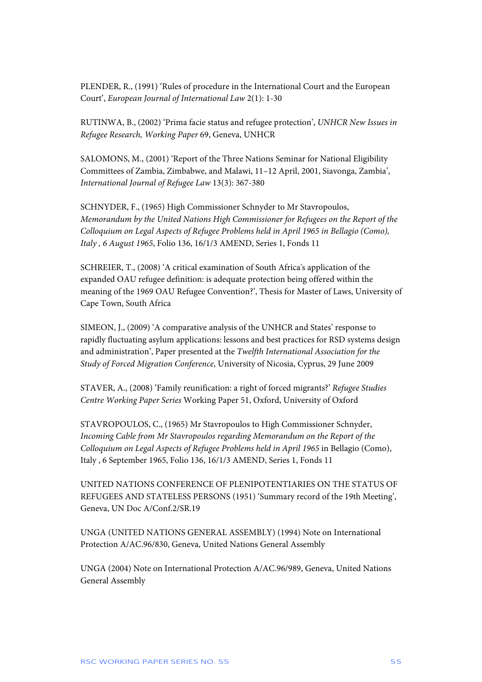PLENDER, R., (1991) 'Rules of procedure in the International Court and the European Court', *European Journal of International Law* 2(1): 1-30

RUTINWA, B., (2002) 'Prima facie status and refugee protection', *UNHCR New Issues in Refugee Research, Working Paper* 69, Geneva, UNHCR

SALOMONS, M., (2001) 'Report of the Three Nations Seminar for National Eligibility Committees of Zambia, Zimbabwe, and Malawi, 11–12 April, 2001, Siavonga, Zambia', *International Journal of Refugee Law* 13(3): 367-380

SCHNYDER, F., (1965) High Commissioner Schnyder to Mr Stavropoulos, *Memorandum by the United Nations High Commissioner for Refugees on the Report of the Colloquium on Legal Aspects of Refugee Problems held in April 1965 in Bellagio (Como), Italy , 6 August 1965*, Folio 136, 16/1/3 AMEND, Series 1, Fonds 11

SCHREIER, T., (2008) 'A critical examination of South Africa's application of the expanded OAU refugee definition: is adequate protection being offered within the meaning of the 1969 OAU Refugee Convention?', Thesis for Master of Laws, University of Cape Town, South Africa

SIMEON, J., (2009) 'A comparative analysis of the UNHCR and States' response to rapidly fluctuating asylum applications: lessons and best practices for RSD systems design and administration', Paper presented at the *Twelfth International Association for the Study of Forced Migration Conference*, University of Nicosia, Cyprus, 29 June 2009

STAVER, A., (2008) 'Family reunification: a right of forced migrants?' *Refugee Studies Centre Working Paper Series* Working Paper 51, Oxford, University of Oxford

STAVROPOULOS, C., (1965) Mr Stavropoulos to High Commissioner Schnyder, *Incoming Cable from Mr Stavropoulos regarding Memorandum on the Report of the Colloquium on Legal Aspects of Refugee Problems held in April 1965* in Bellagio (Como), Italy , 6 September 1965, Folio 136, 16/1/3 AMEND, Series 1, Fonds 11

UNITED NATIONS CONFERENCE OF PLENIPOTENTIARIES ON THE STATUS OF REFUGEES AND STATELESS PERSONS (1951) 'Summary record of the 19th Meeting', Geneva, UN Doc A/Conf.2/SR.19

UNGA (UNITED NATIONS GENERAL ASSEMBLY) (1994) Note on International Protection A/AC.96/830, Geneva, United Nations General Assembly

UNGA (2004) Note on International Protection A/AC.96/989, Geneva, United Nations General Assembly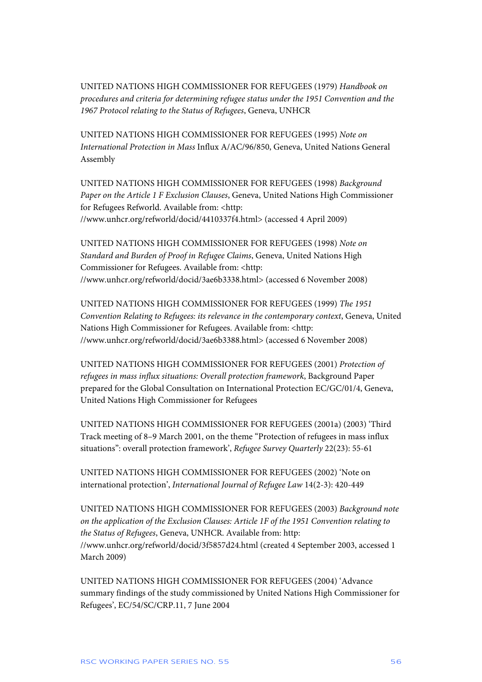UNITED NATIONS HIGH COMMISSIONER FOR REFUGEES (1979) *Handbook on procedures and criteria for determining refugee status under the 1951 Convention and the 1967 Protocol relating to the Status of Refugees*, Geneva, UNHCR

UNITED NATIONS HIGH COMMISSIONER FOR REFUGEES (1995) *Note on International Protection in Mass* Influx A/AC/96/850, Geneva, United Nations General Assembly

UNITED NATIONS HIGH COMMISSIONER FOR REFUGEES (1998) *Background Paper on the Article 1 F Exclusion Clauses*, Geneva, United Nations High Commissioner for Refugees Refworld. Available from: <http: //www.unhcr.org/refworld/docid/4410337f4.html> (accessed 4 April 2009)

UNITED NATIONS HIGH COMMISSIONER FOR REFUGEES (1998) *Note on Standard and Burden of Proof in Refugee Claims*, Geneva, United Nations High Commissioner for Refugees. Available from: <http: //www.unhcr.org/refworld/docid/3ae6b3338.html> (accessed 6 November 2008)

UNITED NATIONS HIGH COMMISSIONER FOR REFUGEES (1999) *The 1951 Convention Relating to Refugees: its relevance in the contemporary context*, Geneva, United Nations High Commissioner for Refugees. Available from: <http: //www.unhcr.org/refworld/docid/3ae6b3388.html> (accessed 6 November 2008)

UNITED NATIONS HIGH COMMISSIONER FOR REFUGEES (2001) *Protection of refugees in mass influx situations: Overall protection framework*, Background Paper prepared for the Global Consultation on International Protection EC/GC/01/4, Geneva, United Nations High Commissioner for Refugees

UNITED NATIONS HIGH COMMISSIONER FOR REFUGEES (2001a) (2003) 'Third Track meeting of 8–9 March 2001, on the theme "Protection of refugees in mass influx situations": overall protection framework', *Refugee Survey Quarterly* 22(23): 55-61

UNITED NATIONS HIGH COMMISSIONER FOR REFUGEES (2002) 'Note on international protection', *International Journal of Refugee Law* 14(2-3): 420-449

UNITED NATIONS HIGH COMMISSIONER FOR REFUGEES (2003) *Background note on the application of the Exclusion Clauses: Article 1F of the 1951 Convention relating to the Status of Refugees*, Geneva, UNHCR. Available from: http: //www.unhcr.org/refworld/docid/3f5857d24.html (created 4 September 2003, accessed 1 March 2009)

UNITED NATIONS HIGH COMMISSIONER FOR REFUGEES (2004) 'Advance summary findings of the study commissioned by United Nations High Commissioner for Refugees', EC/54/SC/CRP.11, 7 June 2004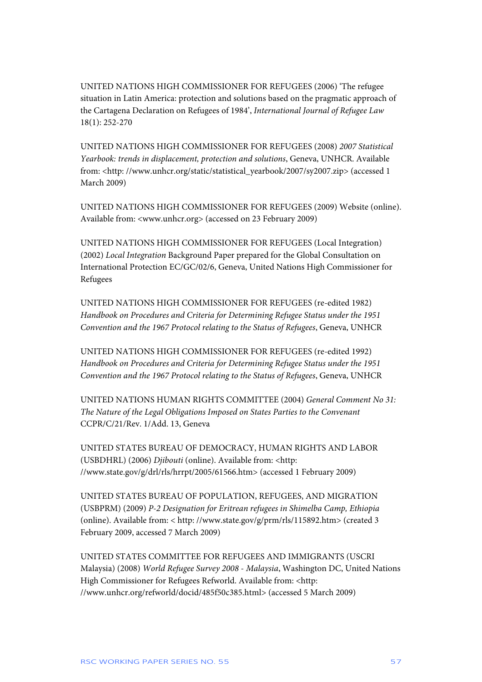UNITED NATIONS HIGH COMMISSIONER FOR REFUGEES (2006) 'The refugee situation in Latin America: protection and solutions based on the pragmatic approach of the Cartagena Declaration on Refugees of 1984', *International Journal of Refugee Law* 18(1): 252-270

UNITED NATIONS HIGH COMMISSIONER FOR REFUGEES (2008) *2007 Statistical Yearbook: trends in displacement, protection and solutions*, Geneva, UNHCR. Available from: <http: //www.unhcr.org/static/statistical\_yearbook/2007/sy2007.zip> (accessed 1 March 2009)

UNITED NATIONS HIGH COMMISSIONER FOR REFUGEES (2009) Website (online). Available from: <www.unhcr.org> (accessed on 23 February 2009)

UNITED NATIONS HIGH COMMISSIONER FOR REFUGEES (Local Integration) (2002) *Local Integration* Background Paper prepared for the Global Consultation on International Protection EC/GC/02/6, Geneva, United Nations High Commissioner for Refugees

UNITED NATIONS HIGH COMMISSIONER FOR REFUGEES (re-edited 1982) *Handbook on Procedures and Criteria for Determining Refugee Status under the 1951 Convention and the 1967 Protocol relating to the Status of Refugees*, Geneva, UNHCR

UNITED NATIONS HIGH COMMISSIONER FOR REFUGEES (re-edited 1992) *Handbook on Procedures and Criteria for Determining Refugee Status under the 1951 Convention and the 1967 Protocol relating to the Status of Refugees*, Geneva, UNHCR

UNITED NATIONS HUMAN RIGHTS COMMITTEE (2004) *General Comment No 31: The Nature of the Legal Obligations Imposed on States Parties to the Convenant* CCPR/C/21/Rev. 1/Add. 13, Geneva

UNITED STATES BUREAU OF DEMOCRACY, HUMAN RIGHTS AND LABOR (USBDHRL) (2006) *Djibouti* (online). Available from: <http: //www.state.gov/g/drl/rls/hrrpt/2005/61566.htm> (accessed 1 February 2009)

UNITED STATES BUREAU OF POPULATION, REFUGEES, AND MIGRATION (USBPRM) (2009) *P-2 Designation for Eritrean refugees in Shimelba Camp, Ethiopia* (online). Available from: < http: //www.state.gov/g/prm/rls/115892.htm> (created 3 February 2009, accessed 7 March 2009)

UNITED STATES COMMITTEE FOR REFUGEES AND IMMIGRANTS (USCRI Malaysia) (2008) *World Refugee Survey 2008 - Malaysia*, Washington DC, United Nations High Commissioner for Refugees Refworld. Available from: <http: //www.unhcr.org/refworld/docid/485f50c385.html> (accessed 5 March 2009)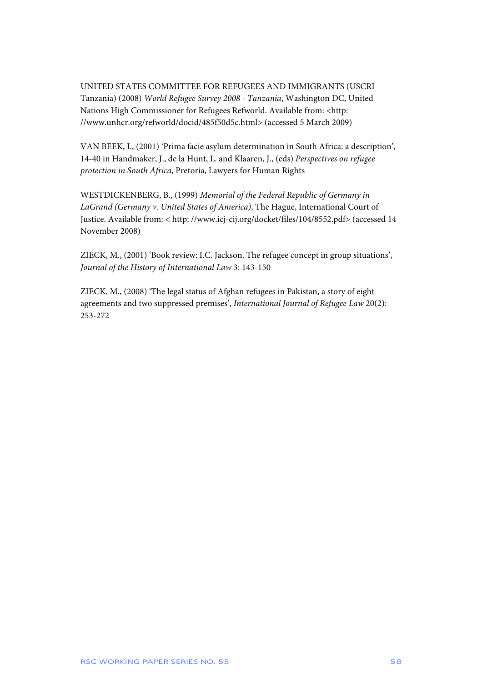UNITED STATES COMMITTEE FOR REFUGEES AND IMMIGRANTS (USCRI Tanzania) (2008) *World Refugee Survey 2008 - Tanzania*, Washington DC, United Nations High Commissioner for Refugees Refworld. Available from: <http: //www.unhcr.org/refworld/docid/485f50d5c.html> (accessed 5 March 2009)

VAN BEEK, I., (2001) 'Prima facie asylum determination in South Africa: a description', 14-40 in Handmaker, J., de la Hunt, L. and Klaaren, J., (eds) *Perspectives on refugee protection in South Africa*, Pretoria, Lawyers for Human Rights

WESTDICKENBERG, B., (1999) *Memorial of the Federal Republic of Germany in LaGrand (Germany v. United States of America)*, The Hague, International Court of Justice. Available from: < http: //www.icj-cij.org/docket/files/104/8552.pdf> (accessed 14 November 2008)

ZIECK, M., (2001) 'Book review: I.C. Jackson. The refugee concept in group situations', *Journal of the History of International Law* 3: 143-150

ZIECK, M., (2008) 'The legal status of Afghan refugees in Pakistan, a story of eight agreements and two suppressed premises', *International Journal of Refugee Law* 20(2): 253-272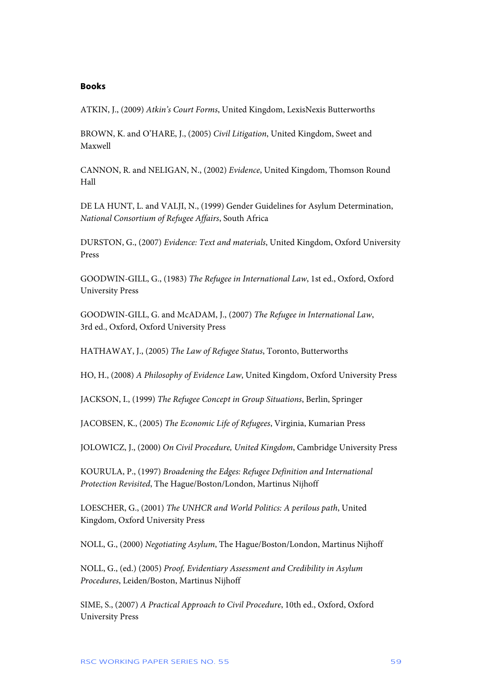#### **Books**

ATKIN, J., (2009) *Atkin's Court Forms*, United Kingdom, LexisNexis Butterworths

BROWN, K. and O'HARE, J., (2005) *Civil Litigation*, United Kingdom, Sweet and Maxwell

CANNON, R. and NELIGAN, N., (2002) *Evidence*, United Kingdom, Thomson Round Hall

DE LA HUNT, L. and VALJI, N., (1999) Gender Guidelines for Asylum Determination, *National Consortium of Refugee Affairs*, South Africa

DURSTON, G., (2007) *Evidence: Text and materials*, United Kingdom, Oxford University Press

GOODWIN-GILL, G., (1983) *The Refugee in International Law*, 1st ed., Oxford, Oxford University Press

GOODWIN-GILL, G. and McADAM, J., (2007) *The Refugee in International Law*, 3rd ed., Oxford, Oxford University Press

HATHAWAY, J., (2005) *The Law of Refugee Status*, Toronto, Butterworths

HO, H., (2008) *A Philosophy of Evidence Law*, United Kingdom, Oxford University Press

JACKSON, I., (1999) *The Refugee Concept in Group Situations*, Berlin, Springer

JACOBSEN, K., (2005) *The Economic Life of Refugees*, Virginia, Kumarian Press

JOLOWICZ, J., (2000) *On Civil Procedure, United Kingdom*, Cambridge University Press

KOURULA, P., (1997) *Broadening the Edges: Refugee Definition and International Protection Revisited*, The Hague/Boston/London, Martinus Nijhoff

LOESCHER, G., (2001) *The UNHCR and World Politics: A perilous path*, United Kingdom, Oxford University Press

NOLL, G., (2000) *Negotiating Asylum*, The Hague/Boston/London, Martinus Nijhoff

NOLL, G., (ed.) (2005) *Proof, Evidentiary Assessment and Credibility in Asylum Procedures*, Leiden/Boston, Martinus Nijhoff

SIME, S., (2007) *A Practical Approach to Civil Procedure*, 10th ed., Oxford, Oxford University Press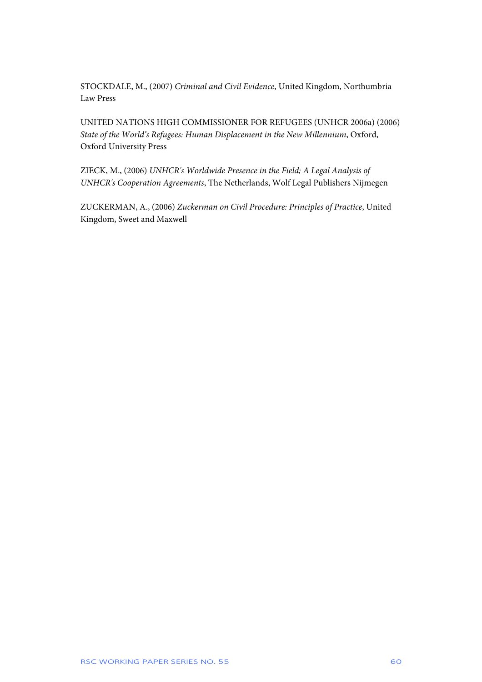STOCKDALE, M., (2007) *Criminal and Civil Evidence*, United Kingdom, Northumbria Law Press

UNITED NATIONS HIGH COMMISSIONER FOR REFUGEES (UNHCR 2006a) (2006) *State of the World's Refugees: Human Displacement in the New Millennium*, Oxford, Oxford University Press

ZIECK, M., (2006) *UNHCR's Worldwide Presence in the Field; A Legal Analysis of UNHCR's Cooperation Agreements*, The Netherlands, Wolf Legal Publishers Nijmegen

ZUCKERMAN, A., (2006) *Zuckerman on Civil Procedure: Principles of Practice*, United Kingdom, Sweet and Maxwell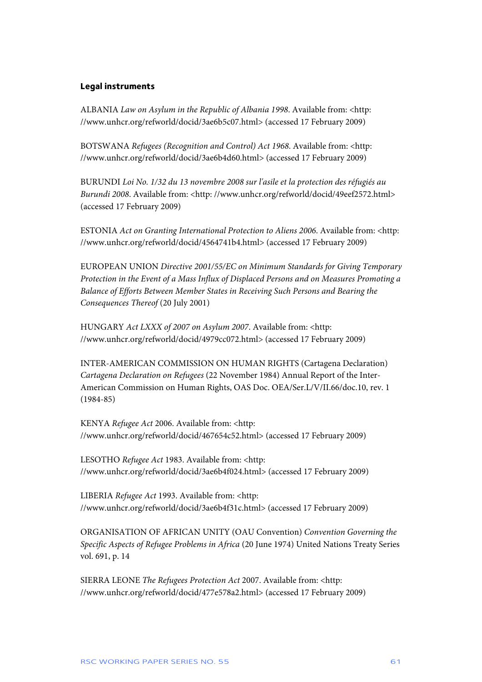#### **Legal instruments**

ALBANIA *Law on Asylum in the Republic of Albania 1998*. Available from: <http: //www.unhcr.org/refworld/docid/3ae6b5c07.html> (accessed 17 February 2009)

BOTSWANA *Refugees (Recognition and Control) Act 1968*. Available from: <http: //www.unhcr.org/refworld/docid/3ae6b4d60.html> (accessed 17 February 2009)

BURUNDI *Loi No. 1/32 du 13 novembre 2008 sur l'asile et la protection des réfugiés au Burundi 2008*. Available from: <http: //www.unhcr.org/refworld/docid/49eef2572.html> (accessed 17 February 2009)

ESTONIA *Act on Granting International Protection to Aliens 2006*. Available from: <http: //www.unhcr.org/refworld/docid/4564741b4.html> (accessed 17 February 2009)

EUROPEAN UNION *Directive 2001/55/EC on Minimum Standards for Giving Temporary Protection in the Event of a Mass Influx of Displaced Persons and on Measures Promoting a Balance of Efforts Between Member States in Receiving Such Persons and Bearing the Consequences Thereof* (20 July 2001)

HUNGARY *Act LXXX of 2007 on Asylum 2007*. Available from: <http: //www.unhcr.org/refworld/docid/4979cc072.html> (accessed 17 February 2009)

INTER-AMERICAN COMMISSION ON HUMAN RIGHTS (Cartagena Declaration) *Cartagena Declaration on Refugees* (22 November 1984) Annual Report of the Inter-American Commission on Human Rights, OAS Doc. OEA/Ser.L/V/II.66/doc.10, rev. 1 (1984-85)

KENYA *Refugee Act* 2006. Available from: <http: //www.unhcr.org/refworld/docid/467654c52.html> (accessed 17 February 2009)

LESOTHO *Refugee Act* 1983. Available from: <http: //www.unhcr.org/refworld/docid/3ae6b4f024.html> (accessed 17 February 2009)

LIBERIA *Refugee Act* 1993. Available from: <http: //www.unhcr.org/refworld/docid/3ae6b4f31c.html> (accessed 17 February 2009)

ORGANISATION OF AFRICAN UNITY (OAU Convention) *Convention Governing the Specific Aspects of Refugee Problems in Africa* (20 June 1974) United Nations Treaty Series vol. 691, p. 14

SIERRA LEONE *The Refugees Protection Act* 2007. Available from: <http: //www.unhcr.org/refworld/docid/477e578a2.html> (accessed 17 February 2009)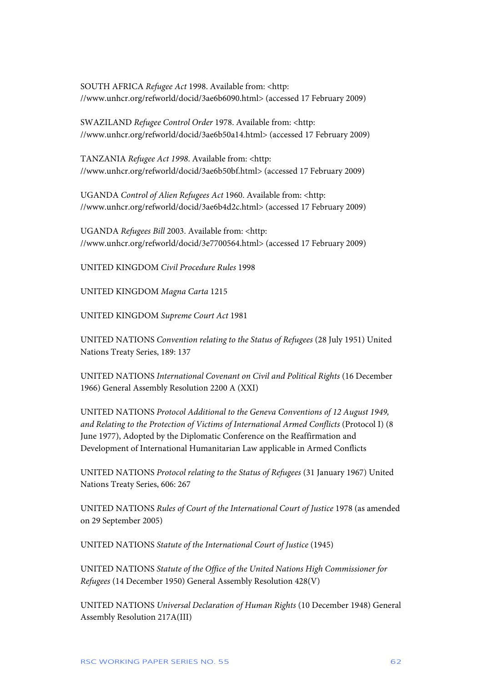SOUTH AFRICA *Refugee Act* 1998. Available from: <http: //www.unhcr.org/refworld/docid/3ae6b6090.html> (accessed 17 February 2009)

SWAZILAND *Refugee Control Order* 1978. Available from: <http: //www.unhcr.org/refworld/docid/3ae6b50a14.html> (accessed 17 February 2009)

TANZANIA *Refugee Act 1998*. Available from: <http: //www.unhcr.org/refworld/docid/3ae6b50bf.html> (accessed 17 February 2009)

UGANDA *Control of Alien Refugees Act* 1960. Available from: <http: //www.unhcr.org/refworld/docid/3ae6b4d2c.html> (accessed 17 February 2009)

UGANDA *Refugees Bill* 2003. Available from: <http: //www.unhcr.org/refworld/docid/3e7700564.html> (accessed 17 February 2009)

UNITED KINGDOM *Civil Procedure Rules* 1998

UNITED KINGDOM *Magna Carta* 1215

UNITED KINGDOM *Supreme Court Act* 1981

UNITED NATIONS *Convention relating to the Status of Refugees* (28 July 1951) United Nations Treaty Series, 189: 137

UNITED NATIONS *International Covenant on Civil and Political Rights* (16 December 1966) General Assembly Resolution 2200 A (XXI)

UNITED NATIONS *Protocol Additional to the Geneva Conventions of 12 August 1949, and Relating to the Protection of Victims of International Armed Conflicts* (Protocol I) (8 June 1977), Adopted by the Diplomatic Conference on the Reaffirmation and Development of International Humanitarian Law applicable in Armed Conflicts

UNITED NATIONS *Protocol relating to the Status of Refugees* (31 January 1967) United Nations Treaty Series, 606: 267

UNITED NATIONS *Rules of Court of the International Court of Justice* 1978 (as amended on 29 September 2005)

UNITED NATIONS *Statute of the International Court of Justice* (1945)

UNITED NATIONS *Statute of the Office of the United Nations High Commissioner for Refugees* (14 December 1950) General Assembly Resolution 428(V)

UNITED NATIONS *Universal Declaration of Human Rights* (10 December 1948) General Assembly Resolution 217A(III)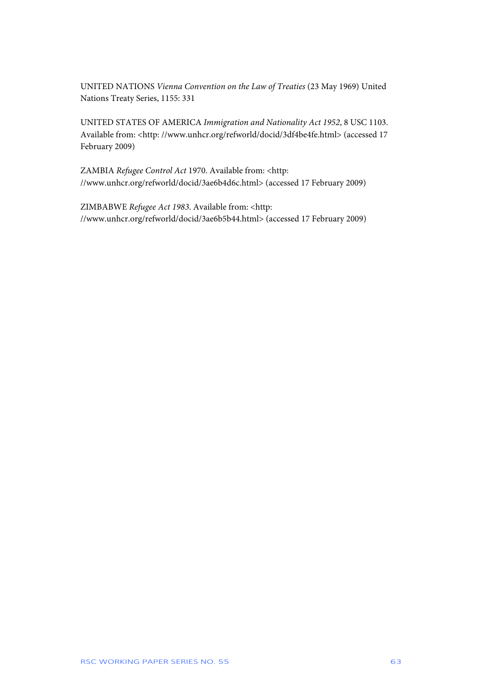UNITED NATIONS *Vienna Convention on the Law of Treaties* (23 May 1969) United Nations Treaty Series, 1155: 331

UNITED STATES OF AMERICA *Immigration and Nationality Act 1952*, 8 USC 1103. Available from: <http: //www.unhcr.org/refworld/docid/3df4be4fe.html> (accessed 17 February 2009)

ZAMBIA *Refugee Control Act* 1970. Available from: <http: //www.unhcr.org/refworld/docid/3ae6b4d6c.html> (accessed 17 February 2009)

ZIMBABWE *Refugee Act 1983*. Available from: <http: //www.unhcr.org/refworld/docid/3ae6b5b44.html> (accessed 17 February 2009)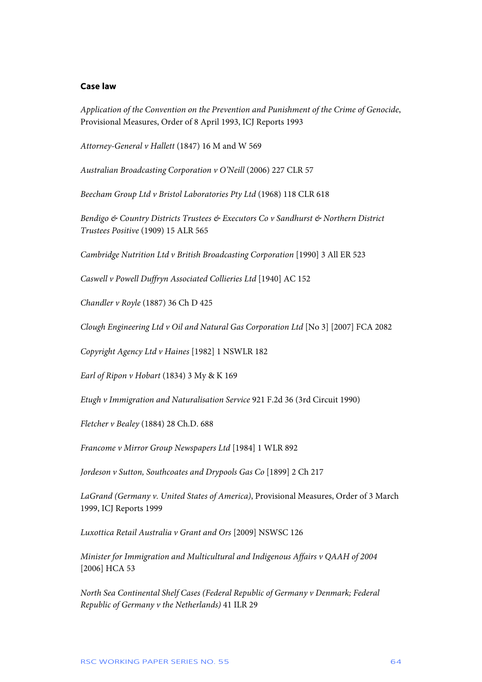#### **Case law**

*Application of the Convention on the Prevention and Punishment of the Crime of Genocide*, Provisional Measures, Order of 8 April 1993, ICJ Reports 1993

*Attorney-General v Hallett* (1847) 16 M and W 569

*Australian Broadcasting Corporation v O'Neill* (2006) 227 CLR 57

*Beecham Group Ltd v Bristol Laboratories Pty Ltd* (1968) 118 CLR 618

*Bendigo & Country Districts Trustees & Executors Co v Sandhurst & Northern District Trustees Positive* (1909) 15 ALR 565

*Cambridge Nutrition Ltd v British Broadcasting Corporation* [1990] 3 All ER 523

*Caswell v Powell Duffryn Associated Collieries Ltd* [1940] AC 152

*Chandler v Royle* (1887) 36 Ch D 425

*Clough Engineering Ltd v Oil and Natural Gas Corporation Ltd* [No 3] [2007] FCA 2082

*Copyright Agency Ltd v Haines* [1982] 1 NSWLR 182

*Earl of Ripon v Hobart* (1834) 3 My & K 169

*Etugh v Immigration and Naturalisation Service* 921 F.2d 36 (3rd Circuit 1990)

*Fletcher v Bealey* (1884) 28 Ch.D. 688

*Francome v Mirror Group Newspapers Ltd* [1984] 1 WLR 892

*Jordeson v Sutton, Southcoates and Drypools Gas Co* [1899] 2 Ch 217

*LaGrand (Germany v. United States of America)*, Provisional Measures, Order of 3 March 1999, ICJ Reports 1999

*Luxottica Retail Australia v Grant and Ors* [2009] NSWSC 126

*Minister for Immigration and Multicultural and Indigenous Affairs v QAAH of 2004* [2006] HCA 53

*North Sea Continental Shelf Cases (Federal Republic of Germany v Denmark; Federal Republic of Germany v the Netherlands)* 41 ILR 29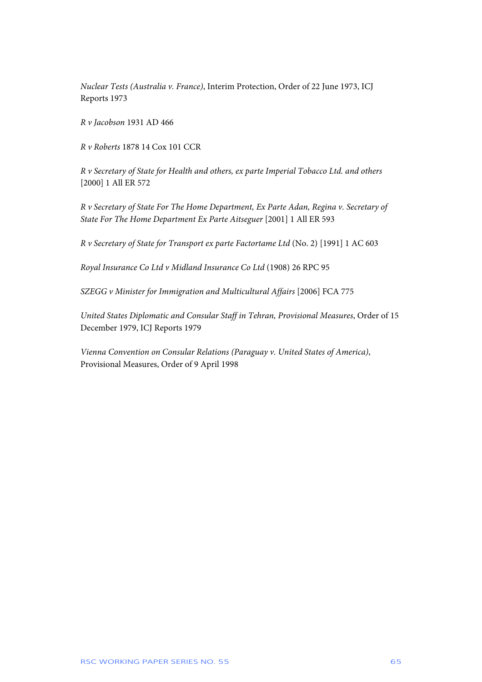*Nuclear Tests (Australia v. France)*, Interim Protection, Order of 22 June 1973, ICJ Reports 1973

*R v Jacobson* 1931 AD 466

*R v Roberts* 1878 14 Cox 101 CCR

*R v Secretary of State for Health and others, ex parte Imperial Tobacco Ltd. and others* [2000] 1 All ER 572

*R v Secretary of State For The Home Department, Ex Parte Adan, Regina v. Secretary of State For The Home Department Ex Parte Aitseguer* [2001] 1 All ER 593

*R v Secretary of State for Transport ex parte Factortame Ltd* (No. 2) [1991] 1 AC 603

*Royal Insurance Co Ltd v Midland Insurance Co Ltd* (1908) 26 RPC 95

*SZEGG v Minister for Immigration and Multicultural Affairs* [2006] FCA 775

*United States Diplomatic and Consular Staff in Tehran, Provisional Measures*, Order of 15 December 1979, ICJ Reports 1979

*Vienna Convention on Consular Relations (Paraguay v. United States of America)*, Provisional Measures, Order of 9 April 1998